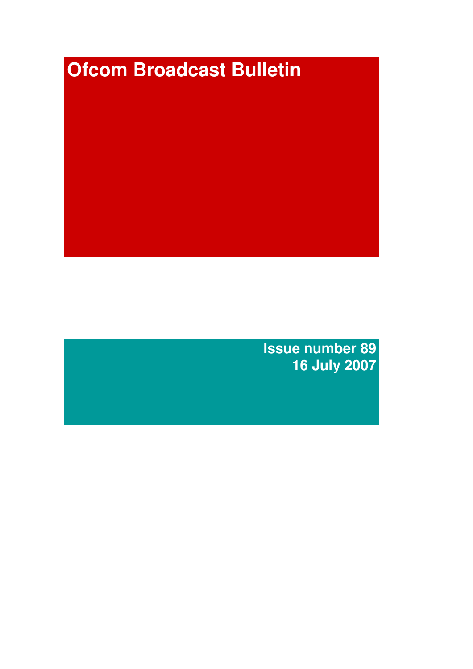# **Ofcom Broadcast Bulletin**

**Issue number 89 16 July 2007**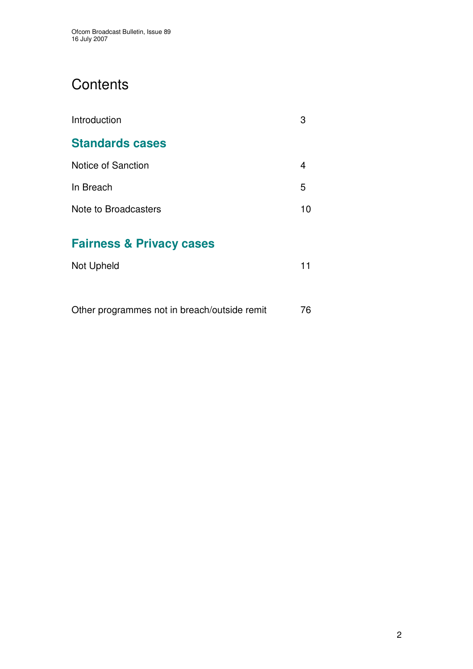# **Contents**

| Introduction                        | З  |
|-------------------------------------|----|
| <b>Standards cases</b>              |    |
| Notice of Sanction                  | 4  |
| In Breach                           | 5  |
| Note to Broadcasters                | 10 |
| <b>Fairness &amp; Privacy cases</b> |    |
| Not Upheld                          | 11 |
|                                     |    |

Other programmes not in breach/outside remit 76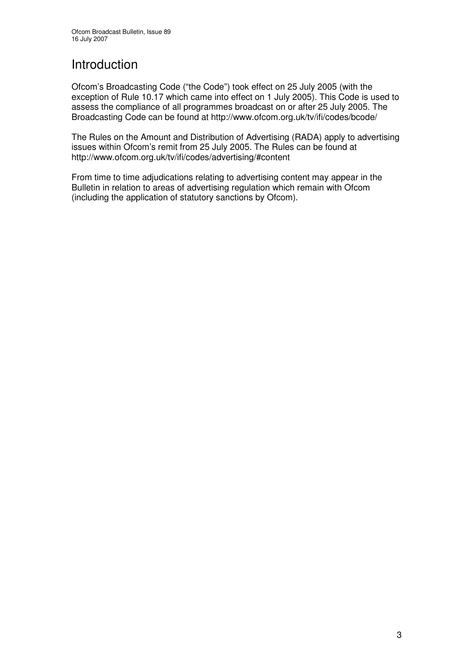# Introduction

Ofcom's Broadcasting Code ("the Code") took effect on 25 July 2005 (with the exception of Rule 10.17 which came into effect on 1 July 2005). This Code is used to assess the compliance of all programmes broadcast on or after 25 July 2005. The Broadcasting Code can be found at http://www.ofcom.org.uk/tv/ifi/codes/bcode/

The Rules on the Amount and Distribution of Advertising (RADA) apply to advertising issues within Ofcom's remit from 25 July 2005. The Rules can be found at http://www.ofcom.org.uk/tv/ifi/codes/advertising/#content

From time to time adjudications relating to advertising content may appear in the Bulletin in relation to areas of advertising regulation which remain with Ofcom (including the application of statutory sanctions by Ofcom).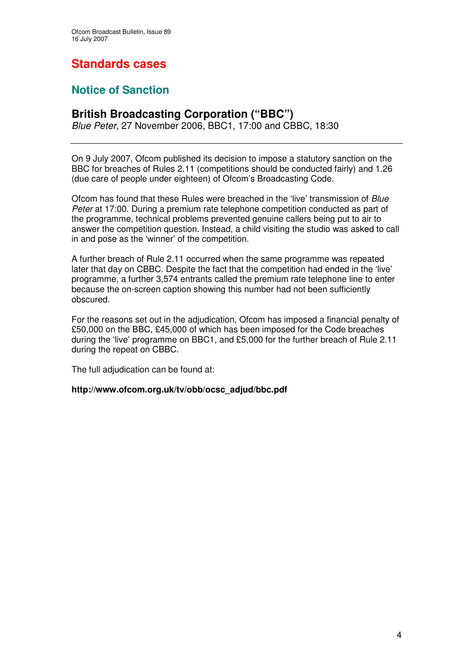# **Standards cases**

# **Notice of Sanction**

# **British Broadcasting Corporation ("BBC")**

*Blue Peter*, 27 November 2006, BBC1, 17:00 and CBBC, 18:30

On 9 July 2007, Ofcom published its decision to impose a statutory sanction on the BBC for breaches of Rules 2.11 (competitions should be conducted fairly) and 1.26 (due care of people under eighteen) of Ofcom's Broadcasting Code.

Ofcom has found that these Rules were breached in the 'live' transmission of *Blue Peter* at 17:00. During a premium rate telephone competition conducted as part of the programme, technical problems prevented genuine callers being put to air to answer the competition question. Instead, a child visiting the studio was asked to call in and pose as the 'winner' of the competition.

A further breach of Rule 2.11 occurred when the same programme was repeated later that day on CBBC. Despite the fact that the competition had ended in the 'live' programme, a further 3,574 entrants called the premium rate telephone line to enter because the on-screen caption showing this number had not been sufficiently obscured.

For the reasons set out in the adjudication, Ofcom has imposed a financial penalty of £50,000 on the BBC, £45,000 of which has been imposed for the Code breaches during the 'live' programme on BBC1, and £5,000 for the further breach of Rule 2.11 during the repeat on CBBC.

The full adjudication can be found at:

# **http://www.ofcom.org.uk/tv/obb/ocsc\_adjud/bbc.pdf**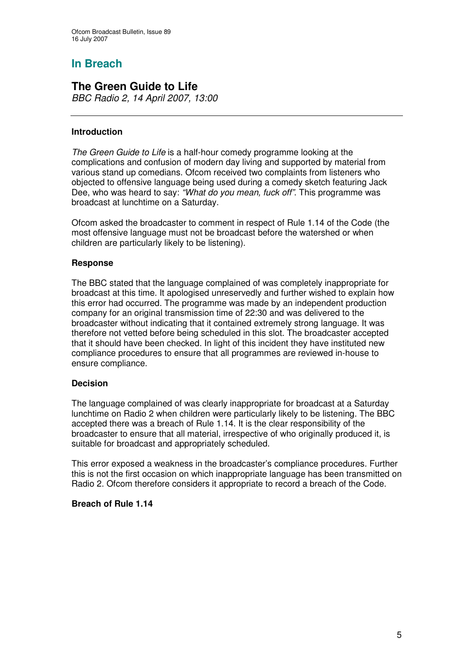# **In Breach**

# **The Green Guide to Life**

*BBC Radio 2, 14 April 2007, 13:00*

# **Introduction**

*The Green Guide to Life* is a half-hour comedy programme looking at the complications and confusion of modern day living and supported by material from various stand up comedians. Ofcom received two complaints from listeners who objected to offensive language being used during a comedy sketch featuring Jack Dee, who was heard to say: *"What do you mean, fuck off"*. This programme was broadcast at lunchtime on a Saturday.

Ofcom asked the broadcaster to comment in respect of Rule 1.14 of the Code (the most offensive language must not be broadcast before the watershed or when children are particularly likely to be listening).

# **Response**

The BBC stated that the language complained of was completely inappropriate for broadcast at this time. It apologised unreservedly and further wished to explain how this error had occurred. The programme was made by an independent production company for an original transmission time of 22:30 and was delivered to the broadcaster without indicating that it contained extremely strong language. It was therefore not vetted before being scheduled in this slot. The broadcaster accepted that it should have been checked. In light of this incident they have instituted new compliance procedures to ensure that all programmes are reviewed in-house to ensure compliance.

# **Decision**

The language complained of was clearly inappropriate for broadcast at a Saturday lunchtime on Radio 2 when children were particularly likely to be listening. The BBC accepted there was a breach of Rule 1.14. It is the clear responsibility of the broadcaster to ensure that all material, irrespective of who originally produced it, is suitable for broadcast and appropriately scheduled.

This error exposed a weakness in the broadcaster's compliance procedures. Further this is not the first occasion on which inappropriate language has been transmitted on Radio 2. Ofcom therefore considers it appropriate to record a breach of the Code.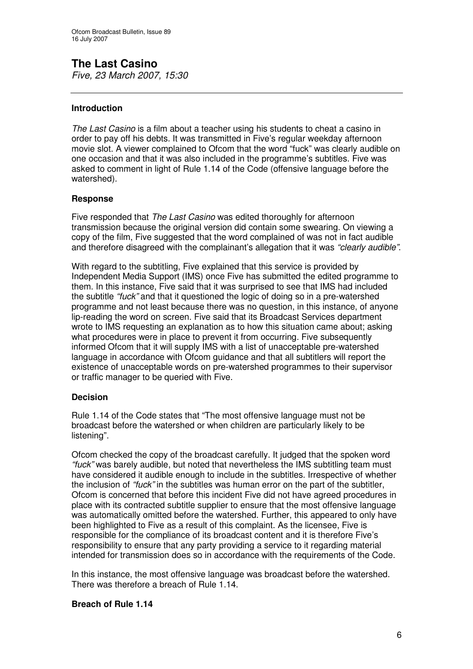**The Last Casino** *Five, 23 March 2007, 15:30*

# **Introduction**

*The Last Casino* is a film about a teacher using his students to cheat a casino in order to pay off his debts. It was transmitted in Five's regular weekday afternoon movie slot. A viewer complained to Ofcom that the word "fuck" was clearly audible on one occasion and that it was also included in the programme's subtitles. Five was asked to comment in light of Rule 1.14 of the Code (offensive language before the watershed).

### **Response**

Five responded that *The Last Casino* was edited thoroughly for afternoon transmission because the original version did contain some swearing. On viewing a copy of the film, Five suggested that the word complained of was not in fact audible and therefore disagreed with the complainant's allegation that it was *"clearly audible"*.

With regard to the subtitling. Five explained that this service is provided by Independent Media Support (IMS) once Five has submitted the edited programme to them. In this instance, Five said that it was surprised to see that IMS had included the subtitle *"fuck"* and that it questioned the logic of doing so in a pre-watershed programme and not least because there was no question, in this instance, of anyone lip-reading the word on screen. Five said that its Broadcast Services department wrote to IMS requesting an explanation as to how this situation came about; asking what procedures were in place to prevent it from occurring. Five subsequently informed Ofcom that it will supply IMS with a list of unacceptable pre-watershed language in accordance with Ofcom guidance and that all subtitlers will report the existence of unacceptable words on pre-watershed programmes to their supervisor or traffic manager to be queried with Five.

# **Decision**

Rule 1.14 of the Code states that "The most offensive language must not be broadcast before the watershed or when children are particularly likely to be listening".

Ofcom checked the copy of the broadcast carefully. It judged that the spoken word *"fuck"* was barely audible, but noted that nevertheless the IMS subtitling team must have considered it audible enough to include in the subtitles. Irrespective of whether the inclusion of *"fuck"* in the subtitles was human error on the part of the subtitler, Ofcom is concerned that before this incident Five did not have agreed procedures in place with its contracted subtitle supplier to ensure that the most offensive language was automatically omitted before the watershed. Further, this appeared to only have been highlighted to Five as a result of this complaint. As the licensee, Five is responsible for the compliance of its broadcast content and it is therefore Five's responsibility to ensure that any party providing a service to it regarding material intended for transmission does so in accordance with the requirements of the Code.

In this instance, the most offensive language was broadcast before the watershed. There was therefore a breach of Rule 1.14.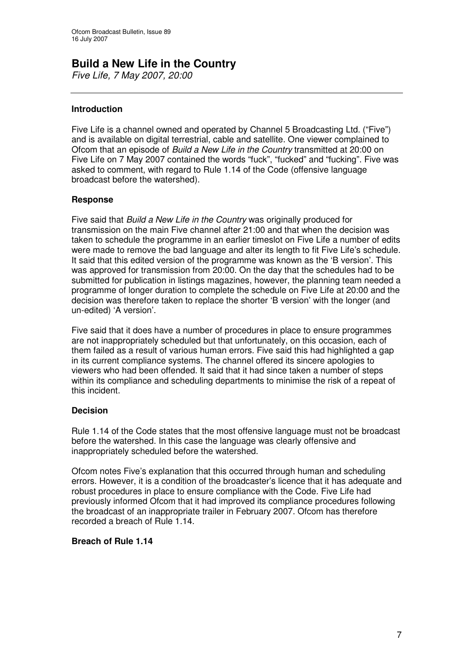# **Build a New Life in the Country**

*Five Life, 7 May 2007, 20:00*

# **Introduction**

Five Life is a channel owned and operated by Channel 5 Broadcasting Ltd. ("Five") and is available on digital terrestrial, cable and satellite. One viewer complained to Ofcom that an episode of *Build a New Life in the Country* transmitted at 20:00 on Five Life on 7 May 2007 contained the words "fuck", "fucked" and "fucking". Five was asked to comment, with regard to Rule 1.14 of the Code (offensive language broadcast before the watershed).

# **Response**

Five said that *Build a New Life in the Country* was originally produced for transmission on the main Five channel after 21:00 and that when the decision was taken to schedule the programme in an earlier timeslot on Five Life a number of edits were made to remove the bad language and alter its length to fit Five Life's schedule. It said that this edited version of the programme was known as the 'B version'. This was approved for transmission from 20:00. On the day that the schedules had to be submitted for publication in listings magazines, however, the planning team needed a programme of longer duration to complete the schedule on Five Life at 20:00 and the decision was therefore taken to replace the shorter 'B version' with the longer (and un-edited) 'A version'.

Five said that it does have a number of procedures in place to ensure programmes are not inappropriately scheduled but that unfortunately, on this occasion, each of them failed as a result of various human errors. Five said this had highlighted a gap in its current compliance systems. The channel offered its sincere apologies to viewers who had been offended. It said that it had since taken a number of steps within its compliance and scheduling departments to minimise the risk of a repeat of this incident.

# **Decision**

Rule 1.14 of the Code states that the most offensive language must not be broadcast before the watershed. In this case the language was clearly offensive and inappropriately scheduled before the watershed.

Ofcom notes Five's explanation that this occurred through human and scheduling errors. However, it is a condition of the broadcaster's licence that it has adequate and robust procedures in place to ensure compliance with the Code. Five Life had previously informed Ofcom that it had improved its compliance procedures following the broadcast of an inappropriate trailer in February 2007. Ofcom has therefore recorded a breach of Rule 1.14.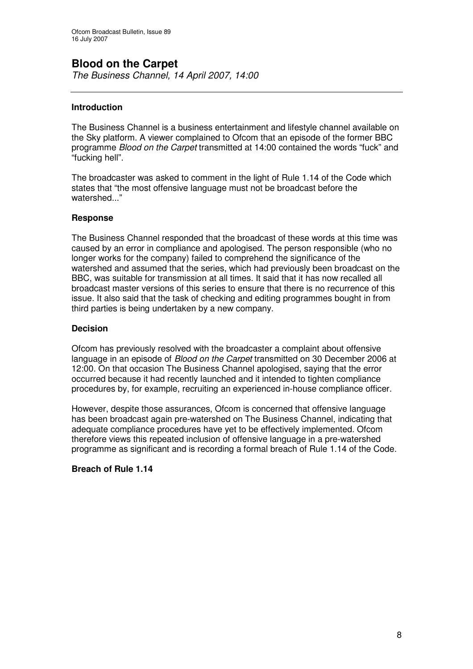# **Blood on the Carpet**

*The Business Channel, 14 April 2007, 14:00*

# **Introduction**

The Business Channel is a business entertainment and lifestyle channel available on the Sky platform. A viewer complained to Ofcom that an episode of the former BBC programme *Blood on the Carpet* transmitted at 14:00 contained the words "fuck" and "fucking hell".

The broadcaster was asked to comment in the light of Rule 1.14 of the Code which states that "the most offensive language must not be broadcast before the watershed..."

# **Response**

The Business Channel responded that the broadcast of these words at this time was caused by an error in compliance and apologised. The person responsible (who no longer works for the company) failed to comprehend the significance of the watershed and assumed that the series, which had previously been broadcast on the BBC, was suitable for transmission at all times. It said that it has now recalled all broadcast master versions of this series to ensure that there is no recurrence of this issue. It also said that the task of checking and editing programmes bought in from third parties is being undertaken by a new company.

# **Decision**

Ofcom has previously resolved with the broadcaster a complaint about offensive language in an episode of *Blood on the Carpet* transmitted on 30 December 2006 at 12:00. On that occasion The Business Channel apologised, saying that the error occurred because it had recently launched and it intended to tighten compliance procedures by, for example, recruiting an experienced in-house compliance officer.

However, despite those assurances, Ofcom is concerned that offensive language has been broadcast again pre-watershed on The Business Channel, indicating that adequate compliance procedures have yet to be effectively implemented. Ofcom therefore views this repeated inclusion of offensive language in a pre-watershed programme as significant and is recording a formal breach of Rule 1.14 of the Code.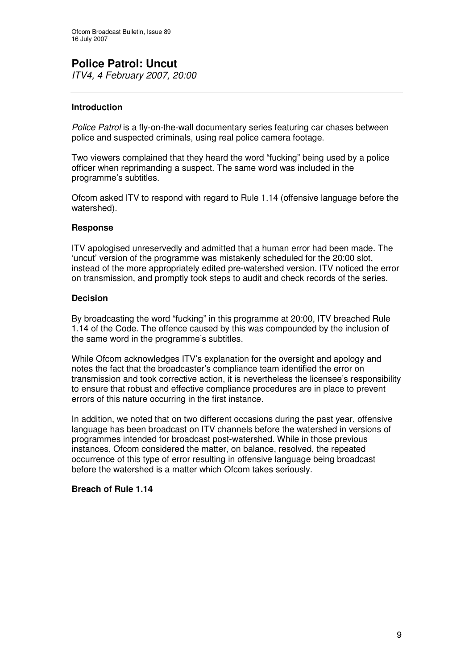# **Introduction**

*Police Patrol* is a fly-on-the-wall documentary series featuring car chases between police and suspected criminals, using real police camera footage.

Two viewers complained that they heard the word "fucking" being used by a police officer when reprimanding a suspect. The same word was included in the programme's subtitles.

Ofcom asked ITV to respond with regard to Rule 1.14 (offensive language before the watershed).

# **Response**

ITV apologised unreservedly and admitted that a human error had been made. The 'uncut' version of the programme was mistakenly scheduled for the 20:00 slot, instead of the more appropriately edited pre-watershed version. ITV noticed the error on transmission, and promptly took steps to audit and check records of the series.

# **Decision**

By broadcasting the word "fucking" in this programme at 20:00, ITV breached Rule 1.14 of the Code. The offence caused by this was compounded by the inclusion of the same word in the programme's subtitles.

While Ofcom acknowledges ITV's explanation for the oversight and apology and notes the fact that the broadcaster's compliance team identified the error on transmission and took corrective action, it is nevertheless the licensee's responsibility to ensure that robust and effective compliance procedures are in place to prevent errors of this nature occurring in the first instance.

In addition, we noted that on two different occasions during the past year, offensive language has been broadcast on ITV channels before the watershed in versions of programmes intended for broadcast post-watershed. While in those previous instances, Ofcom considered the matter, on balance, resolved, the repeated occurrence of this type of error resulting in offensive language being broadcast before the watershed is a matter which Ofcom takes seriously.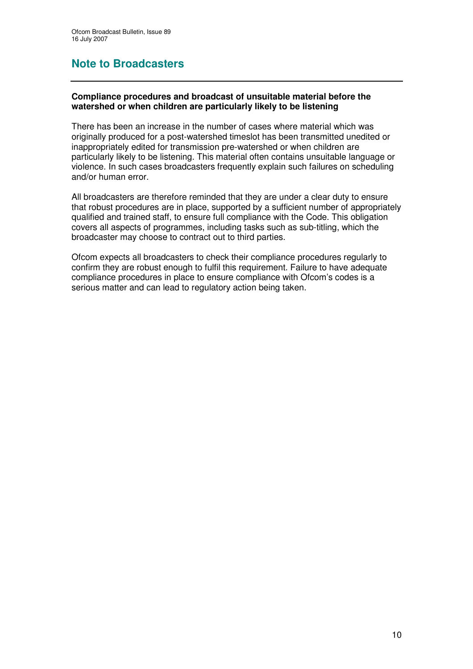# **Note to Broadcasters**

# **Compliance procedures and broadcast of unsuitable material before the watershed or when children are particularly likely to be listening**

There has been an increase in the number of cases where material which was originally produced for a post-watershed timeslot has been transmitted unedited or inappropriately edited for transmission pre-watershed or when children are particularly likely to be listening. This material often contains unsuitable language or violence. In such cases broadcasters frequently explain such failures on scheduling and/or human error.

All broadcasters are therefore reminded that they are under a clear duty to ensure that robust procedures are in place, supported by a sufficient number of appropriately qualified and trained staff, to ensure full compliance with the Code. This obligation covers all aspects of programmes, including tasks such as sub-titling, which the broadcaster may choose to contract out to third parties.

Ofcom expects all broadcasters to check their compliance procedures regularly to confirm they are robust enough to fulfil this requirement. Failure to have adequate compliance procedures in place to ensure compliance with Ofcom's codes is a serious matter and can lead to regulatory action being taken.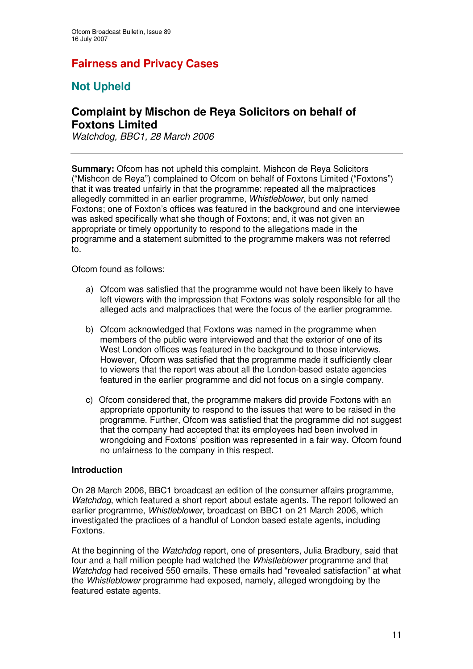# **Fairness and Privacy Cases**

# **Not Upheld**

# **Complaint by Mischon de Reya Solicitors on behalf of Foxtons Limited**

*Watchdog, BBC1, 28 March 2006*

**Summary:** Ofcom has not upheld this complaint. Mishcon de Reya Solicitors ("Mishcon de Reya") complained to Ofcom on behalf of Foxtons Limited ("Foxtons") that it was treated unfairly in that the programme: repeated all the malpractices allegedly committed in an earlier programme, *Whistleblower*, but only named Foxtons; one of Foxton's offices was featured in the background and one interviewee was asked specifically what she though of Foxtons; and, it was not given an appropriate or timely opportunity to respond to the allegations made in the programme and a statement submitted to the programme makers was not referred to.

Ofcom found as follows:

- a) Ofcom was satisfied that the programme would not have been likely to have left viewers with the impression that Foxtons was solely responsible for all the alleged acts and malpractices that were the focus of the earlier programme.
- b) Ofcom acknowledged that Foxtons was named in the programme when members of the public were interviewed and that the exterior of one of its West London offices was featured in the background to those interviews. However, Ofcom was satisfied that the programme made it sufficiently clear to viewers that the report was about all the London-based estate agencies featured in the earlier programme and did not focus on a single company.
- c) Ofcom considered that, the programme makers did provide Foxtons with an appropriate opportunity to respond to the issues that were to be raised in the programme. Further, Ofcom was satisfied that the programme did not suggest that the company had accepted that its employees had been involved in wrongdoing and Foxtons' position was represented in a fair way. Ofcom found no unfairness to the company in this respect.

# **Introduction**

On 28 March 2006, BBC1 broadcast an edition of the consumer affairs programme, *Watchdog*, which featured a short report about estate agents. The report followed an earlier programme, *Whistleblower*, broadcast on BBC1 on 21 March 2006, which investigated the practices of a handful of London based estate agents, including Foxtons.

At the beginning of the *Watchdog* report, one of presenters, Julia Bradbury, said that four and a half million people had watched the *Whistleblower* programme and that *Watchdog* had received 550 emails. These emails had "revealed satisfaction" at what the *Whistleblower* programme had exposed, namely, alleged wrongdoing by the featured estate agents.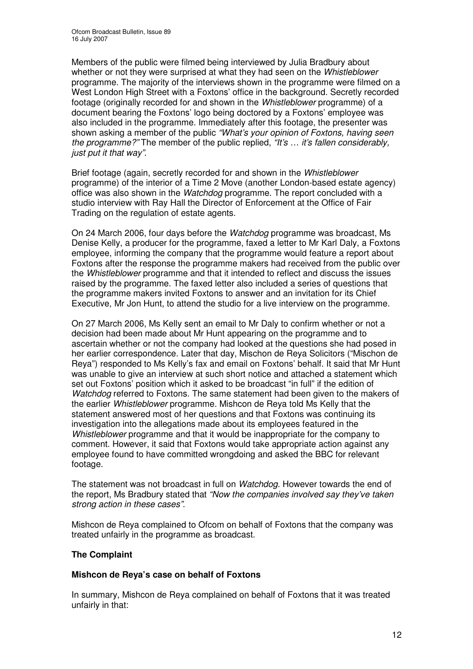Members of the public were filmed being interviewed by Julia Bradbury about whether or not they were surprised at what they had seen on the *Whistleblower* programme. The majority of the interviews shown in the programme were filmed on a West London High Street with a Foxtons' office in the background. Secretly recorded footage (originally recorded for and shown in the *Whistleblower* programme) of a document bearing the Foxtons' logo being doctored by a Foxtons' employee was also included in the programme. Immediately after this footage, the presenter was shown asking a member of the public *"What's your opinion of Foxtons, having seen the programme?"* The member of the public replied, *"It's … it's fallen considerably, just put it that way"*.

Brief footage (again, secretly recorded for and shown in the *Whistleblower* programme) of the interior of a Time 2 Move (another London-based estate agency) office was also shown in the *Watchdog* programme. The report concluded with a studio interview with Ray Hall the Director of Enforcement at the Office of Fair Trading on the regulation of estate agents.

On 24 March 2006, four days before the *Watchdog* programme was broadcast, Ms Denise Kelly, a producer for the programme, faxed a letter to Mr Karl Daly, a Foxtons employee, informing the company that the programme would feature a report about Foxtons after the response the programme makers had received from the public over the *Whistleblower* programme and that it intended to reflect and discuss the issues raised by the programme. The faxed letter also included a series of questions that the programme makers invited Foxtons to answer and an invitation for its Chief Executive, Mr Jon Hunt, to attend the studio for a live interview on the programme.

On 27 March 2006, Ms Kelly sent an email to Mr Daly to confirm whether or not a decision had been made about Mr Hunt appearing on the programme and to ascertain whether or not the company had looked at the questions she had posed in her earlier correspondence. Later that day, Mischon de Reya Solicitors ("Mischon de Reya") responded to Ms Kelly's fax and email on Foxtons' behalf. It said that Mr Hunt was unable to give an interview at such short notice and attached a statement which set out Foxtons' position which it asked to be broadcast "in full" if the edition of *Watchdog* referred to Foxtons. The same statement had been given to the makers of the earlier *Whistleblower* programme. Mishcon de Reya told Ms Kelly that the statement answered most of her questions and that Foxtons was continuing its investigation into the allegations made about its employees featured in the *Whistleblower* programme and that it would be inappropriate for the company to comment. However, it said that Foxtons would take appropriate action against any employee found to have committed wrongdoing and asked the BBC for relevant footage.

The statement was not broadcast in full on *Watchdog*. However towards the end of the report, Ms Bradbury stated that *"Now the companies involved say they've taken strong action in these cases"*.

Mishcon de Reya complained to Ofcom on behalf of Foxtons that the company was treated unfairly in the programme as broadcast.

# **The Complaint**

# **Mishcon de Reya's case on behalf of Foxtons**

In summary, Mishcon de Reya complained on behalf of Foxtons that it was treated unfairly in that: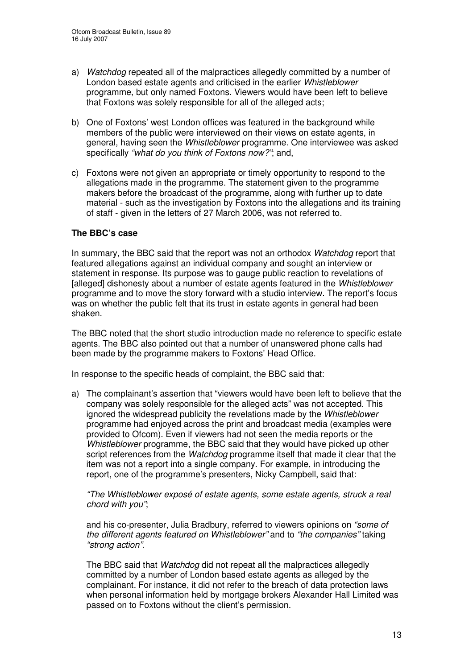- a) *Watchdog* repeated all of the malpractices allegedly committed by a number of London based estate agents and criticised in the earlier *Whistleblower* programme, but only named Foxtons. Viewers would have been left to believe that Foxtons was solely responsible for all of the alleged acts;
- b) One of Foxtons' west London offices was featured in the background while members of the public were interviewed on their views on estate agents, in general, having seen the *Whistleblower* programme. One interviewee was asked specifically *"what do you think of Foxtons now?"*; and,
- c) Foxtons were not given an appropriate or timely opportunity to respond to the allegations made in the programme. The statement given to the programme makers before the broadcast of the programme, along with further up to date material - such as the investigation by Foxtons into the allegations and its training of staff - given in the letters of 27 March 2006, was not referred to.

# **The BBC's case**

In summary, the BBC said that the report was not an orthodox *Watchdog* report that featured allegations against an individual company and sought an interview or statement in response. Its purpose was to gauge public reaction to revelations of [alleged] dishonesty about a number of estate agents featured in the *Whistleblower* programme and to move the story forward with a studio interview. The report's focus was on whether the public felt that its trust in estate agents in general had been shaken.

The BBC noted that the short studio introduction made no reference to specific estate agents. The BBC also pointed out that a number of unanswered phone calls had been made by the programme makers to Foxtons' Head Office.

In response to the specific heads of complaint, the BBC said that:

a) The complainant's assertion that "viewers would have been left to believe that the company was solely responsible for the alleged acts" was not accepted*.* This ignored the widespread publicity the revelations made by the *Whistleblower* programme had enjoyed across the print and broadcast media (examples were provided to Ofcom). Even if viewers had not seen the media reports or the *Whistleblower* programme, the BBC said that they would have picked up other script references from the *Watchdog* programme itself that made it clear that the item was not a report into a single company. For example, in introducing the report, one of the programme's presenters, Nicky Campbell, said that:

*"The Whistleblower exposé of estate agents, some estate agents, struck a real chord with you"*;

and his co-presenter, Julia Bradbury, referred to viewers opinions on *"some of the different agents featured on Whistleblower"* and to *"the companies"* taking *"strong action"*.

The BBC said that *Watchdog* did not repeat all the malpractices allegedly committed by a number of London based estate agents as alleged by the complainant*.* For instance, it did not refer to the breach of data protection laws when personal information held by mortgage brokers Alexander Hall Limited was passed on to Foxtons without the client's permission.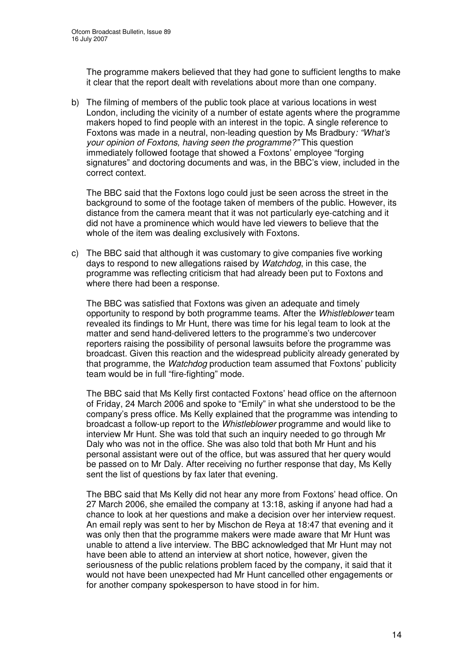The programme makers believed that they had gone to sufficient lengths to make it clear that the report dealt with revelations about more than one company.

b) The filming of members of the public took place at various locations in west London, including the vicinity of a number of estate agents where the programme makers hoped to find people with an interest in the topic. A single reference to Foxtons was made in a neutral, non-leading question by Ms Bradbury*: "What's your opinion of Foxtons, having seen the programme?"* This question immediately followed footage that showed a Foxtons' employee "forging signatures" and doctoring documents and was, in the BBC's view, included in the correct context.

The BBC said that the Foxtons logo could just be seen across the street in the background to some of the footage taken of members of the public. However, its distance from the camera meant that it was not particularly eye-catching and it did not have a prominence which would have led viewers to believe that the whole of the item was dealing exclusively with Foxtons.

c) The BBC said that although it was customary to give companies five working days to respond to new allegations raised by *Watchdog*, in this case, the programme was reflecting criticism that had already been put to Foxtons and where there had been a response.

The BBC was satisfied that Foxtons was given an adequate and timely opportunity to respond by both programme teams. After the *Whistleblower* team revealed its findings to Mr Hunt, there was time for his legal team to look at the matter and send hand-delivered letters to the programme's two undercover reporters raising the possibility of personal lawsuits before the programme was broadcast. Given this reaction and the widespread publicity already generated by that programme, the *Watchdog* production team assumed that Foxtons' publicity team would be in full "fire-fighting" mode.

The BBC said that Ms Kelly first contacted Foxtons' head office on the afternoon of Friday, 24 March 2006 and spoke to "Emily" in what she understood to be the company's press office. Ms Kelly explained that the programme was intending to broadcast a follow-up report to the *Whistleblower* programme and would like to interview Mr Hunt. She was told that such an inquiry needed to go through Mr Daly who was not in the office. She was also told that both Mr Hunt and his personal assistant were out of the office, but was assured that her query would be passed on to Mr Daly. After receiving no further response that day, Ms Kelly sent the list of questions by fax later that evening.

The BBC said that Ms Kelly did not hear any more from Foxtons' head office. On 27 March 2006, she emailed the company at 13:18, asking if anyone had had a chance to look at her questions and make a decision over her interview request. An email reply was sent to her by Mischon de Reya at 18:47 that evening and it was only then that the programme makers were made aware that Mr Hunt was unable to attend a live interview. The BBC acknowledged that Mr Hunt may not have been able to attend an interview at short notice, however, given the seriousness of the public relations problem faced by the company, it said that it would not have been unexpected had Mr Hunt cancelled other engagements or for another company spokesperson to have stood in for him.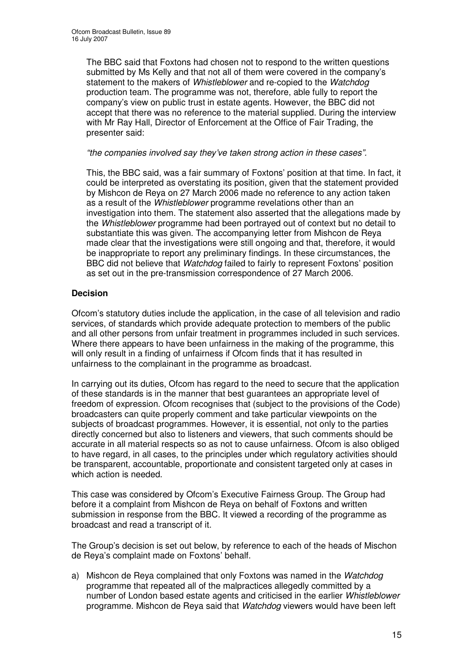The BBC said that Foxtons had chosen not to respond to the written questions submitted by Ms Kelly and that not all of them were covered in the company's statement to the makers of *Whistleblower* and re-copied to the *Watchdog* production team. The programme was not, therefore, able fully to report the company's view on public trust in estate agents. However, the BBC did not accept that there was no reference to the material supplied. During the interview with Mr Ray Hall, Director of Enforcement at the Office of Fair Trading, the presenter said:

### *"the companies involved say they've taken strong action in these cases".*

This, the BBC said, was a fair summary of Foxtons' position at that time. In fact, it could be interpreted as overstating its position, given that the statement provided by Mishcon de Reya on 27 March 2006 made no reference to any action taken as a result of the *Whistleblower* programme revelations other than an investigation into them. The statement also asserted that the allegations made by the *Whistleblower* programme had been portrayed out of context but no detail to substantiate this was given. The accompanying letter from Mishcon de Reya made clear that the investigations were still ongoing and that, therefore, it would be inappropriate to report any preliminary findings. In these circumstances, the BBC did not believe that *Watchdog* failed to fairly to represent Foxtons' position as set out in the pre-transmission correspondence of 27 March 2006.

# **Decision**

Ofcom's statutory duties include the application, in the case of all television and radio services, of standards which provide adequate protection to members of the public and all other persons from unfair treatment in programmes included in such services. Where there appears to have been unfairness in the making of the programme, this will only result in a finding of unfairness if Ofcom finds that it has resulted in unfairness to the complainant in the programme as broadcast.

In carrying out its duties, Ofcom has regard to the need to secure that the application of these standards is in the manner that best guarantees an appropriate level of freedom of expression. Ofcom recognises that (subject to the provisions of the Code) broadcasters can quite properly comment and take particular viewpoints on the subjects of broadcast programmes. However, it is essential, not only to the parties directly concerned but also to listeners and viewers, that such comments should be accurate in all material respects so as not to cause unfairness. Ofcom is also obliged to have regard, in all cases, to the principles under which regulatory activities should be transparent, accountable, proportionate and consistent targeted only at cases in which action is needed.

This case was considered by Ofcom's Executive Fairness Group. The Group had before it a complaint from Mishcon de Reya on behalf of Foxtons and written submission in response from the BBC. It viewed a recording of the programme as broadcast and read a transcript of it.

The Group's decision is set out below, by reference to each of the heads of Mischon de Reya's complaint made on Foxtons' behalf.

a) Mishcon de Reya complained that only Foxtons was named in the *Watchdog* programme that repeated all of the malpractices allegedly committed by a number of London based estate agents and criticised in the earlier *Whistleblower* programme. Mishcon de Reya said that *Watchdog* viewers would have been left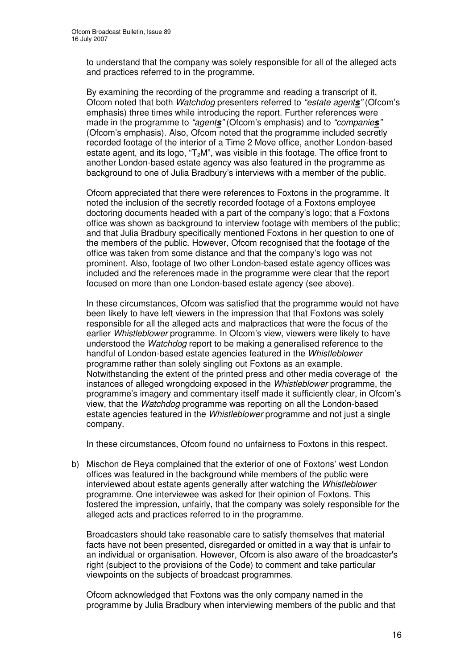to understand that the company was solely responsible for all of the alleged acts and practices referred to in the programme.

By examining the recording of the programme and reading a transcript of it, Ofcom noted that both *Watchdog* presenters referred to *"estate agents"* (Ofcom's emphasis) three times while introducing the report. Further references were made in the programme to *"agents"* (Ofcom's emphasis) and to *"companies"* (Ofcom's emphasis). Also, Ofcom noted that the programme included secretly recorded footage of the interior of a Time 2 Move office, another London-based estate agent, and its logo, " $T_2M$ ", was visible in this footage. The office front to another London-based estate agency was also featured in the programme as background to one of Julia Bradbury's interviews with a member of the public.

Ofcom appreciated that there were references to Foxtons in the programme. It noted the inclusion of the secretly recorded footage of a Foxtons employee doctoring documents headed with a part of the company's logo; that a Foxtons office was shown as background to interview footage with members of the public; and that Julia Bradbury specifically mentioned Foxtons in her question to one of the members of the public. However, Ofcom recognised that the footage of the office was taken from some distance and that the company's logo was not prominent. Also, footage of two other London-based estate agency offices was included and the references made in the programme were clear that the report focused on more than one London-based estate agency (see above).

In these circumstances, Ofcom was satisfied that the programme would not have been likely to have left viewers in the impression that that Foxtons was solely responsible for all the alleged acts and malpractices that were the focus of the earlier *Whistleblower* programme. In Ofcom's view, viewers were likely to have understood the *Watchdog* report to be making a generalised reference to the handful of London-based estate agencies featured in the *Whistleblower* programme rather than solely singling out Foxtons as an example. Notwithstanding the extent of the printed press and other media coverage of the instances of alleged wrongdoing exposed in the *Whistleblower* programme, the programme's imagery and commentary itself made it sufficiently clear, in Ofcom's view, that the *Watchdog* programme was reporting on all the London-based estate agencies featured in the *Whistleblower* programme and not just a single company.

In these circumstances, Ofcom found no unfairness to Foxtons in this respect.

b) Mischon de Reya complained that the exterior of one of Foxtons' west London offices was featured in the background while members of the public were interviewed about estate agents generally after watching the *Whistleblower* programme. One interviewee was asked for their opinion of Foxtons. This fostered the impression, unfairly, that the company was solely responsible for the alleged acts and practices referred to in the programme.

Broadcasters should take reasonable care to satisfy themselves that material facts have not been presented, disregarded or omitted in a way that is unfair to an individual or organisation. However, Ofcom is also aware of the broadcaster's right (subject to the provisions of the Code) to comment and take particular viewpoints on the subjects of broadcast programmes.

Ofcom acknowledged that Foxtons was the only company named in the programme by Julia Bradbury when interviewing members of the public and that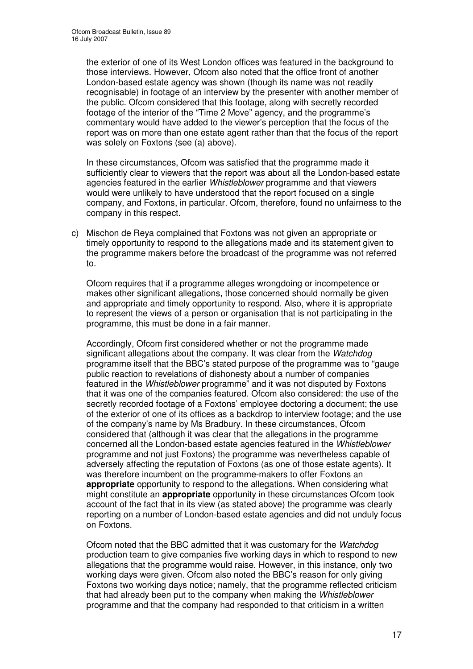the exterior of one of its West London offices was featured in the background to those interviews. However, Ofcom also noted that the office front of another London-based estate agency was shown (though its name was not readily recognisable) in footage of an interview by the presenter with another member of the public. Ofcom considered that this footage, along with secretly recorded footage of the interior of the "Time 2 Move" agency, and the programme's commentary would have added to the viewer's perception that the focus of the report was on more than one estate agent rather than that the focus of the report was solely on Foxtons (see (a) above).

In these circumstances, Ofcom was satisfied that the programme made it sufficiently clear to viewers that the report was about all the London-based estate agencies featured in the earlier *Whistleblower* programme and that viewers would were unlikely to have understood that the report focused on a single company, and Foxtons, in particular. Ofcom, therefore, found no unfairness to the company in this respect.

c) Mischon de Reya complained that Foxtons was not given an appropriate or timely opportunity to respond to the allegations made and its statement given to the programme makers before the broadcast of the programme was not referred to.

Ofcom requires that if a programme alleges wrongdoing or incompetence or makes other significant allegations, those concerned should normally be given and appropriate and timely opportunity to respond. Also, where it is appropriate to represent the views of a person or organisation that is not participating in the programme, this must be done in a fair manner.

Accordingly, Ofcom first considered whether or not the programme made significant allegations about the company. It was clear from the *Watchdog* programme itself that the BBC's stated purpose of the programme was to "gauge public reaction to revelations of dishonesty about a number of companies featured in the *Whistleblower* programme" and it was not disputed by Foxtons that it was one of the companies featured. Ofcom also considered: the use of the secretly recorded footage of a Foxtons' employee doctoring a document; the use of the exterior of one of its offices as a backdrop to interview footage; and the use of the company's name by Ms Bradbury. In these circumstances, Ofcom considered that (although it was clear that the allegations in the programme concerned all the London-based estate agencies featured in the *Whistleblower* programme and not just Foxtons) the programme was nevertheless capable of adversely affecting the reputation of Foxtons (as one of those estate agents). It was therefore incumbent on the programme-makers to offer Foxtons an **appropriate** opportunity to respond to the allegations. When considering what might constitute an **appropriate** opportunity in these circumstances Ofcom took account of the fact that in its view (as stated above) the programme was clearly reporting on a number of London-based estate agencies and did not unduly focus on Foxtons.

Ofcom noted that the BBC admitted that it was customary for the *Watchdog* production team to give companies five working days in which to respond to new allegations that the programme would raise. However, in this instance, only two working days were given. Ofcom also noted the BBC's reason for only giving Foxtons two working days notice; namely, that the programme reflected criticism that had already been put to the company when making the *Whistleblower* programme and that the company had responded to that criticism in a written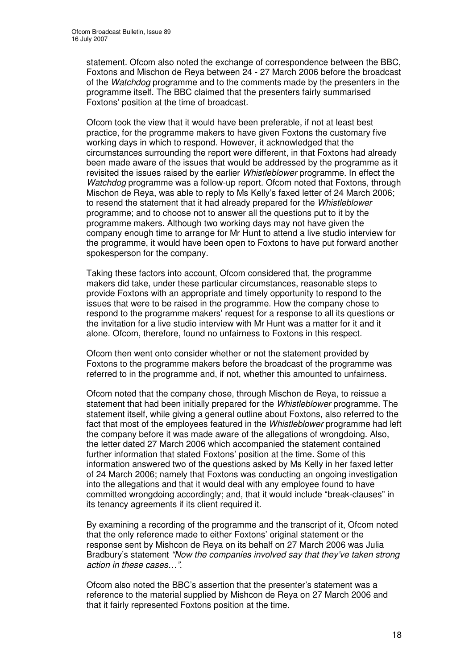statement. Ofcom also noted the exchange of correspondence between the BBC, Foxtons and Mischon de Reya between 24 - 27 March 2006 before the broadcast of the *Watchdog* programme and to the comments made by the presenters in the programme itself. The BBC claimed that the presenters fairly summarised Foxtons' position at the time of broadcast.

Ofcom took the view that it would have been preferable, if not at least best practice, for the programme makers to have given Foxtons the customary five working days in which to respond. However, it acknowledged that the circumstances surrounding the report were different, in that Foxtons had already been made aware of the issues that would be addressed by the programme as it revisited the issues raised by the earlier *Whistleblower* programme. In effect the *Watchdog* programme was a follow-up report. Ofcom noted that Foxtons, through Mischon de Reya, was able to reply to Ms Kelly's faxed letter of 24 March 2006; to resend the statement that it had already prepared for the *Whistleblower* programme; and to choose not to answer all the questions put to it by the programme makers. Although two working days may not have given the company enough time to arrange for Mr Hunt to attend a live studio interview for the programme, it would have been open to Foxtons to have put forward another spokesperson for the company.

Taking these factors into account, Ofcom considered that, the programme makers did take, under these particular circumstances, reasonable steps to provide Foxtons with an appropriate and timely opportunity to respond to the issues that were to be raised in the programme. How the company chose to respond to the programme makers' request for a response to all its questions or the invitation for a live studio interview with Mr Hunt was a matter for it and it alone. Ofcom, therefore, found no unfairness to Foxtons in this respect.

Ofcom then went onto consider whether or not the statement provided by Foxtons to the programme makers before the broadcast of the programme was referred to in the programme and, if not, whether this amounted to unfairness.

Ofcom noted that the company chose, through Mischon de Reya, to reissue a statement that had been initially prepared for the *Whistleblower* programme. The statement itself, while giving a general outline about Foxtons, also referred to the fact that most of the employees featured in the *Whistleblower* programme had left the company before it was made aware of the allegations of wrongdoing. Also, the letter dated 27 March 2006 which accompanied the statement contained further information that stated Foxtons' position at the time. Some of this information answered two of the questions asked by Ms Kelly in her faxed letter of 24 March 2006; namely that Foxtons was conducting an ongoing investigation into the allegations and that it would deal with any employee found to have committed wrongdoing accordingly; and, that it would include "break-clauses" in its tenancy agreements if its client required it.

By examining a recording of the programme and the transcript of it, Ofcom noted that the only reference made to either Foxtons' original statement or the response sent by Mishcon de Reya on its behalf on 27 March 2006 was Julia Bradbury's statement *"Now the companies involved say that they've taken strong action in these cases…"*.

Ofcom also noted the BBC's assertion that the presenter's statement was a reference to the material supplied by Mishcon de Reya on 27 March 2006 and that it fairly represented Foxtons position at the time.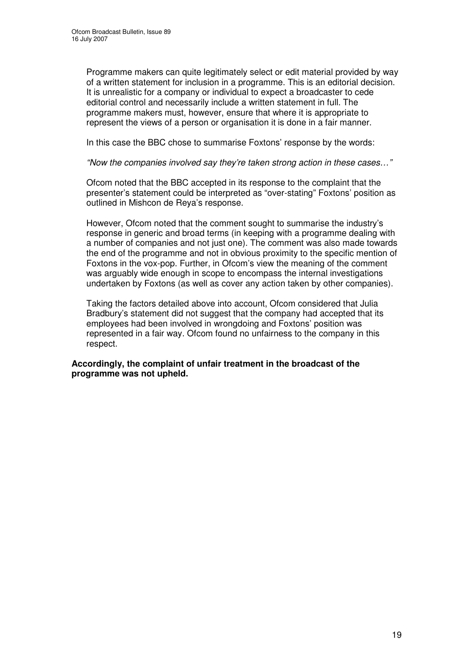Programme makers can quite legitimately select or edit material provided by way of a written statement for inclusion in a programme. This is an editorial decision. It is unrealistic for a company or individual to expect a broadcaster to cede editorial control and necessarily include a written statement in full. The programme makers must, however, ensure that where it is appropriate to represent the views of a person or organisation it is done in a fair manner.

In this case the BBC chose to summarise Foxtons' response by the words:

*"Now the companies involved say they're taken strong action in these cases…"*

Ofcom noted that the BBC accepted in its response to the complaint that the presenter's statement could be interpreted as "over-stating" Foxtons' position as outlined in Mishcon de Reya's response.

However, Ofcom noted that the comment sought to summarise the industry's response in generic and broad terms (in keeping with a programme dealing with a number of companies and not just one). The comment was also made towards the end of the programme and not in obvious proximity to the specific mention of Foxtons in the vox-pop. Further, in Ofcom's view the meaning of the comment was arguably wide enough in scope to encompass the internal investigations undertaken by Foxtons (as well as cover any action taken by other companies).

Taking the factors detailed above into account, Ofcom considered that Julia Bradbury's statement did not suggest that the company had accepted that its employees had been involved in wrongdoing and Foxtons' position was represented in a fair way. Ofcom found no unfairness to the company in this respect.

**Accordingly, the complaint of unfair treatment in the broadcast of the programme was not upheld.**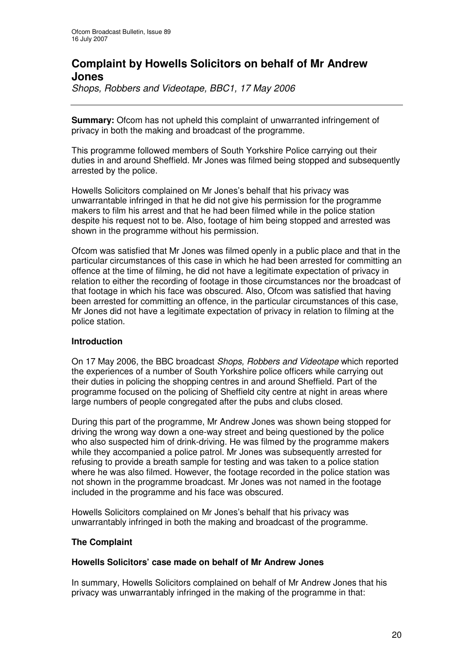# **Complaint by Howells Solicitors on behalf of Mr Andrew Jones**

*Shops, Robbers and Videotape, BBC1, 17 May 2006*

**Summary:** Ofcom has not upheld this complaint of unwarranted infringement of privacy in both the making and broadcast of the programme.

This programme followed members of South Yorkshire Police carrying out their duties in and around Sheffield. Mr Jones was filmed being stopped and subsequently arrested by the police.

Howells Solicitors complained on Mr Jones's behalf that his privacy was unwarrantable infringed in that he did not give his permission for the programme makers to film his arrest and that he had been filmed while in the police station despite his request not to be. Also, footage of him being stopped and arrested was shown in the programme without his permission.

Ofcom was satisfied that Mr Jones was filmed openly in a public place and that in the particular circumstances of this case in which he had been arrested for committing an offence at the time of filming, he did not have a legitimate expectation of privacy in relation to either the recording of footage in those circumstances nor the broadcast of that footage in which his face was obscured. Also, Ofcom was satisfied that having been arrested for committing an offence, in the particular circumstances of this case, Mr Jones did not have a legitimate expectation of privacy in relation to filming at the police station.

# **Introduction**

On 17 May 2006, the BBC broadcast *Shops, Robbers and Videotape* which reported the experiences of a number of South Yorkshire police officers while carrying out their duties in policing the shopping centres in and around Sheffield. Part of the programme focused on the policing of Sheffield city centre at night in areas where large numbers of people congregated after the pubs and clubs closed.

During this part of the programme, Mr Andrew Jones was shown being stopped for driving the wrong way down a one-way street and being questioned by the police who also suspected him of drink-driving. He was filmed by the programme makers while they accompanied a police patrol. Mr Jones was subsequently arrested for refusing to provide a breath sample for testing and was taken to a police station where he was also filmed. However, the footage recorded in the police station was not shown in the programme broadcast. Mr Jones was not named in the footage included in the programme and his face was obscured.

Howells Solicitors complained on Mr Jones's behalf that his privacy was unwarrantably infringed in both the making and broadcast of the programme.

# **The Complaint**

# **Howells Solicitors' case made on behalf of Mr Andrew Jones**

In summary, Howells Solicitors complained on behalf of Mr Andrew Jones that his privacy was unwarrantably infringed in the making of the programme in that: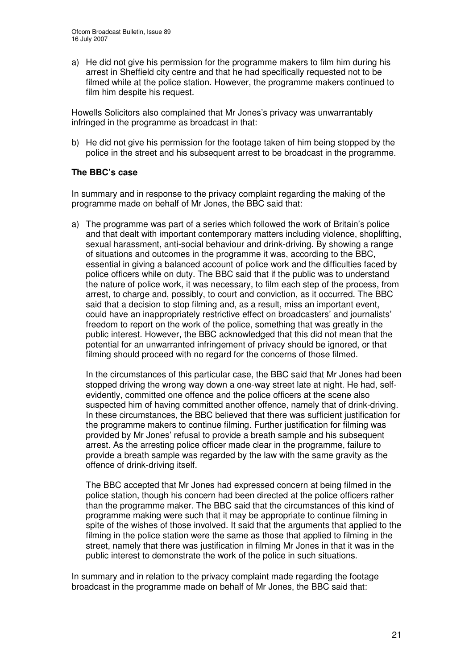a) He did not give his permission for the programme makers to film him during his arrest in Sheffield city centre and that he had specifically requested not to be filmed while at the police station. However, the programme makers continued to film him despite his request.

Howells Solicitors also complained that Mr Jones's privacy was unwarrantably infringed in the programme as broadcast in that:

b) He did not give his permission for the footage taken of him being stopped by the police in the street and his subsequent arrest to be broadcast in the programme.

# **The BBC's case**

In summary and in response to the privacy complaint regarding the making of the programme made on behalf of Mr Jones, the BBC said that:

a) The programme was part of a series which followed the work of Britain's police and that dealt with important contemporary matters including violence, shoplifting, sexual harassment, anti-social behaviour and drink-driving. By showing a range of situations and outcomes in the programme it was, according to the BBC, essential in giving a balanced account of police work and the difficulties faced by police officers while on duty. The BBC said that if the public was to understand the nature of police work, it was necessary, to film each step of the process, from arrest, to charge and, possibly, to court and conviction, as it occurred. The BBC said that a decision to stop filming and, as a result, miss an important event, could have an inappropriately restrictive effect on broadcasters' and journalists' freedom to report on the work of the police, something that was greatly in the public interest. However, the BBC acknowledged that this did not mean that the potential for an unwarranted infringement of privacy should be ignored, or that filming should proceed with no regard for the concerns of those filmed.

In the circumstances of this particular case, the BBC said that Mr Jones had been stopped driving the wrong way down a one-way street late at night. He had, selfevidently, committed one offence and the police officers at the scene also suspected him of having committed another offence, namely that of drink-driving. In these circumstances, the BBC believed that there was sufficient justification for the programme makers to continue filming. Further justification for filming was provided by Mr Jones' refusal to provide a breath sample and his subsequent arrest. As the arresting police officer made clear in the programme, failure to provide a breath sample was regarded by the law with the same gravity as the offence of drink-driving itself.

The BBC accepted that Mr Jones had expressed concern at being filmed in the police station, though his concern had been directed at the police officers rather than the programme maker. The BBC said that the circumstances of this kind of programme making were such that it may be appropriate to continue filming in spite of the wishes of those involved. It said that the arguments that applied to the filming in the police station were the same as those that applied to filming in the street, namely that there was justification in filming Mr Jones in that it was in the public interest to demonstrate the work of the police in such situations.

In summary and in relation to the privacy complaint made regarding the footage broadcast in the programme made on behalf of Mr Jones, the BBC said that: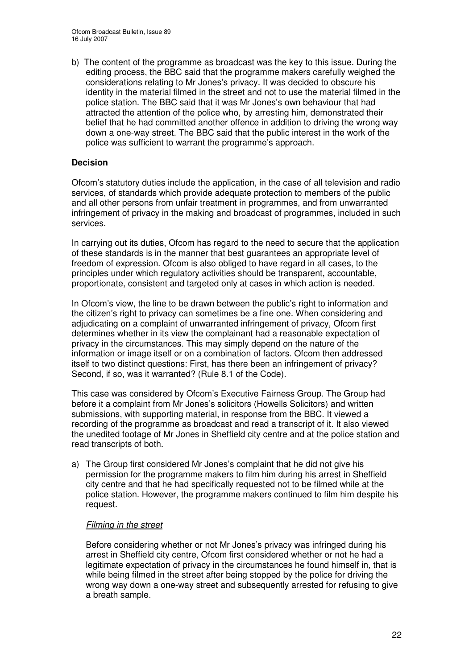b) The content of the programme as broadcast was the key to this issue. During the editing process, the BBC said that the programme makers carefully weighed the considerations relating to Mr Jones's privacy. It was decided to obscure his identity in the material filmed in the street and not to use the material filmed in the police station. The BBC said that it was Mr Jones's own behaviour that had attracted the attention of the police who, by arresting him, demonstrated their belief that he had committed another offence in addition to driving the wrong way down a one-way street. The BBC said that the public interest in the work of the police was sufficient to warrant the programme's approach.

# **Decision**

Ofcom's statutory duties include the application, in the case of all television and radio services, of standards which provide adequate protection to members of the public and all other persons from unfair treatment in programmes, and from unwarranted infringement of privacy in the making and broadcast of programmes, included in such services.

In carrying out its duties, Ofcom has regard to the need to secure that the application of these standards is in the manner that best guarantees an appropriate level of freedom of expression. Ofcom is also obliged to have regard in all cases, to the principles under which regulatory activities should be transparent, accountable, proportionate, consistent and targeted only at cases in which action is needed.

In Ofcom's view, the line to be drawn between the public's right to information and the citizen's right to privacy can sometimes be a fine one. When considering and adjudicating on a complaint of unwarranted infringement of privacy, Ofcom first determines whether in its view the complainant had a reasonable expectation of privacy in the circumstances. This may simply depend on the nature of the information or image itself or on a combination of factors. Ofcom then addressed itself to two distinct questions: First, has there been an infringement of privacy? Second, if so, was it warranted? (Rule 8.1 of the Code).

This case was considered by Ofcom's Executive Fairness Group. The Group had before it a complaint from Mr Jones's solicitors (Howells Solicitors) and written submissions, with supporting material, in response from the BBC. It viewed a recording of the programme as broadcast and read a transcript of it. It also viewed the unedited footage of Mr Jones in Sheffield city centre and at the police station and read transcripts of both.

a) The Group first considered Mr Jones's complaint that he did not give his permission for the programme makers to film him during his arrest in Sheffield city centre and that he had specifically requested not to be filmed while at the police station. However, the programme makers continued to film him despite his request.

# *Filming in the street*

Before considering whether or not Mr Jones's privacy was infringed during his arrest in Sheffield city centre, Ofcom first considered whether or not he had a legitimate expectation of privacy in the circumstances he found himself in, that is while being filmed in the street after being stopped by the police for driving the wrong way down a one-way street and subsequently arrested for refusing to give a breath sample.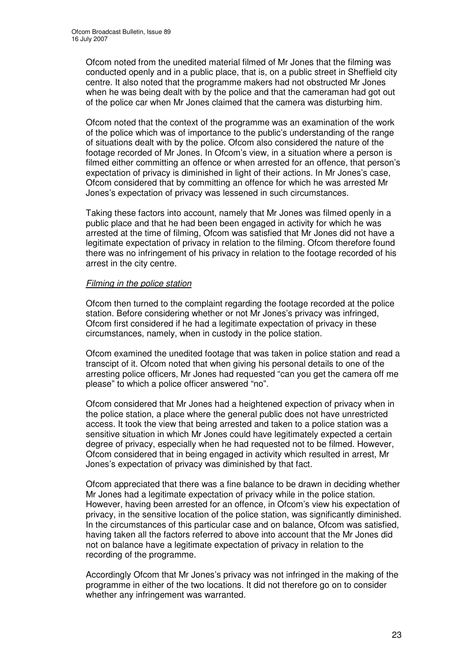Ofcom noted from the unedited material filmed of Mr Jones that the filming was conducted openly and in a public place, that is, on a public street in Sheffield city centre. It also noted that the programme makers had not obstructed Mr Jones when he was being dealt with by the police and that the cameraman had got out of the police car when Mr Jones claimed that the camera was disturbing him.

Ofcom noted that the context of the programme was an examination of the work of the police which was of importance to the public's understanding of the range of situations dealt with by the police. Ofcom also considered the nature of the footage recorded of Mr Jones. In Ofcom's view, in a situation where a person is filmed either committing an offence or when arrested for an offence, that person's expectation of privacy is diminished in light of their actions. In Mr Jones's case, Ofcom considered that by committing an offence for which he was arrested Mr Jones's expectation of privacy was lessened in such circumstances.

Taking these factors into account, namely that Mr Jones was filmed openly in a public place and that he had been been engaged in activity for which he was arrested at the time of filming, Ofcom was satisfied that Mr Jones did not have a legitimate expectation of privacy in relation to the filming. Ofcom therefore found there was no infringement of his privacy in relation to the footage recorded of his arrest in the city centre.

# *Filming in the police station*

Ofcom then turned to the complaint regarding the footage recorded at the police station. Before considering whether or not Mr Jones's privacy was infringed, Ofcom first considered if he had a legitimate expectation of privacy in these circumstances, namely, when in custody in the police station.

Ofcom examined the unedited footage that was taken in police station and read a transcipt of it. Ofcom noted that when giving his personal details to one of the arresting police officers, Mr Jones had requested "can you get the camera off me please" to which a police officer answered "no".

Ofcom considered that Mr Jones had a heightened expection of privacy when in the police station, a place where the general public does not have unrestricted access. It took the view that being arrested and taken to a police station was a sensitive situation in which Mr Jones could have legitimately expected a certain degree of privacy, especially when he had requested not to be filmed. However, Ofcom considered that in being engaged in activity which resulted in arrest, Mr Jones's expectation of privacy was diminished by that fact.

Ofcom appreciated that there was a fine balance to be drawn in deciding whether Mr Jones had a legitimate expectation of privacy while in the police station. However, having been arrested for an offence, in Ofcom's view his expectation of privacy, in the sensitive location of the police station, was significantly diminished. In the circumstances of this particular case and on balance, Ofcom was satisfied, having taken all the factors referred to above into account that the Mr Jones did not on balance have a legitimate expectation of privacy in relation to the recording of the programme.

Accordingly Ofcom that Mr Jones's privacy was not infringed in the making of the programme in either of the two locations. It did not therefore go on to consider whether any infringement was warranted.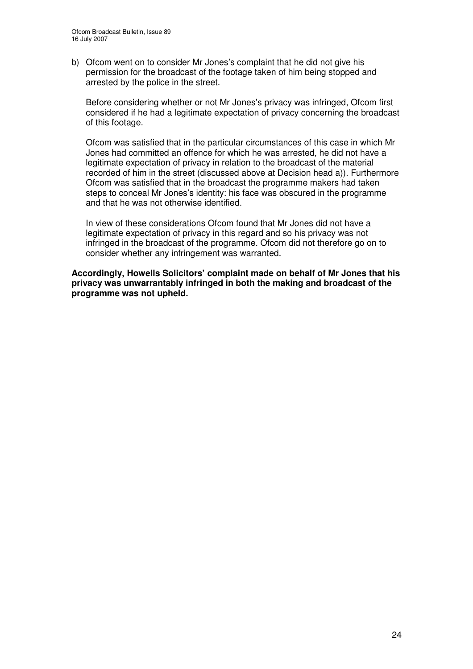b) Ofcom went on to consider Mr Jones's complaint that he did not give his permission for the broadcast of the footage taken of him being stopped and arrested by the police in the street.

Before considering whether or not Mr Jones's privacy was infringed, Ofcom first considered if he had a legitimate expectation of privacy concerning the broadcast of this footage.

Ofcom was satisfied that in the particular circumstances of this case in which Mr Jones had committed an offence for which he was arrested, he did not have a legitimate expectation of privacy in relation to the broadcast of the material recorded of him in the street (discussed above at Decision head a)). Furthermore Ofcom was satisfied that in the broadcast the programme makers had taken steps to conceal Mr Jones's identity: his face was obscured in the programme and that he was not otherwise identified.

In view of these considerations Ofcom found that Mr Jones did not have a legitimate expectation of privacy in this regard and so his privacy was not infringed in the broadcast of the programme. Ofcom did not therefore go on to consider whether any infringement was warranted.

**Accordingly, Howells Solicitors' complaint made on behalf of Mr Jones that his privacy was unwarrantably infringed in both the making and broadcast of the programme was not upheld.**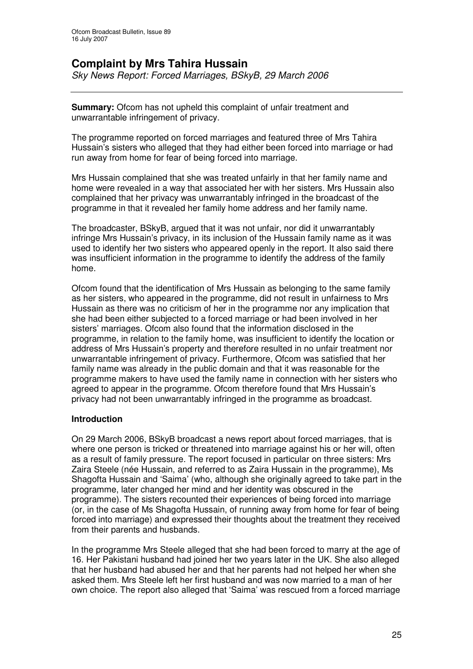# **Complaint by Mrs Tahira Hussain**

*Sky News Report: Forced Marriages, BSkyB, 29 March 2006*

**Summary:** Ofcom has not upheld this complaint of unfair treatment and unwarrantable infringement of privacy.

The programme reported on forced marriages and featured three of Mrs Tahira Hussain's sisters who alleged that they had either been forced into marriage or had run away from home for fear of being forced into marriage.

Mrs Hussain complained that she was treated unfairly in that her family name and home were revealed in a way that associated her with her sisters. Mrs Hussain also complained that her privacy was unwarrantably infringed in the broadcast of the programme in that it revealed her family home address and her family name.

The broadcaster, BSkyB, argued that it was not unfair, nor did it unwarrantably infringe Mrs Hussain's privacy, in its inclusion of the Hussain family name as it was used to identify her two sisters who appeared openly in the report. It also said there was insufficient information in the programme to identify the address of the family home.

Ofcom found that the identification of Mrs Hussain as belonging to the same family as her sisters, who appeared in the programme, did not result in unfairness to Mrs Hussain as there was no criticism of her in the programme nor any implication that she had been either subjected to a forced marriage or had been involved in her sisters' marriages. Ofcom also found that the information disclosed in the programme, in relation to the family home, was insufficient to identify the location or address of Mrs Hussain's property and therefore resulted in no unfair treatment nor unwarrantable infringement of privacy. Furthermore, Ofcom was satisfied that her family name was already in the public domain and that it was reasonable for the programme makers to have used the family name in connection with her sisters who agreed to appear in the programme. Ofcom therefore found that Mrs Hussain's privacy had not been unwarrantably infringed in the programme as broadcast.

# **Introduction**

On 29 March 2006, BSkyB broadcast a news report about forced marriages, that is where one person is tricked or threatened into marriage against his or her will, often as a result of family pressure. The report focused in particular on three sisters: Mrs Zaira Steele (née Hussain, and referred to as Zaira Hussain in the programme), Ms Shagofta Hussain and 'Saima' (who, although she originally agreed to take part in the programme, later changed her mind and her identity was obscured in the programme). The sisters recounted their experiences of being forced into marriage (or, in the case of Ms Shagofta Hussain, of running away from home for fear of being forced into marriage) and expressed their thoughts about the treatment they received from their parents and husbands.

In the programme Mrs Steele alleged that she had been forced to marry at the age of 16. Her Pakistani husband had joined her two years later in the UK. She also alleged that her husband had abused her and that her parents had not helped her when she asked them. Mrs Steele left her first husband and was now married to a man of her own choice. The report also alleged that 'Saima' was rescued from a forced marriage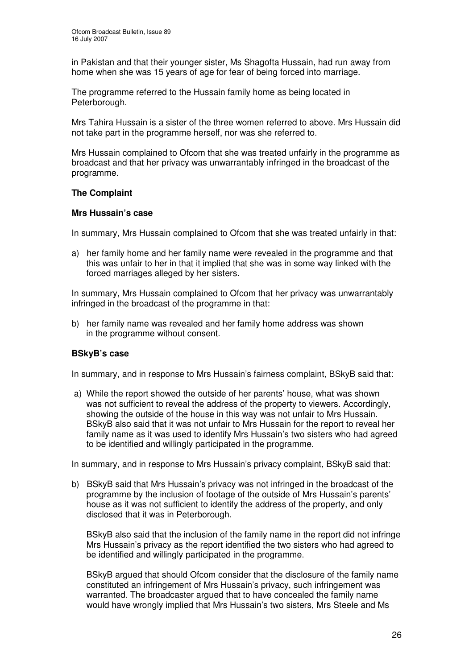in Pakistan and that their younger sister, Ms Shagofta Hussain, had run away from home when she was 15 years of age for fear of being forced into marriage.

The programme referred to the Hussain family home as being located in Peterborough.

Mrs Tahira Hussain is a sister of the three women referred to above. Mrs Hussain did not take part in the programme herself, nor was she referred to.

Mrs Hussain complained to Ofcom that she was treated unfairly in the programme as broadcast and that her privacy was unwarrantably infringed in the broadcast of the programme.

# **The Complaint**

### **Mrs Hussain's case**

In summary, Mrs Hussain complained to Ofcom that she was treated unfairly in that:

a) her family home and her family name were revealed in the programme and that this was unfair to her in that it implied that she was in some way linked with the forced marriages alleged by her sisters.

In summary, Mrs Hussain complained to Ofcom that her privacy was unwarrantably infringed in the broadcast of the programme in that:

b) her family name was revealed and her family home address was shown in the programme without consent.

# **BSkyB's case**

In summary, and in response to Mrs Hussain's fairness complaint, BSkyB said that:

a) While the report showed the outside of her parents' house, what was shown was not sufficient to reveal the address of the property to viewers. Accordingly, showing the outside of the house in this way was not unfair to Mrs Hussain. BSkyB also said that it was not unfair to Mrs Hussain for the report to reveal her family name as it was used to identify Mrs Hussain's two sisters who had agreed to be identified and willingly participated in the programme.

In summary, and in response to Mrs Hussain's privacy complaint, BSkyB said that:

b) BSkyB said that Mrs Hussain's privacy was not infringed in the broadcast of the programme by the inclusion of footage of the outside of Mrs Hussain's parents' house as it was not sufficient to identify the address of the property, and only disclosed that it was in Peterborough.

BSkyB also said that the inclusion of the family name in the report did not infringe Mrs Hussain's privacy as the report identified the two sisters who had agreed to be identified and willingly participated in the programme.

BSkyB argued that should Ofcom consider that the disclosure of the family name constituted an infringement of Mrs Hussain's privacy, such infringement was warranted. The broadcaster argued that to have concealed the family name would have wrongly implied that Mrs Hussain's two sisters, Mrs Steele and Ms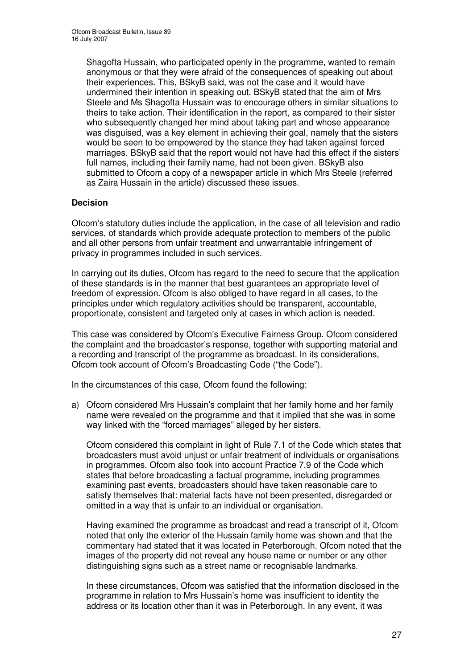Shagofta Hussain, who participated openly in the programme, wanted to remain anonymous or that they were afraid of the consequences of speaking out about their experiences. This, BSkyB said, was not the case and it would have undermined their intention in speaking out. BSkyB stated that the aim of Mrs Steele and Ms Shagofta Hussain was to encourage others in similar situations to theirs to take action. Their identification in the report, as compared to their sister who subsequently changed her mind about taking part and whose appearance was disguised, was a key element in achieving their goal, namely that the sisters would be seen to be empowered by the stance they had taken against forced marriages. BSkyB said that the report would not have had this effect if the sisters' full names, including their family name, had not been given. BSkyB also submitted to Ofcom a copy of a newspaper article in which Mrs Steele (referred as Zaira Hussain in the article) discussed these issues.

# **Decision**

Ofcom's statutory duties include the application, in the case of all television and radio services, of standards which provide adequate protection to members of the public and all other persons from unfair treatment and unwarrantable infringement of privacy in programmes included in such services.

In carrying out its duties, Ofcom has regard to the need to secure that the application of these standards is in the manner that best guarantees an appropriate level of freedom of expression. Ofcom is also obliged to have regard in all cases, to the principles under which regulatory activities should be transparent, accountable, proportionate, consistent and targeted only at cases in which action is needed.

This case was considered by Ofcom's Executive Fairness Group. Ofcom considered the complaint and the broadcaster's response, together with supporting material and a recording and transcript of the programme as broadcast. In its considerations, Ofcom took account of Ofcom's Broadcasting Code ("the Code").

In the circumstances of this case, Ofcom found the following:

a) Ofcom considered Mrs Hussain's complaint that her family home and her family name were revealed on the programme and that it implied that she was in some way linked with the "forced marriages" alleged by her sisters.

Ofcom considered this complaint in light of Rule 7.1 of the Code which states that broadcasters must avoid unjust or unfair treatment of individuals or organisations in programmes. Ofcom also took into account Practice 7.9 of the Code which states that before broadcasting a factual programme, including programmes examining past events, broadcasters should have taken reasonable care to satisfy themselves that: material facts have not been presented, disregarded or omitted in a way that is unfair to an individual or organisation.

Having examined the programme as broadcast and read a transcript of it, Ofcom noted that only the exterior of the Hussain family home was shown and that the commentary had stated that it was located in Peterborough. Ofcom noted that the images of the property did not reveal any house name or number or any other distinguishing signs such as a street name or recognisable landmarks.

In these circumstances, Ofcom was satisfied that the information disclosed in the programme in relation to Mrs Hussain's home was insufficient to identity the address or its location other than it was in Peterborough. In any event, it was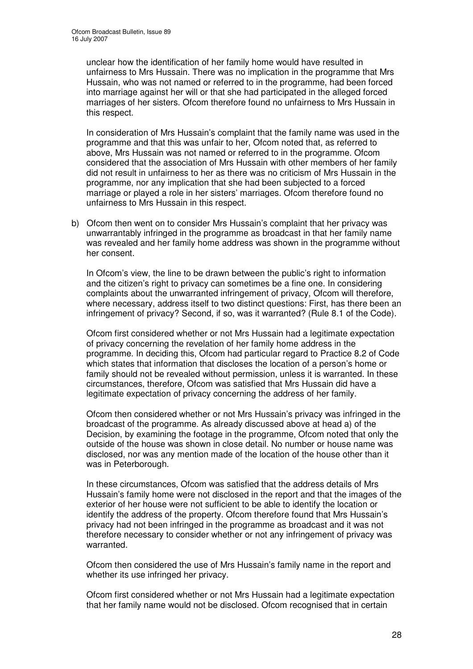unclear how the identification of her family home would have resulted in unfairness to Mrs Hussain. There was no implication in the programme that Mrs Hussain, who was not named or referred to in the programme, had been forced into marriage against her will or that she had participated in the alleged forced marriages of her sisters. Ofcom therefore found no unfairness to Mrs Hussain in this respect.

In consideration of Mrs Hussain's complaint that the family name was used in the programme and that this was unfair to her, Ofcom noted that, as referred to above, Mrs Hussain was not named or referred to in the programme. Ofcom considered that the association of Mrs Hussain with other members of her family did not result in unfairness to her as there was no criticism of Mrs Hussain in the programme, nor any implication that she had been subjected to a forced marriage or played a role in her sisters' marriages. Ofcom therefore found no unfairness to Mrs Hussain in this respect.

b) Ofcom then went on to consider Mrs Hussain's complaint that her privacy was unwarrantably infringed in the programme as broadcast in that her family name was revealed and her family home address was shown in the programme without her consent.

In Ofcom's view, the line to be drawn between the public's right to information and the citizen's right to privacy can sometimes be a fine one. In considering complaints about the unwarranted infringement of privacy, Ofcom will therefore, where necessary, address itself to two distinct questions: First, has there been an infringement of privacy? Second, if so, was it warranted? (Rule 8.1 of the Code).

Ofcom first considered whether or not Mrs Hussain had a legitimate expectation of privacy concerning the revelation of her family home address in the programme. In deciding this, Ofcom had particular regard to Practice 8.2 of Code which states that information that discloses the location of a person's home or family should not be revealed without permission, unless it is warranted. In these circumstances, therefore, Ofcom was satisfied that Mrs Hussain did have a legitimate expectation of privacy concerning the address of her family.

Ofcom then considered whether or not Mrs Hussain's privacy was infringed in the broadcast of the programme. As already discussed above at head a) of the Decision, by examining the footage in the programme, Ofcom noted that only the outside of the house was shown in close detail. No number or house name was disclosed, nor was any mention made of the location of the house other than it was in Peterborough.

In these circumstances, Ofcom was satisfied that the address details of Mrs Hussain's family home were not disclosed in the report and that the images of the exterior of her house were not sufficient to be able to identify the location or identify the address of the property. Ofcom therefore found that Mrs Hussain's privacy had not been infringed in the programme as broadcast and it was not therefore necessary to consider whether or not any infringement of privacy was warranted.

Ofcom then considered the use of Mrs Hussain's family name in the report and whether its use infringed her privacy.

Ofcom first considered whether or not Mrs Hussain had a legitimate expectation that her family name would not be disclosed. Ofcom recognised that in certain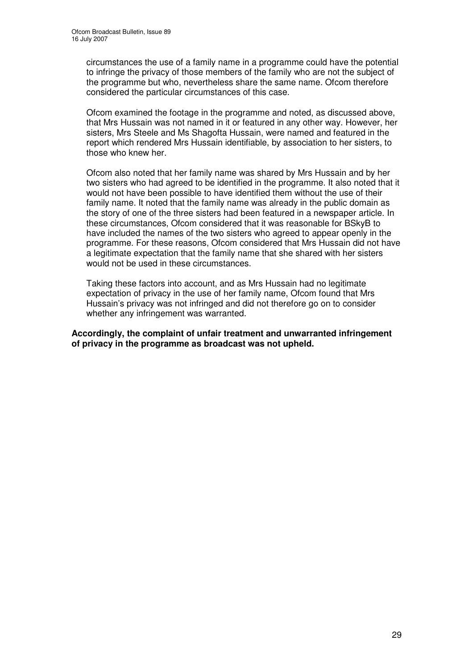circumstances the use of a family name in a programme could have the potential to infringe the privacy of those members of the family who are not the subject of the programme but who, nevertheless share the same name. Ofcom therefore considered the particular circumstances of this case.

Ofcom examined the footage in the programme and noted, as discussed above, that Mrs Hussain was not named in it or featured in any other way. However, her sisters, Mrs Steele and Ms Shagofta Hussain, were named and featured in the report which rendered Mrs Hussain identifiable, by association to her sisters, to those who knew her.

Ofcom also noted that her family name was shared by Mrs Hussain and by her two sisters who had agreed to be identified in the programme. It also noted that it would not have been possible to have identified them without the use of their family name. It noted that the family name was already in the public domain as the story of one of the three sisters had been featured in a newspaper article. In these circumstances, Ofcom considered that it was reasonable for BSkyB to have included the names of the two sisters who agreed to appear openly in the programme. For these reasons, Ofcom considered that Mrs Hussain did not have a legitimate expectation that the family name that she shared with her sisters would not be used in these circumstances.

Taking these factors into account, and as Mrs Hussain had no legitimate expectation of privacy in the use of her family name, Ofcom found that Mrs Hussain's privacy was not infringed and did not therefore go on to consider whether any infringement was warranted.

**Accordingly, the complaint of unfair treatment and unwarranted infringement of privacy in the programme as broadcast was not upheld.**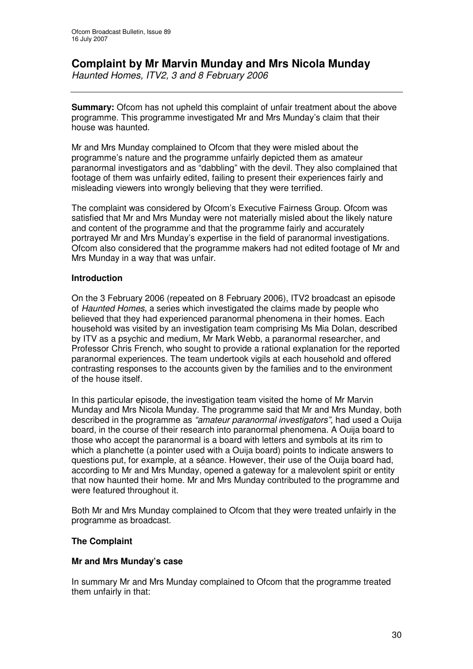# **Complaint by Mr Marvin Munday and Mrs Nicola Munday**

*Haunted Homes, ITV2, 3 and 8 February 2006*

**Summary:** Ofcom has not upheld this complaint of unfair treatment about the above programme. This programme investigated Mr and Mrs Munday's claim that their house was haunted.

Mr and Mrs Munday complained to Ofcom that they were misled about the programme's nature and the programme unfairly depicted them as amateur paranormal investigators and as "dabbling" with the devil. They also complained that footage of them was unfairly edited, failing to present their experiences fairly and misleading viewers into wrongly believing that they were terrified.

The complaint was considered by Ofcom's Executive Fairness Group. Ofcom was satisfied that Mr and Mrs Munday were not materially misled about the likely nature and content of the programme and that the programme fairly and accurately portrayed Mr and Mrs Munday's expertise in the field of paranormal investigations. Ofcom also considered that the programme makers had not edited footage of Mr and Mrs Munday in a way that was unfair.

# **Introduction**

On the 3 February 2006 (repeated on 8 February 2006), ITV2 broadcast an episode of *Haunted Homes*, a series which investigated the claims made by people who believed that they had experienced paranormal phenomena in their homes. Each household was visited by an investigation team comprising Ms Mia Dolan, described by ITV as a psychic and medium, Mr Mark Webb, a paranormal researcher, and Professor Chris French, who sought to provide a rational explanation for the reported paranormal experiences. The team undertook vigils at each household and offered contrasting responses to the accounts given by the families and to the environment of the house itself.

In this particular episode, the investigation team visited the home of Mr Marvin Munday and Mrs Nicola Munday. The programme said that Mr and Mrs Munday, both described in the programme as *"amateur paranormal investigators"*, had used a Ouija board, in the course of their research into paranormal phenomena. A Ouija board to those who accept the paranormal is a board with letters and symbols at its rim to which a planchette (a pointer used with a Ouija board) points to indicate answers to questions put, for example, at a séance. However, their use of the Ouija board had, according to Mr and Mrs Munday, opened a gateway for a malevolent spirit or entity that now haunted their home. Mr and Mrs Munday contributed to the programme and were featured throughout it.

Both Mr and Mrs Munday complained to Ofcom that they were treated unfairly in the programme as broadcast.

# **The Complaint**

# **Mr and Mrs Munday's case**

In summary Mr and Mrs Munday complained to Ofcom that the programme treated them unfairly in that: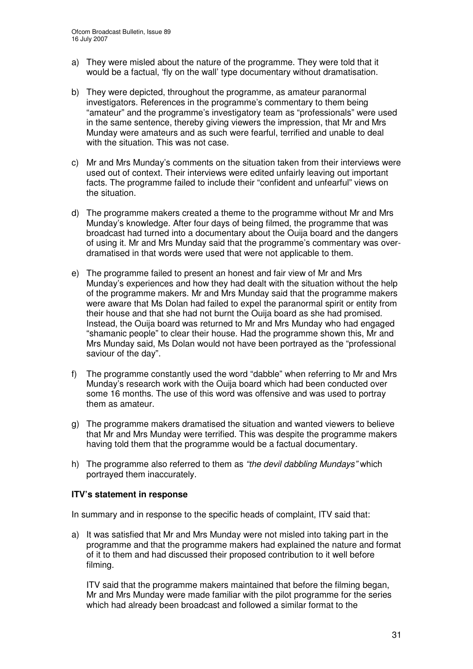- a) They were misled about the nature of the programme. They were told that it would be a factual, 'fly on the wall' type documentary without dramatisation.
- b) They were depicted, throughout the programme, as amateur paranormal investigators. References in the programme's commentary to them being "amateur" and the programme's investigatory team as "professionals" were used in the same sentence, thereby giving viewers the impression, that Mr and Mrs Munday were amateurs and as such were fearful, terrified and unable to deal with the situation. This was not case.
- c) Mr and Mrs Munday's comments on the situation taken from their interviews were used out of context. Their interviews were edited unfairly leaving out important facts. The programme failed to include their "confident and unfearful" views on the situation.
- d) The programme makers created a theme to the programme without Mr and Mrs Munday's knowledge. After four days of being filmed, the programme that was broadcast had turned into a documentary about the Ouija board and the dangers of using it. Mr and Mrs Munday said that the programme's commentary was overdramatised in that words were used that were not applicable to them.
- e) The programme failed to present an honest and fair view of Mr and Mrs Munday's experiences and how they had dealt with the situation without the help of the programme makers. Mr and Mrs Munday said that the programme makers were aware that Ms Dolan had failed to expel the paranormal spirit or entity from their house and that she had not burnt the Ouija board as she had promised. Instead, the Ouija board was returned to Mr and Mrs Munday who had engaged "shamanic people" to clear their house. Had the programme shown this, Mr and Mrs Munday said, Ms Dolan would not have been portrayed as the "professional saviour of the day".
- f) The programme constantly used the word "dabble" when referring to Mr and Mrs Munday's research work with the Ouija board which had been conducted over some 16 months. The use of this word was offensive and was used to portray them as amateur.
- g) The programme makers dramatised the situation and wanted viewers to believe that Mr and Mrs Munday were terrified. This was despite the programme makers having told them that the programme would be a factual documentary.
- h) The programme also referred to them as *"the devil dabbling Mundays"* which portrayed them inaccurately.

# **ITV's statement in response**

In summary and in response to the specific heads of complaint, ITV said that:

a) It was satisfied that Mr and Mrs Munday were not misled into taking part in the programme and that the programme makers had explained the nature and format of it to them and had discussed their proposed contribution to it well before filming.

ITV said that the programme makers maintained that before the filming began, Mr and Mrs Munday were made familiar with the pilot programme for the series which had already been broadcast and followed a similar format to the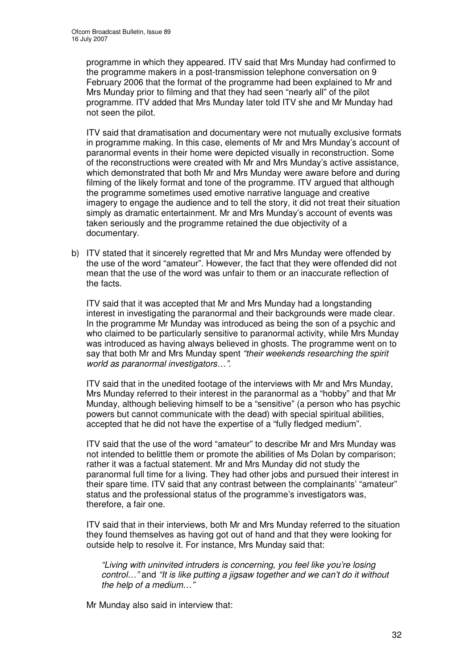programme in which they appeared. ITV said that Mrs Munday had confirmed to the programme makers in a post-transmission telephone conversation on 9 February 2006 that the format of the programme had been explained to Mr and Mrs Munday prior to filming and that they had seen "nearly all" of the pilot programme. ITV added that Mrs Munday later told ITV she and Mr Munday had not seen the pilot.

ITV said that dramatisation and documentary were not mutually exclusive formats in programme making. In this case, elements of Mr and Mrs Munday's account of paranormal events in their home were depicted visually in reconstruction. Some of the reconstructions were created with Mr and Mrs Munday's active assistance, which demonstrated that both Mr and Mrs Munday were aware before and during filming of the likely format and tone of the programme. ITV argued that although the programme sometimes used emotive narrative language and creative imagery to engage the audience and to tell the story, it did not treat their situation simply as dramatic entertainment. Mr and Mrs Munday's account of events was taken seriously and the programme retained the due objectivity of a documentary.

b) ITV stated that it sincerely regretted that Mr and Mrs Munday were offended by the use of the word "amateur". However, the fact that they were offended did not mean that the use of the word was unfair to them or an inaccurate reflection of the facts.

ITV said that it was accepted that Mr and Mrs Munday had a longstanding interest in investigating the paranormal and their backgrounds were made clear. In the programme Mr Munday was introduced as being the son of a psychic and who claimed to be particularly sensitive to paranormal activity, while Mrs Munday was introduced as having always believed in ghosts. The programme went on to say that both Mr and Mrs Munday spent *"their weekends researching the spirit world as paranormal investigators…"*.

ITV said that in the unedited footage of the interviews with Mr and Mrs Munday, Mrs Munday referred to their interest in the paranormal as a "hobby" and that Mr Munday, although believing himself to be a "sensitive" (a person who has psychic powers but cannot communicate with the dead) with special spiritual abilities, accepted that he did not have the expertise of a "fully fledged medium".

ITV said that the use of the word "amateur" to describe Mr and Mrs Munday was not intended to belittle them or promote the abilities of Ms Dolan by comparison; rather it was a factual statement. Mr and Mrs Munday did not study the paranormal full time for a living. They had other jobs and pursued their interest in their spare time. ITV said that any contrast between the complainants' "amateur" status and the professional status of the programme's investigators was, therefore, a fair one.

ITV said that in their interviews, both Mr and Mrs Munday referred to the situation they found themselves as having got out of hand and that they were looking for outside help to resolve it. For instance, Mrs Munday said that:

*"Living with uninvited intruders is concerning, you feel like you're losing control…"* and *"It is like putting a jigsaw together and we can't do it without the help of a medium…"*

Mr Munday also said in interview that: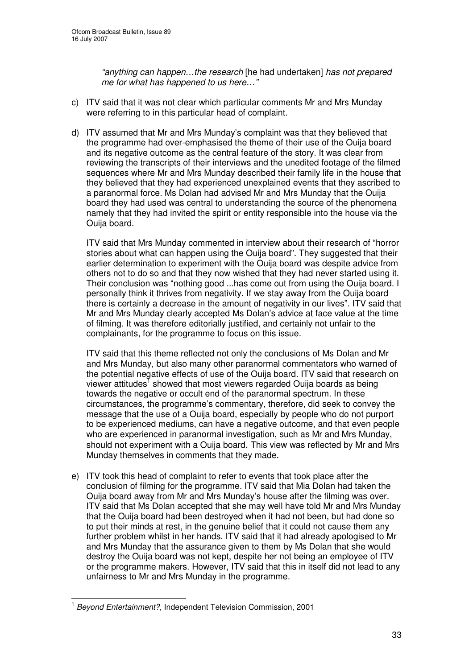*"anything can happen…the research* [he had undertaken] *has not prepared me for what has happened to us here…"*

- c) ITV said that it was not clear which particular comments Mr and Mrs Munday were referring to in this particular head of complaint.
- d) ITV assumed that Mr and Mrs Munday's complaint was that they believed that the programme had over-emphasised the theme of their use of the Ouija board and its negative outcome as the central feature of the story. It was clear from reviewing the transcripts of their interviews and the unedited footage of the filmed sequences where Mr and Mrs Munday described their family life in the house that they believed that they had experienced unexplained events that they ascribed to a paranormal force. Ms Dolan had advised Mr and Mrs Munday that the Ouija board they had used was central to understanding the source of the phenomena namely that they had invited the spirit or entity responsible into the house via the Ouija board.

ITV said that Mrs Munday commented in interview about their research of "horror stories about what can happen using the Ouija board". They suggested that their earlier determination to experiment with the Ouija board was despite advice from others not to do so and that they now wished that they had never started using it. Their conclusion was "nothing good ...has come out from using the Ouija board. I personally think it thrives from negativity. If we stay away from the Ouija board there is certainly a decrease in the amount of negativity in our lives". ITV said that Mr and Mrs Munday clearly accepted Ms Dolan's advice at face value at the time of filming. It was therefore editorially justified, and certainly not unfair to the complainants, for the programme to focus on this issue.

ITV said that this theme reflected not only the conclusions of Ms Dolan and Mr and Mrs Munday, but also many other paranormal commentators who warned of the potential negative effects of use of the Ouija board. ITV said that research on viewer attitudes<sup>1</sup> showed that most viewers regarded Ouija boards as being towards the negative or occult end of the paranormal spectrum. In these circumstances, the programme's commentary, therefore, did seek to convey the message that the use of a Ouija board, especially by people who do not purport to be experienced mediums, can have a negative outcome, and that even people who are experienced in paranormal investigation, such as Mr and Mrs Munday, should not experiment with a Ouija board. This view was reflected by Mr and Mrs Munday themselves in comments that they made.

e) ITV took this head of complaint to refer to events that took place after the conclusion of filming for the programme. ITV said that Mia Dolan had taken the Ouija board away from Mr and Mrs Munday's house after the filming was over. ITV said that Ms Dolan accepted that she may well have told Mr and Mrs Munday that the Ouija board had been destroyed when it had not been, but had done so to put their minds at rest, in the genuine belief that it could not cause them any further problem whilst in her hands. ITV said that it had already apologised to Mr and Mrs Munday that the assurance given to them by Ms Dolan that she would destroy the Ouija board was not kept, despite her not being an employee of ITV or the programme makers. However, ITV said that this in itself did not lead to any unfairness to Mr and Mrs Munday in the programme.

<sup>1</sup> *Beyond Entertainment?,* Independent Television Commission, 2001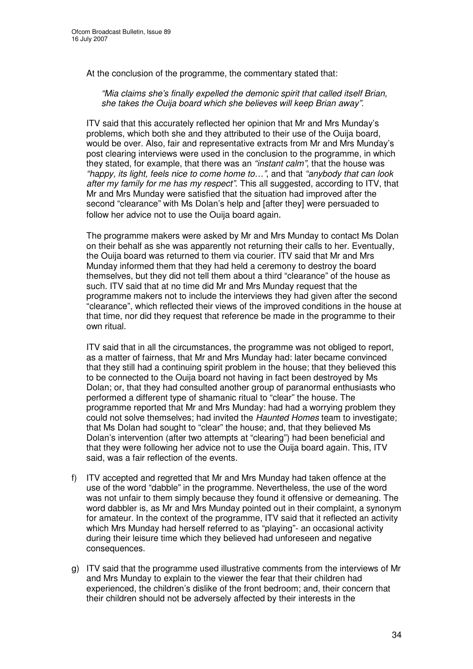At the conclusion of the programme, the commentary stated that:

*"Mia claims she's finally expelled the demonic spirit that called itself Brian, she takes the Ouija board which she believes will keep Brian away".*

ITV said that this accurately reflected her opinion that Mr and Mrs Munday's problems, which both she and they attributed to their use of the Ouija board, would be over. Also, fair and representative extracts from Mr and Mrs Munday's post clearing interviews were used in the conclusion to the programme, in which they stated, for example, that there was an *"instant calm"*, that the house was *"happy, its light, feels nice to come home to…"*, and that *"anybody that can look after my family for me has my respect"*. This all suggested, according to ITV, that Mr and Mrs Munday were satisfied that the situation had improved after the second "clearance" with Ms Dolan's help and [after they] were persuaded to follow her advice not to use the Ouija board again.

The programme makers were asked by Mr and Mrs Munday to contact Ms Dolan on their behalf as she was apparently not returning their calls to her. Eventually, the Ouija board was returned to them via courier. ITV said that Mr and Mrs Munday informed them that they had held a ceremony to destroy the board themselves, but they did not tell them about a third "clearance" of the house as such. ITV said that at no time did Mr and Mrs Munday request that the programme makers not to include the interviews they had given after the second "clearance", which reflected their views of the improved conditions in the house at that time, nor did they request that reference be made in the programme to their own ritual.

ITV said that in all the circumstances, the programme was not obliged to report, as a matter of fairness, that Mr and Mrs Munday had: later became convinced that they still had a continuing spirit problem in the house; that they believed this to be connected to the Ouija board not having in fact been destroyed by Ms Dolan; or, that they had consulted another group of paranormal enthusiasts who performed a different type of shamanic ritual to "clear" the house. The programme reported that Mr and Mrs Munday: had had a worrying problem they could not solve themselves; had invited the *Haunted Homes* team to investigate; that Ms Dolan had sought to "clear" the house; and, that they believed Ms Dolan's intervention (after two attempts at "clearing") had been beneficial and that they were following her advice not to use the Ouija board again. This, ITV said, was a fair reflection of the events.

- f) ITV accepted and regretted that Mr and Mrs Munday had taken offence at the use of the word "dabble" in the programme. Nevertheless, the use of the word was not unfair to them simply because they found it offensive or demeaning. The word dabbler is, as Mr and Mrs Munday pointed out in their complaint, a synonym for amateur. In the context of the programme, ITV said that it reflected an activity which Mrs Munday had herself referred to as "playing"- an occasional activity during their leisure time which they believed had unforeseen and negative consequences.
- g) ITV said that the programme used illustrative comments from the interviews of Mr and Mrs Munday to explain to the viewer the fear that their children had experienced, the children's dislike of the front bedroom; and, their concern that their children should not be adversely affected by their interests in the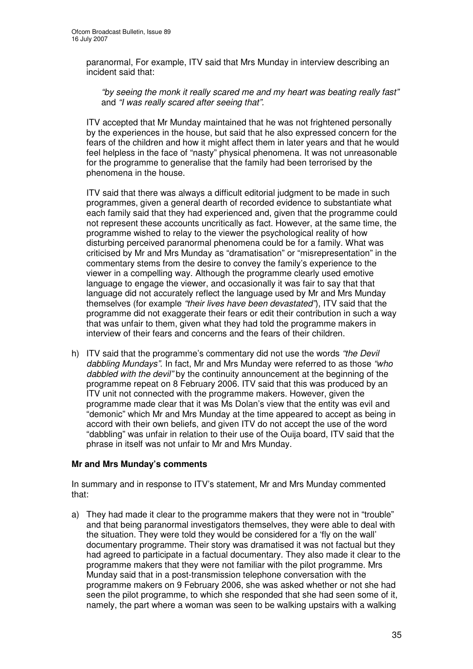paranormal, For example, ITV said that Mrs Munday in interview describing an incident said that:

*"by seeing the monk it really scared me and my heart was beating really fast"* and *"I was really scared after seeing that".*

ITV accepted that Mr Munday maintained that he was not frightened personally by the experiences in the house, but said that he also expressed concern for the fears of the children and how it might affect them in later years and that he would feel helpless in the face of "nasty" physical phenomena. It was not unreasonable for the programme to generalise that the family had been terrorised by the phenomena in the house.

ITV said that there was always a difficult editorial judgment to be made in such programmes, given a general dearth of recorded evidence to substantiate what each family said that they had experienced and, given that the programme could not represent these accounts uncritically as fact. However, at the same time, the programme wished to relay to the viewer the psychological reality of how disturbing perceived paranormal phenomena could be for a family. What was criticised by Mr and Mrs Munday as "dramatisation" or "misrepresentation" in the commentary stems from the desire to convey the family's experience to the viewer in a compelling way. Although the programme clearly used emotive language to engage the viewer, and occasionally it was fair to say that that language did not accurately reflect the language used by Mr and Mrs Munday themselves (for example *"their lives have been devastated"*), ITV said that the programme did not exaggerate their fears or edit their contribution in such a way that was unfair to them, given what they had told the programme makers in interview of their fears and concerns and the fears of their children.

h) ITV said that the programme's commentary did not use the words *"the Devil dabbling Mundays"*. In fact, Mr and Mrs Munday were referred to as those *"who dabbled with the devil"* by the continuity announcement at the beginning of the programme repeat on 8 February 2006. ITV said that this was produced by an ITV unit not connected with the programme makers. However, given the programme made clear that it was Ms Dolan's view that the entity was evil and "demonic" which Mr and Mrs Munday at the time appeared to accept as being in accord with their own beliefs, and given ITV do not accept the use of the word "dabbling" was unfair in relation to their use of the Ouija board, ITV said that the phrase in itself was not unfair to Mr and Mrs Munday.

# **Mr and Mrs Munday's comments**

In summary and in response to ITV's statement, Mr and Mrs Munday commented that:

a) They had made it clear to the programme makers that they were not in "trouble" and that being paranormal investigators themselves, they were able to deal with the situation. They were told they would be considered for a 'fly on the wall' documentary programme. Their story was dramatised it was not factual but they had agreed to participate in a factual documentary. They also made it clear to the programme makers that they were not familiar with the pilot programme. Mrs Munday said that in a post-transmission telephone conversation with the programme makers on 9 February 2006, she was asked whether or not she had seen the pilot programme, to which she responded that she had seen some of it, namely, the part where a woman was seen to be walking upstairs with a walking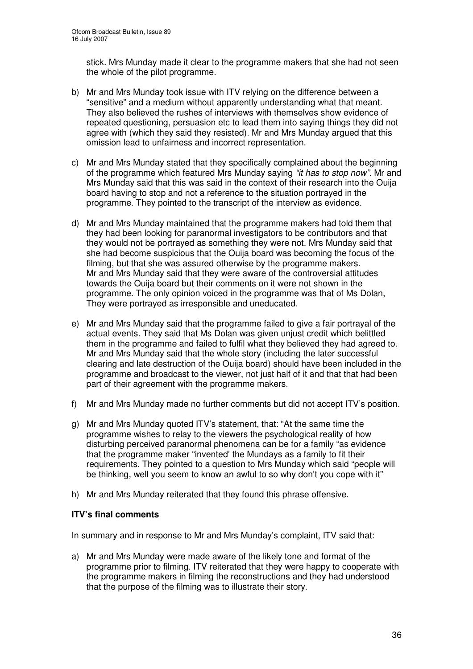stick. Mrs Munday made it clear to the programme makers that she had not seen the whole of the pilot programme.

- b) Mr and Mrs Munday took issue with ITV relying on the difference between a "sensitive" and a medium without apparently understanding what that meant. They also believed the rushes of interviews with themselves show evidence of repeated questioning, persuasion etc to lead them into saying things they did not agree with (which they said they resisted). Mr and Mrs Munday argued that this omission lead to unfairness and incorrect representation.
- c) Mr and Mrs Munday stated that they specifically complained about the beginning of the programme which featured Mrs Munday saying *"it has to stop now"*. Mr and Mrs Munday said that this was said in the context of their research into the Ouija board having to stop and not a reference to the situation portrayed in the programme. They pointed to the transcript of the interview as evidence.
- d) Mr and Mrs Munday maintained that the programme makers had told them that they had been looking for paranormal investigators to be contributors and that they would not be portrayed as something they were not. Mrs Munday said that she had become suspicious that the Ouija board was becoming the focus of the filming, but that she was assured otherwise by the programme makers. Mr and Mrs Munday said that they were aware of the controversial attitudes towards the Ouija board but their comments on it were not shown in the programme. The only opinion voiced in the programme was that of Ms Dolan, They were portrayed as irresponsible and uneducated.
- e) Mr and Mrs Munday said that the programme failed to give a fair portrayal of the actual events. They said that Ms Dolan was given unjust credit which belittled them in the programme and failed to fulfil what they believed they had agreed to. Mr and Mrs Munday said that the whole story (including the later successful clearing and late destruction of the Ouija board) should have been included in the programme and broadcast to the viewer, not just half of it and that that had been part of their agreement with the programme makers.
- f) Mr and Mrs Munday made no further comments but did not accept ITV's position.
- g) Mr and Mrs Munday quoted ITV's statement, that: "At the same time the programme wishes to relay to the viewers the psychological reality of how disturbing perceived paranormal phenomena can be for a family "as evidence that the programme maker "invented' the Mundays as a family to fit their requirements. They pointed to a question to Mrs Munday which said "people will be thinking, well you seem to know an awful to so why don't you cope with it"
- h) Mr and Mrs Munday reiterated that they found this phrase offensive.

# **ITV's final comments**

In summary and in response to Mr and Mrs Munday's complaint, ITV said that:

a) Mr and Mrs Munday were made aware of the likely tone and format of the programme prior to filming. ITV reiterated that they were happy to cooperate with the programme makers in filming the reconstructions and they had understood that the purpose of the filming was to illustrate their story.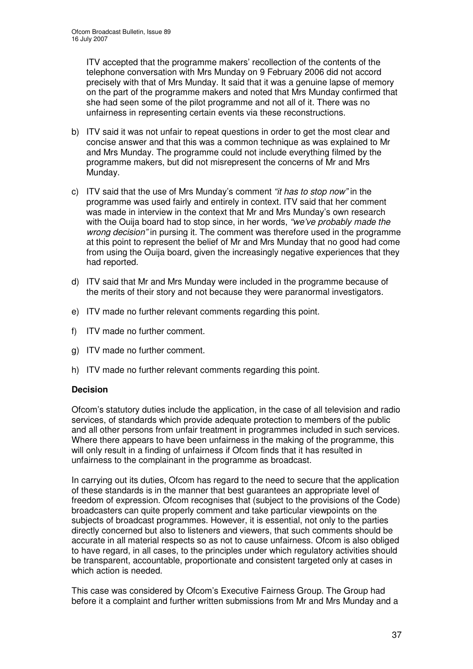ITV accepted that the programme makers' recollection of the contents of the telephone conversation with Mrs Munday on 9 February 2006 did not accord precisely with that of Mrs Munday. It said that it was a genuine lapse of memory on the part of the programme makers and noted that Mrs Munday confirmed that she had seen some of the pilot programme and not all of it. There was no unfairness in representing certain events via these reconstructions.

- b) ITV said it was not unfair to repeat questions in order to get the most clear and concise answer and that this was a common technique as was explained to Mr and Mrs Munday. The programme could not include everything filmed by the programme makers, but did not misrepresent the concerns of Mr and Mrs Munday.
- c) ITV said that the use of Mrs Munday's comment *"it has to stop now"* in the programme was used fairly and entirely in context. ITV said that her comment was made in interview in the context that Mr and Mrs Munday's own research with the Ouija board had to stop since, in her words, *"we've probably made the wrong decision"* in pursing it. The comment was therefore used in the programme at this point to represent the belief of Mr and Mrs Munday that no good had come from using the Ouija board, given the increasingly negative experiences that they had reported.
- d) ITV said that Mr and Mrs Munday were included in the programme because of the merits of their story and not because they were paranormal investigators.
- e) ITV made no further relevant comments regarding this point.
- f) ITV made no further comment.
- g) ITV made no further comment.
- h) ITV made no further relevant comments regarding this point.

# **Decision**

Ofcom's statutory duties include the application, in the case of all television and radio services, of standards which provide adequate protection to members of the public and all other persons from unfair treatment in programmes included in such services. Where there appears to have been unfairness in the making of the programme, this will only result in a finding of unfairness if Ofcom finds that it has resulted in unfairness to the complainant in the programme as broadcast.

In carrying out its duties, Ofcom has regard to the need to secure that the application of these standards is in the manner that best guarantees an appropriate level of freedom of expression. Ofcom recognises that (subject to the provisions of the Code) broadcasters can quite properly comment and take particular viewpoints on the subjects of broadcast programmes. However, it is essential, not only to the parties directly concerned but also to listeners and viewers, that such comments should be accurate in all material respects so as not to cause unfairness. Ofcom is also obliged to have regard, in all cases, to the principles under which regulatory activities should be transparent, accountable, proportionate and consistent targeted only at cases in which action is needed.

This case was considered by Ofcom's Executive Fairness Group. The Group had before it a complaint and further written submissions from Mr and Mrs Munday and a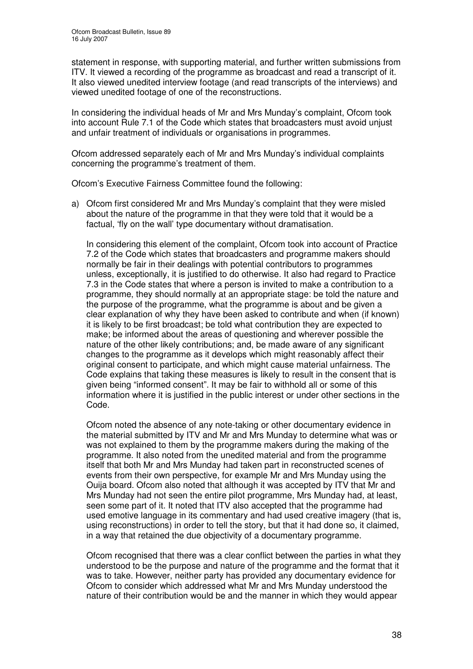statement in response, with supporting material, and further written submissions from ITV. It viewed a recording of the programme as broadcast and read a transcript of it. It also viewed unedited interview footage (and read transcripts of the interviews) and viewed unedited footage of one of the reconstructions.

In considering the individual heads of Mr and Mrs Munday's complaint, Ofcom took into account Rule 7.1 of the Code which states that broadcasters must avoid unjust and unfair treatment of individuals or organisations in programmes.

Ofcom addressed separately each of Mr and Mrs Munday's individual complaints concerning the programme's treatment of them.

Ofcom's Executive Fairness Committee found the following:

a) Ofcom first considered Mr and Mrs Munday's complaint that they were misled about the nature of the programme in that they were told that it would be a factual, 'fly on the wall' type documentary without dramatisation.

In considering this element of the complaint, Ofcom took into account of Practice 7.2 of the Code which states that broadcasters and programme makers should normally be fair in their dealings with potential contributors to programmes unless, exceptionally, it is justified to do otherwise. It also had regard to Practice 7.3 in the Code states that where a person is invited to make a contribution to a programme, they should normally at an appropriate stage: be told the nature and the purpose of the programme, what the programme is about and be given a clear explanation of why they have been asked to contribute and when (if known) it is likely to be first broadcast; be told what contribution they are expected to make; be informed about the areas of questioning and wherever possible the nature of the other likely contributions; and, be made aware of any significant changes to the programme as it develops which might reasonably affect their original consent to participate, and which might cause material unfairness. The Code explains that taking these measures is likely to result in the consent that is given being "informed consent". It may be fair to withhold all or some of this information where it is justified in the public interest or under other sections in the Code.

Ofcom noted the absence of any note-taking or other documentary evidence in the material submitted by ITV and Mr and Mrs Munday to determine what was or was not explained to them by the programme makers during the making of the programme. It also noted from the unedited material and from the programme itself that both Mr and Mrs Munday had taken part in reconstructed scenes of events from their own perspective, for example Mr and Mrs Munday using the Ouija board. Ofcom also noted that although it was accepted by ITV that Mr and Mrs Munday had not seen the entire pilot programme, Mrs Munday had, at least, seen some part of it. It noted that ITV also accepted that the programme had used emotive language in its commentary and had used creative imagery (that is, using reconstructions) in order to tell the story, but that it had done so, it claimed, in a way that retained the due objectivity of a documentary programme.

Ofcom recognised that there was a clear conflict between the parties in what they understood to be the purpose and nature of the programme and the format that it was to take. However, neither party has provided any documentary evidence for Ofcom to consider which addressed what Mr and Mrs Munday understood the nature of their contribution would be and the manner in which they would appear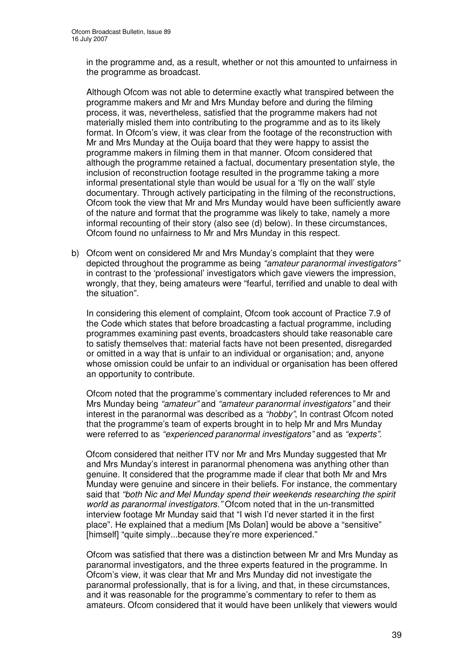in the programme and, as a result, whether or not this amounted to unfairness in the programme as broadcast.

Although Ofcom was not able to determine exactly what transpired between the programme makers and Mr and Mrs Munday before and during the filming process, it was, nevertheless, satisfied that the programme makers had not materially misled them into contributing to the programme and as to its likely format. In Ofcom's view, it was clear from the footage of the reconstruction with Mr and Mrs Munday at the Ouija board that they were happy to assist the programme makers in filming them in that manner. Ofcom considered that although the programme retained a factual, documentary presentation style, the inclusion of reconstruction footage resulted in the programme taking a more informal presentational style than would be usual for a 'fly on the wall' style documentary. Through actively participating in the filming of the reconstructions, Ofcom took the view that Mr and Mrs Munday would have been sufficiently aware of the nature and format that the programme was likely to take, namely a more informal recounting of their story (also see (d) below). In these circumstances, Ofcom found no unfairness to Mr and Mrs Munday in this respect.

b) Ofcom went on considered Mr and Mrs Munday's complaint that they were depicted throughout the programme as being *"amateur paranormal investigators"* in contrast to the 'professional' investigators which gave viewers the impression, wrongly, that they, being amateurs were "fearful, terrified and unable to deal with the situation".

In considering this element of complaint, Ofcom took account of Practice 7.9 of the Code which states that before broadcasting a factual programme, including programmes examining past events, broadcasters should take reasonable care to satisfy themselves that: material facts have not been presented, disregarded or omitted in a way that is unfair to an individual or organisation; and, anyone whose omission could be unfair to an individual or organisation has been offered an opportunity to contribute.

Ofcom noted that the programme's commentary included references to Mr and Mrs Munday being *"amateur"* and *"amateur paranormal investigators"* and their interest in the paranormal was described as a *"hobby"*, In contrast Ofcom noted that the programme's team of experts brought in to help Mr and Mrs Munday were referred to as *"experienced paranormal investigators"* and as *"experts"*.

Ofcom considered that neither ITV nor Mr and Mrs Munday suggested that Mr and Mrs Munday's interest in paranormal phenomena was anything other than genuine. It considered that the programme made if clear that both Mr and Mrs Munday were genuine and sincere in their beliefs. For instance, the commentary said that *"both Nic and Mel Munday spend their weekends researching the spirit world as paranormal investigators."* Ofcom noted that in the un-transmitted interview footage Mr Munday said that "I wish I'd never started it in the first place". He explained that a medium [Ms Dolan] would be above a "sensitive" [himself] "quite simply...because they're more experienced."

Ofcom was satisfied that there was a distinction between Mr and Mrs Munday as paranormal investigators, and the three experts featured in the programme. In Ofcom's view, it was clear that Mr and Mrs Munday did not investigate the paranormal professionally, that is for a living, and that, in these circumstances, and it was reasonable for the programme's commentary to refer to them as amateurs. Ofcom considered that it would have been unlikely that viewers would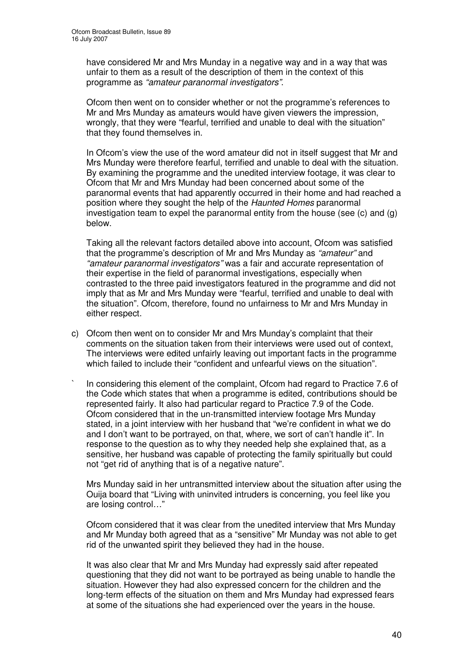have considered Mr and Mrs Munday in a negative way and in a way that was unfair to them as a result of the description of them in the context of this programme as *"amateur paranormal investigators"*.

Ofcom then went on to consider whether or not the programme's references to Mr and Mrs Munday as amateurs would have given viewers the impression, wrongly, that they were "fearful, terrified and unable to deal with the situation" that they found themselves in.

In Ofcom's view the use of the word amateur did not in itself suggest that Mr and Mrs Munday were therefore fearful, terrified and unable to deal with the situation. By examining the programme and the unedited interview footage, it was clear to Ofcom that Mr and Mrs Munday had been concerned about some of the paranormal events that had apparently occurred in their home and had reached a position where they sought the help of the *Haunted Homes* paranormal investigation team to expel the paranormal entity from the house (see  $(c)$  and  $(q)$ ) below.

Taking all the relevant factors detailed above into account, Ofcom was satisfied that the programme's description of Mr and Mrs Munday as *"amateur"* and *"amateur paranormal investigators"* was a fair and accurate representation of their expertise in the field of paranormal investigations, especially when contrasted to the three paid investigators featured in the programme and did not imply that as Mr and Mrs Munday were "fearful, terrified and unable to deal with the situation". Ofcom, therefore, found no unfairness to Mr and Mrs Munday in either respect.

- c) Ofcom then went on to consider Mr and Mrs Munday's complaint that their comments on the situation taken from their interviews were used out of context, The interviews were edited unfairly leaving out important facts in the programme which failed to include their "confident and unfearful views on the situation".
- ` In considering this element of the complaint, Ofcom had regard to Practice 7.6 of the Code which states that when a programme is edited, contributions should be represented fairly. It also had particular regard to Practice 7.9 of the Code. Ofcom considered that in the un-transmitted interview footage Mrs Munday stated, in a joint interview with her husband that "we're confident in what we do and I don't want to be portrayed, on that, where, we sort of can't handle it". In response to the question as to why they needed help she explained that, as a sensitive, her husband was capable of protecting the family spiritually but could not "get rid of anything that is of a negative nature".

Mrs Munday said in her untransmitted interview about the situation after using the Ouija board that "Living with uninvited intruders is concerning, you feel like you are losing control*…*"

Ofcom considered that it was clear from the unedited interview that Mrs Munday and Mr Munday both agreed that as a "sensitive" Mr Munday was not able to get rid of the unwanted spirit they believed they had in the house.

It was also clear that Mr and Mrs Munday had expressly said after repeated questioning that they did not want to be portrayed as being unable to handle the situation. However they had also expressed concern for the children and the long-term effects of the situation on them and Mrs Munday had expressed fears at some of the situations she had experienced over the years in the house.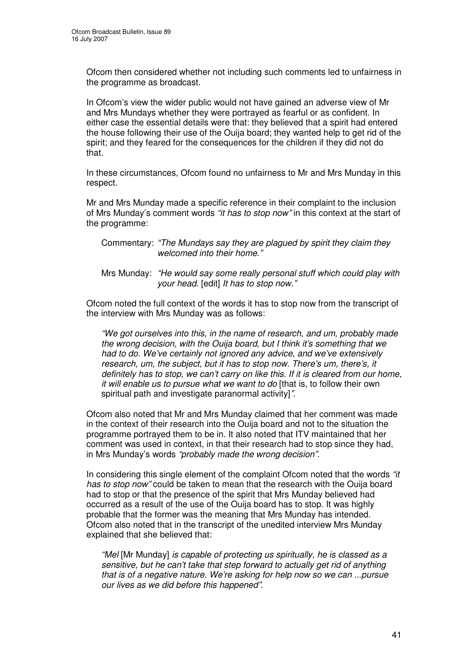Ofcom then considered whether not including such comments led to unfairness in the programme as broadcast.

In Ofcom's view the wider public would not have gained an adverse view of Mr and Mrs Mundays whether they were portrayed as fearful or as confident. In either case the essential details were that: they believed that a spirit had entered the house following their use of the Ouija board; they wanted help to get rid of the spirit; and they feared for the consequences for the children if they did not do that.

In these circumstances, Ofcom found no unfairness to Mr and Mrs Munday in this respect.

Mr and Mrs Munday made a specific reference in their complaint to the inclusion of Mrs Munday's comment words *"it has to stop now"* in this context at the start of the programme:

Commentary: *"The Mundays say they are plagued by spirit they claim they welcomed into their home."*

Mrs Munday: *"He would say some really personal stuff which could play with your head.* [edit] *It has to stop now."*

Ofcom noted the full context of the words it has to stop now from the transcript of the interview with Mrs Munday was as follows:

*"We got ourselves into this, in the name of research, and um, probably made the wrong decision, with the Ouija board, but I think it's something that we had to do. We've certainly not ignored any advice, and we've extensively research, um, the subject, but it has to stop now. There's um, there's, it definitely has to stop, we can't carry on like this. If it is cleared from our home, it will enable us to pursue what we want to do* [that is, to follow their own spiritual path and investigate paranormal activity]*"*.

Ofcom also noted that Mr and Mrs Munday claimed that her comment was made in the context of their research into the Ouija board and not to the situation the programme portrayed them to be in. It also noted that ITV maintained that her comment was used in context, in that their research had to stop since they had, in Mrs Munday's words *"probably made the wrong decision"*.

In considering this single element of the complaint Ofcom noted that the words *"it has to stop now"* could be taken to mean that the research with the Ouija board had to stop or that the presence of the spirit that Mrs Munday believed had occurred as a result of the use of the Ouija board has to stop. It was highly probable that the former was the meaning that Mrs Munday has intended. Ofcom also noted that in the transcript of the unedited interview Mrs Munday explained that she believed that:

*"Mel* [Mr Munday] *is capable of protecting us spiritually, he is classed as a sensitive, but he can't take that step forward to actually get rid of anything that is of a negative nature. We're asking for help now so we can ...pursue our lives as we did before this happened".*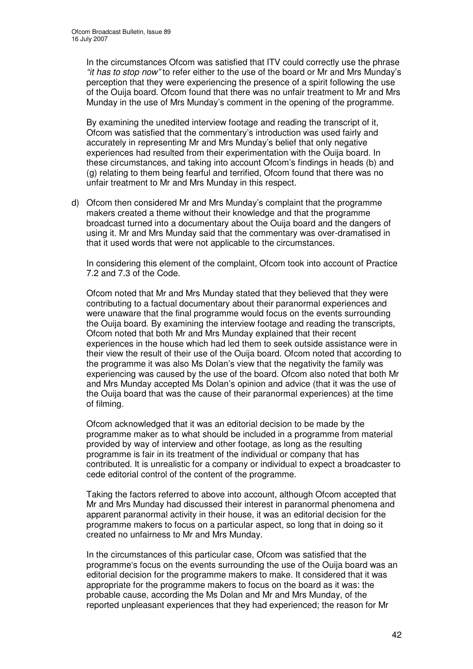In the circumstances Ofcom was satisfied that ITV could correctly use the phrase *"it has to stop now"* to refer either to the use of the board or Mr and Mrs Munday's perception that they were experiencing the presence of a spirit following the use of the Ouija board. Ofcom found that there was no unfair treatment to Mr and Mrs Munday in the use of Mrs Munday's comment in the opening of the programme.

By examining the unedited interview footage and reading the transcript of it, Ofcom was satisfied that the commentary's introduction was used fairly and accurately in representing Mr and Mrs Munday's belief that only negative experiences had resulted from their experimentation with the Ouija board. In these circumstances, and taking into account Ofcom's findings in heads (b) and (g) relating to them being fearful and terrified, Ofcom found that there was no unfair treatment to Mr and Mrs Munday in this respect.

d) Ofcom then considered Mr and Mrs Munday's complaint that the programme makers created a theme without their knowledge and that the programme broadcast turned into a documentary about the Ouija board and the dangers of using it. Mr and Mrs Munday said that the commentary was over-dramatised in that it used words that were not applicable to the circumstances.

In considering this element of the complaint, Ofcom took into account of Practice 7.2 and 7.3 of the Code.

Ofcom noted that Mr and Mrs Munday stated that they believed that they were contributing to a factual documentary about their paranormal experiences and were unaware that the final programme would focus on the events surrounding the Ouija board. By examining the interview footage and reading the transcripts, Ofcom noted that both Mr and Mrs Munday explained that their recent experiences in the house which had led them to seek outside assistance were in their view the result of their use of the Ouija board. Ofcom noted that according to the programme it was also Ms Dolan's view that the negativity the family was experiencing was caused by the use of the board. Ofcom also noted that both Mr and Mrs Munday accepted Ms Dolan's opinion and advice (that it was the use of the Ouija board that was the cause of their paranormal experiences) at the time of filming.

Ofcom acknowledged that it was an editorial decision to be made by the programme maker as to what should be included in a programme from material provided by way of interview and other footage, as long as the resulting programme is fair in its treatment of the individual or company that has contributed. It is unrealistic for a company or individual to expect a broadcaster to cede editorial control of the content of the programme.

Taking the factors referred to above into account, although Ofcom accepted that Mr and Mrs Munday had discussed their interest in paranormal phenomena and apparent paranormal activity in their house, it was an editorial decision for the programme makers to focus on a particular aspect, so long that in doing so it created no unfairness to Mr and Mrs Munday.

In the circumstances of this particular case, Ofcom was satisfied that the programme's focus on the events surrounding the use of the Ouija board was an editorial decision for the programme makers to make. It considered that it was appropriate for the programme makers to focus on the board as it was: the probable cause, according the Ms Dolan and Mr and Mrs Munday, of the reported unpleasant experiences that they had experienced; the reason for Mr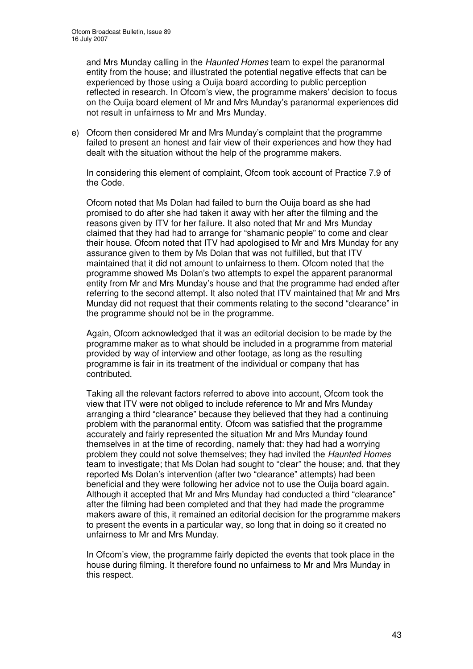and Mrs Munday calling in the *Haunted Homes* team to expel the paranormal entity from the house; and illustrated the potential negative effects that can be experienced by those using a Ouija board according to public perception reflected in research. In Ofcom's view, the programme makers' decision to focus on the Ouija board element of Mr and Mrs Munday's paranormal experiences did not result in unfairness to Mr and Mrs Munday.

e) Ofcom then considered Mr and Mrs Munday's complaint that the programme failed to present an honest and fair view of their experiences and how they had dealt with the situation without the help of the programme makers.

In considering this element of complaint, Ofcom took account of Practice 7.9 of the Code.

Ofcom noted that Ms Dolan had failed to burn the Ouija board as she had promised to do after she had taken it away with her after the filming and the reasons given by ITV for her failure. It also noted that Mr and Mrs Munday claimed that they had had to arrange for "shamanic people" to come and clear their house. Ofcom noted that ITV had apologised to Mr and Mrs Munday for any assurance given to them by Ms Dolan that was not fulfilled, but that ITV maintained that it did not amount to unfairness to them. Ofcom noted that the programme showed Ms Dolan's two attempts to expel the apparent paranormal entity from Mr and Mrs Munday's house and that the programme had ended after referring to the second attempt. It also noted that ITV maintained that Mr and Mrs Munday did not request that their comments relating to the second "clearance" in the programme should not be in the programme.

Again, Ofcom acknowledged that it was an editorial decision to be made by the programme maker as to what should be included in a programme from material provided by way of interview and other footage, as long as the resulting programme is fair in its treatment of the individual or company that has contributed.

Taking all the relevant factors referred to above into account, Ofcom took the view that ITV were not obliged to include reference to Mr and Mrs Munday arranging a third "clearance" because they believed that they had a continuing problem with the paranormal entity. Ofcom was satisfied that the programme accurately and fairly represented the situation Mr and Mrs Munday found themselves in at the time of recording, namely that: they had had a worrying problem they could not solve themselves; they had invited the *Haunted Homes* team to investigate; that Ms Dolan had sought to "clear" the house; and, that they reported Ms Dolan's intervention (after two "clearance" attempts) had been beneficial and they were following her advice not to use the Ouija board again. Although it accepted that Mr and Mrs Munday had conducted a third "clearance" after the filming had been completed and that they had made the programme makers aware of this, it remained an editorial decision for the programme makers to present the events in a particular way, so long that in doing so it created no unfairness to Mr and Mrs Munday.

In Ofcom's view, the programme fairly depicted the events that took place in the house during filming. It therefore found no unfairness to Mr and Mrs Munday in this respect.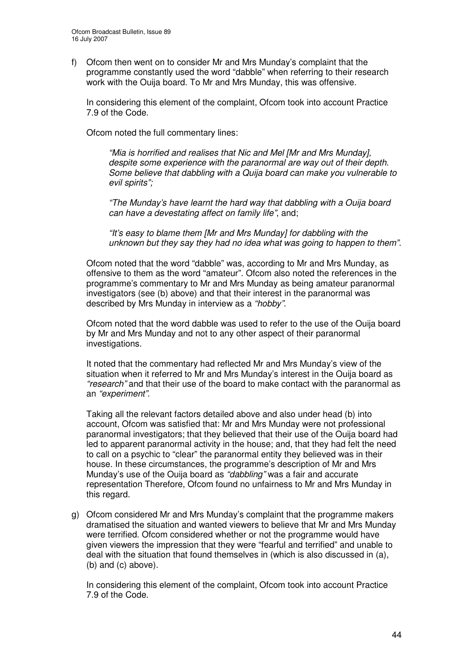f) Ofcom then went on to consider Mr and Mrs Munday's complaint that the programme constantly used the word "dabble" when referring to their research work with the Ouija board. To Mr and Mrs Munday, this was offensive.

In considering this element of the complaint, Ofcom took into account Practice 7.9 of the Code.

Ofcom noted the full commentary lines:

*"Mia is horrified and realises that Nic and Mel [Mr and Mrs Munday], despite some experience with the paranormal are way out of their depth. Some believe that dabbling with a Quija board can make you vulnerable to evil spirits";*

*"The Munday's have learnt the hard way that dabbling with a Ouija board can have a devestating affect on family life"*, and;

*"It's easy to blame them [Mr and Mrs Munday] for dabbling with the unknown but they say they had no idea what was going to happen to them".*

Ofcom noted that the word "dabble" was, according to Mr and Mrs Munday, as offensive to them as the word "amateur". Ofcom also noted the references in the programme's commentary to Mr and Mrs Munday as being amateur paranormal investigators (see (b) above) and that their interest in the paranormal was described by Mrs Munday in interview as a *"hobby"*.

Ofcom noted that the word dabble was used to refer to the use of the Ouija board by Mr and Mrs Munday and not to any other aspect of their paranormal investigations.

It noted that the commentary had reflected Mr and Mrs Munday's view of the situation when it referred to Mr and Mrs Munday's interest in the Ouija board as *"research"* and that their use of the board to make contact with the paranormal as an *"experiment"*.

Taking all the relevant factors detailed above and also under head (b) into account, Ofcom was satisfied that: Mr and Mrs Munday were not professional paranormal investigators; that they believed that their use of the Ouija board had led to apparent paranormal activity in the house; and, that they had felt the need to call on a psychic to "clear" the paranormal entity they believed was in their house. In these circumstances, the programme's description of Mr and Mrs Munday's use of the Ouija board as *"dabbling"* was a fair and accurate representation Therefore, Ofcom found no unfairness to Mr and Mrs Munday in this regard.

g) Ofcom considered Mr and Mrs Munday's complaint that the programme makers dramatised the situation and wanted viewers to believe that Mr and Mrs Munday were terrified. Ofcom considered whether or not the programme would have given viewers the impression that they were "fearful and terrified" and unable to deal with the situation that found themselves in (which is also discussed in (a), (b) and (c) above).

In considering this element of the complaint, Ofcom took into account Practice 7.9 of the Code.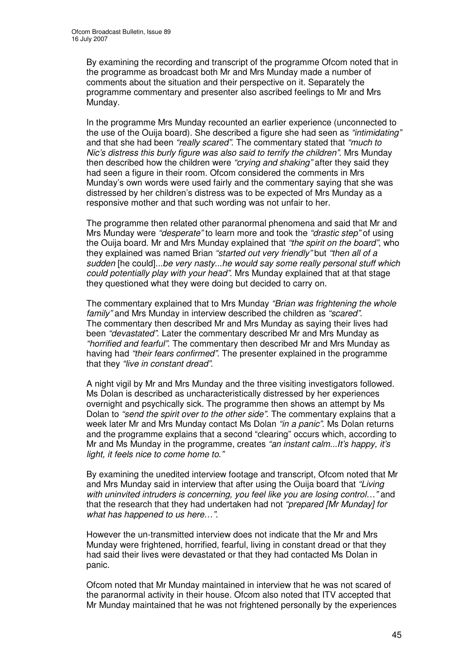By examining the recording and transcript of the programme Ofcom noted that in the programme as broadcast both Mr and Mrs Munday made a number of comments about the situation and their perspective on it. Separately the programme commentary and presenter also ascribed feelings to Mr and Mrs Munday.

In the programme Mrs Munday recounted an earlier experience (unconnected to the use of the Ouija board). She described a figure she had seen as *"intimidating"* and that she had been *"really scared"*. The commentary stated that *"much to Nic's distress this burly figure was also said to terrify the children"*. Mrs Munday then described how the children were *"crying and shaking"* after they said they had seen a figure in their room. Ofcom considered the comments in Mrs Munday's own words were used fairly and the commentary saying that she was distressed by her children's distress was to be expected of Mrs Munday as a responsive mother and that such wording was not unfair to her.

The programme then related other paranormal phenomena and said that Mr and Mrs Munday were *"desperate"* to learn more and took the *"drastic step"* of using the Ouija board. Mr and Mrs Munday explained that *"the spirit on the board"*, who they explained was named Brian *"started out very friendly"* but *"then all of a sudden* [he could]*...be very nasty...he would say some really personal stuff which could potentially play with your head"*. Mrs Munday explained that at that stage they questioned what they were doing but decided to carry on.

The commentary explained that to Mrs Munday *"Brian was frightening the whole family"* and Mrs Munday in interview described the children as *"scared"*. The commentary then described Mr and Mrs Munday as saying their lives had been *"devastated"*. Later the commentary described Mr and Mrs Munday as *"horrified and fearful"*. The commentary then described Mr and Mrs Munday as having had *"their fears confirmed"*. The presenter explained in the programme that they *"live in constant dread"*.

A night vigil by Mr and Mrs Munday and the three visiting investigators followed. Ms Dolan is described as uncharacteristically distressed by her experiences overnight and psychically sick. The programme then shows an attempt by Ms Dolan to *"send the spirit over to the other side"*. The commentary explains that a week later Mr and Mrs Munday contact Ms Dolan *"in a panic"*. Ms Dolan returns and the programme explains that a second "clearing" occurs which, according to Mr and Ms Munday in the programme, creates *"an instant calm...It's happy, it's light, it feels nice to come home to."*

By examining the unedited interview footage and transcript, Ofcom noted that Mr and Mrs Munday said in interview that after using the Ouija board that *"Living with uninvited intruders is concerning, you feel like you are losing control…"* and that the research that they had undertaken had not *"prepared [Mr Munday] for what has happened to us here…"*.

However the un-transmitted interview does not indicate that the Mr and Mrs Munday were frightened, horrified, fearful, living in constant dread or that they had said their lives were devastated or that they had contacted Ms Dolan in panic.

Ofcom noted that Mr Munday maintained in interview that he was not scared of the paranormal activity in their house. Ofcom also noted that ITV accepted that Mr Munday maintained that he was not frightened personally by the experiences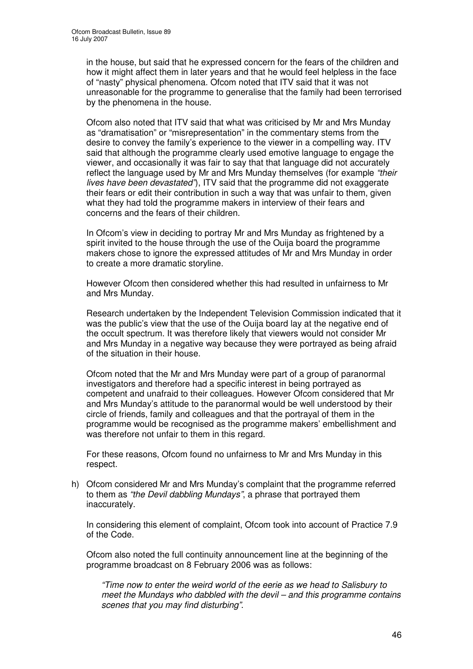in the house, but said that he expressed concern for the fears of the children and how it might affect them in later years and that he would feel helpless in the face of "nasty" physical phenomena. Ofcom noted that ITV said that it was not unreasonable for the programme to generalise that the family had been terrorised by the phenomena in the house.

Ofcom also noted that ITV said that what was criticised by Mr and Mrs Munday as "dramatisation" or "misrepresentation" in the commentary stems from the desire to convey the family's experience to the viewer in a compelling way. ITV said that although the programme clearly used emotive language to engage the viewer, and occasionally it was fair to say that that language did not accurately reflect the language used by Mr and Mrs Munday themselves (for example *"their lives have been devastated"*), ITV said that the programme did not exaggerate their fears or edit their contribution in such a way that was unfair to them, given what they had told the programme makers in interview of their fears and concerns and the fears of their children.

In Ofcom's view in deciding to portray Mr and Mrs Munday as frightened by a spirit invited to the house through the use of the Ouija board the programme makers chose to ignore the expressed attitudes of Mr and Mrs Munday in order to create a more dramatic storyline.

However Ofcom then considered whether this had resulted in unfairness to Mr and Mrs Munday.

Research undertaken by the Independent Television Commission indicated that it was the public's view that the use of the Ouija board lay at the negative end of the occult spectrum. It was therefore likely that viewers would not consider Mr and Mrs Munday in a negative way because they were portrayed as being afraid of the situation in their house.

Ofcom noted that the Mr and Mrs Munday were part of a group of paranormal investigators and therefore had a specific interest in being portrayed as competent and unafraid to their colleagues. However Ofcom considered that Mr and Mrs Munday's attitude to the paranormal would be well understood by their circle of friends, family and colleagues and that the portrayal of them in the programme would be recognised as the programme makers' embellishment and was therefore not unfair to them in this regard.

For these reasons, Ofcom found no unfairness to Mr and Mrs Munday in this respect.

h) Ofcom considered Mr and Mrs Munday's complaint that the programme referred to them as *"the Devil dabbling Mundays"*, a phrase that portrayed them inaccurately.

In considering this element of complaint, Ofcom took into account of Practice 7.9 of the Code.

Ofcom also noted the full continuity announcement line at the beginning of the programme broadcast on 8 February 2006 was as follows:

*"Time now to enter the weird world of the eerie as we head to Salisbury to meet the Mundays who dabbled with the devil – and this programme contains scenes that you may find disturbing"*.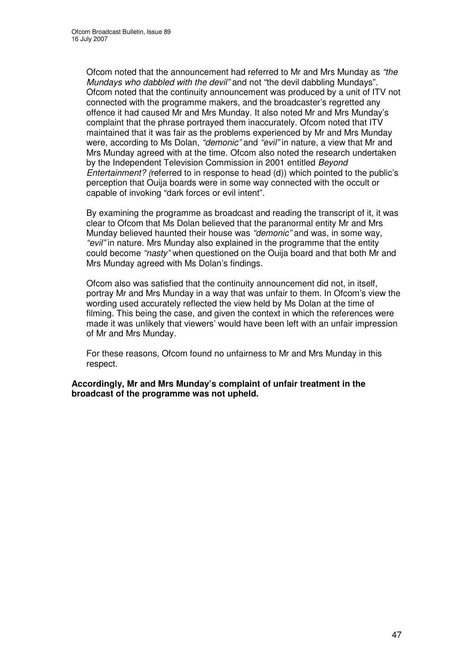Ofcom noted that the announcement had referred to Mr and Mrs Munday as *"the Mundays who dabbled with the devil"* and not "the devil dabbling Mundays". Ofcom noted that the continuity announcement was produced by a unit of ITV not connected with the programme makers, and the broadcaster's regretted any offence it had caused Mr and Mrs Munday. It also noted Mr and Mrs Munday's complaint that the phrase portrayed them inaccurately. Ofcom noted that ITV maintained that it was fair as the problems experienced by Mr and Mrs Munday were, according to Ms Dolan, *"demonic"* and *"evil"* in nature, a view that Mr and Mrs Munday agreed with at the time. Ofcom also noted the research undertaken by the Independent Television Commission in 2001 entitled *Beyond Entertainment? (*referred to in response to head (d)) which pointed to the public's perception that Ouija boards were in some way connected with the occult or capable of invoking "dark forces or evil intent".

By examining the programme as broadcast and reading the transcript of it, it was clear to Ofcom that Ms Dolan believed that the paranormal entity Mr and Mrs Munday believed haunted their house was *"demonic"* and was, in some way, *"evil"* in nature. Mrs Munday also explained in the programme that the entity could become *"nasty"* when questioned on the Ouija board and that both Mr and Mrs Munday agreed with Ms Dolan's findings.

Ofcom also was satisfied that the continuity announcement did not, in itself, portray Mr and Mrs Munday in a way that was unfair to them. In Ofcom's view the wording used accurately reflected the view held by Ms Dolan at the time of filming. This being the case, and given the context in which the references were made it was unlikely that viewers' would have been left with an unfair impression of Mr and Mrs Munday.

For these reasons, Ofcom found no unfairness to Mr and Mrs Munday in this respect.

**Accordingly, Mr and Mrs Munday's complaint of unfair treatment in the broadcast of the programme was not upheld.**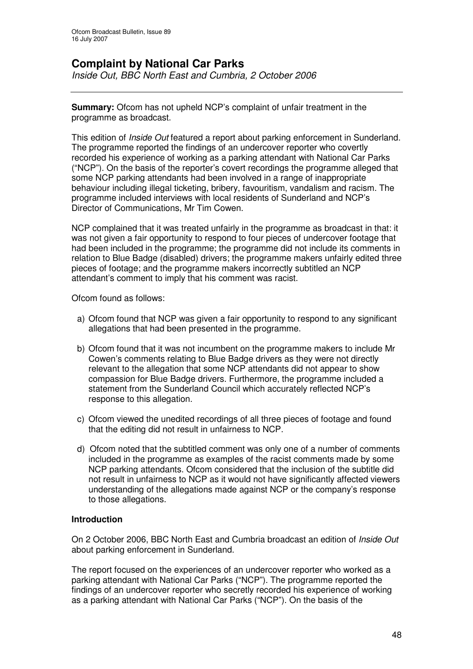# **Complaint by National Car Parks**

*Inside Out, BBC North East and Cumbria, 2 October 2006*

**Summary:** Ofcom has not upheld NCP's complaint of unfair treatment in the programme as broadcast.

This edition of *Inside Out* featured a report about parking enforcement in Sunderland. The programme reported the findings of an undercover reporter who covertly recorded his experience of working as a parking attendant with National Car Parks ("NCP"). On the basis of the reporter's covert recordings the programme alleged that some NCP parking attendants had been involved in a range of inappropriate behaviour including illegal ticketing, bribery, favouritism, vandalism and racism. The programme included interviews with local residents of Sunderland and NCP's Director of Communications, Mr Tim Cowen.

NCP complained that it was treated unfairly in the programme as broadcast in that: it was not given a fair opportunity to respond to four pieces of undercover footage that had been included in the programme; the programme did not include its comments in relation to Blue Badge (disabled) drivers; the programme makers unfairly edited three pieces of footage; and the programme makers incorrectly subtitled an NCP attendant's comment to imply that his comment was racist.

Ofcom found as follows:

- a) Ofcom found that NCP was given a fair opportunity to respond to any significant allegations that had been presented in the programme.
- b) Ofcom found that it was not incumbent on the programme makers to include Mr Cowen's comments relating to Blue Badge drivers as they were not directly relevant to the allegation that some NCP attendants did not appear to show compassion for Blue Badge drivers. Furthermore, the programme included a statement from the Sunderland Council which accurately reflected NCP's response to this allegation.
- c) Ofcom viewed the unedited recordings of all three pieces of footage and found that the editing did not result in unfairness to NCP.
- d) Ofcom noted that the subtitled comment was only one of a number of comments included in the programme as examples of the racist comments made by some NCP parking attendants. Ofcom considered that the inclusion of the subtitle did not result in unfairness to NCP as it would not have significantly affected viewers understanding of the allegations made against NCP or the company's response to those allegations.

#### **Introduction**

On 2 October 2006, BBC North East and Cumbria broadcast an edition of *Inside Out* about parking enforcement in Sunderland.

The report focused on the experiences of an undercover reporter who worked as a parking attendant with National Car Parks ("NCP"). The programme reported the findings of an undercover reporter who secretly recorded his experience of working as a parking attendant with National Car Parks ("NCP"). On the basis of the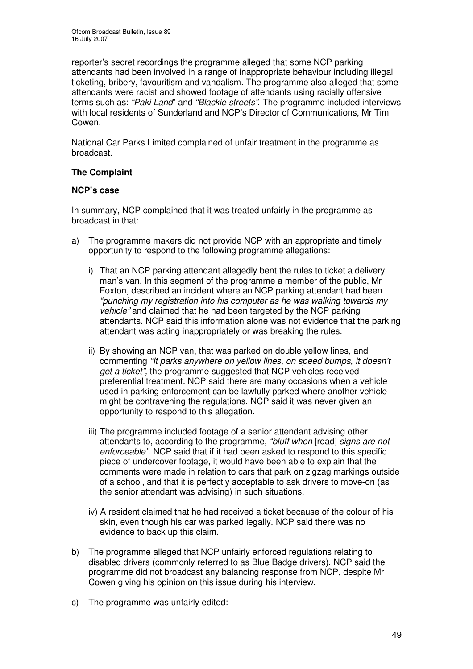reporter's secret recordings the programme alleged that some NCP parking attendants had been involved in a range of inappropriate behaviour including illegal ticketing, bribery, favouritism and vandalism. The programme also alleged that some attendants were racist and showed footage of attendants using racially offensive terms such as: *"Paki Land*" and *"Blackie streets"*. The programme included interviews with local residents of Sunderland and NCP's Director of Communications, Mr Tim Cowen.

National Car Parks Limited complained of unfair treatment in the programme as broadcast.

# **The Complaint**

# **NCP's case**

In summary, NCP complained that it was treated unfairly in the programme as broadcast in that:

- a) The programme makers did not provide NCP with an appropriate and timely opportunity to respond to the following programme allegations:
	- i) That an NCP parking attendant allegedly bent the rules to ticket a delivery man's van. In this segment of the programme a member of the public, Mr Foxton, described an incident where an NCP parking attendant had been *"punching my registration into his computer as he was walking towards my vehicle"* and claimed that he had been targeted by the NCP parking attendants. NCP said this information alone was not evidence that the parking attendant was acting inappropriately or was breaking the rules.
	- ii) By showing an NCP van, that was parked on double yellow lines, and commenting *"It parks anywhere on yellow lines, on speed bumps, it doesn't get a ticket",* the programme suggested that NCP vehicles received preferential treatment. NCP said there are many occasions when a vehicle used in parking enforcement can be lawfully parked where another vehicle might be contravening the regulations. NCP said it was never given an opportunity to respond to this allegation.
	- iii) The programme included footage of a senior attendant advising other attendants to, according to the programme, *"bluff when* [road] *signs are not enforceable"*. NCP said that if it had been asked to respond to this specific piece of undercover footage, it would have been able to explain that the comments were made in relation to cars that park on zigzag markings outside of a school, and that it is perfectly acceptable to ask drivers to move-on (as the senior attendant was advising) in such situations.
	- iv) A resident claimed that he had received a ticket because of the colour of his skin, even though his car was parked legally. NCP said there was no evidence to back up this claim.
- b) The programme alleged that NCP unfairly enforced regulations relating to disabled drivers (commonly referred to as Blue Badge drivers). NCP said the programme did not broadcast any balancing response from NCP, despite Mr Cowen giving his opinion on this issue during his interview.
- c) The programme was unfairly edited: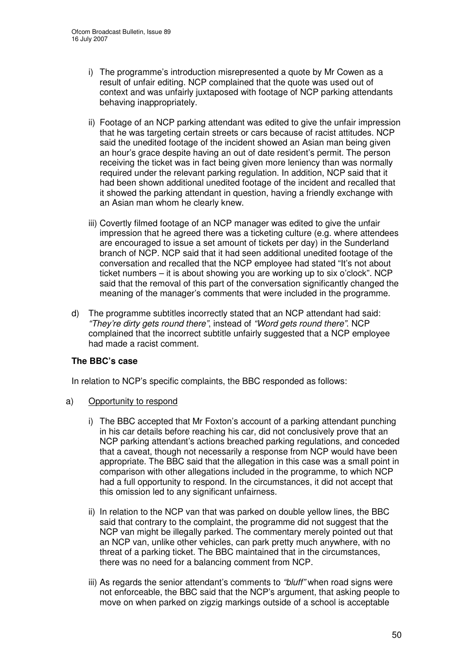- i) The programme's introduction misrepresented a quote by Mr Cowen as a result of unfair editing. NCP complained that the quote was used out of context and was unfairly juxtaposed with footage of NCP parking attendants behaving inappropriately.
- ii) Footage of an NCP parking attendant was edited to give the unfair impression that he was targeting certain streets or cars because of racist attitudes. NCP said the unedited footage of the incident showed an Asian man being given an hour's grace despite having an out of date resident's permit. The person receiving the ticket was in fact being given more leniency than was normally required under the relevant parking regulation. In addition, NCP said that it had been shown additional unedited footage of the incident and recalled that it showed the parking attendant in question, having a friendly exchange with an Asian man whom he clearly knew.
- iii) Covertly filmed footage of an NCP manager was edited to give the unfair impression that he agreed there was a ticketing culture (e.g. where attendees are encouraged to issue a set amount of tickets per day) in the Sunderland branch of NCP. NCP said that it had seen additional unedited footage of the conversation and recalled that the NCP employee had stated "It's not about ticket numbers – it is about showing you are working up to six o'clock". NCP said that the removal of this part of the conversation significantly changed the meaning of the manager's comments that were included in the programme.
- d) The programme subtitles incorrectly stated that an NCP attendant had said: *"They're dirty gets round there"*, instead of *"Word gets round there"*. NCP complained that the incorrect subtitle unfairly suggested that a NCP employee had made a racist comment.

# **The BBC's case**

In relation to NCP's specific complaints, the BBC responded as follows:

#### a) Opportunity to respond

- i) The BBC accepted that Mr Foxton's account of a parking attendant punching in his car details before reaching his car, did not conclusively prove that an NCP parking attendant's actions breached parking regulations, and conceded that a caveat, though not necessarily a response from NCP would have been appropriate. The BBC said that the allegation in this case was a small point in comparison with other allegations included in the programme, to which NCP had a full opportunity to respond. In the circumstances, it did not accept that this omission led to any significant unfairness.
- ii) In relation to the NCP van that was parked on double yellow lines, the BBC said that contrary to the complaint, the programme did not suggest that the NCP van might be illegally parked. The commentary merely pointed out that an NCP van, unlike other vehicles, can park pretty much anywhere, with no threat of a parking ticket. The BBC maintained that in the circumstances, there was no need for a balancing comment from NCP.
- iii) As regards the senior attendant's comments to *"bluff"* when road signs were not enforceable, the BBC said that the NCP's argument, that asking people to move on when parked on zigzig markings outside of a school is acceptable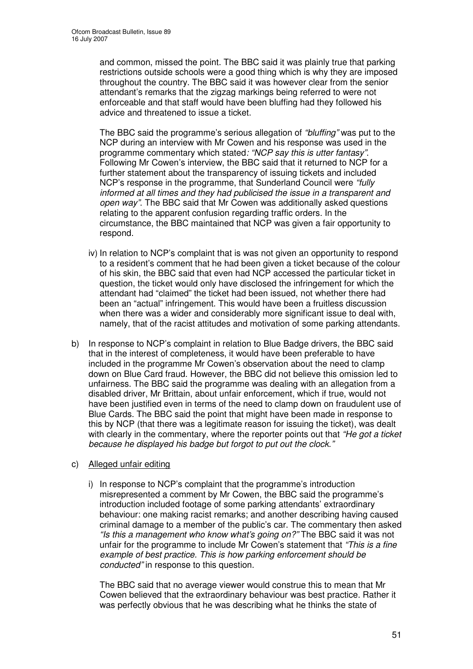and common, missed the point. The BBC said it was plainly true that parking restrictions outside schools were a good thing which is why they are imposed throughout the country. The BBC said it was however clear from the senior attendant's remarks that the zigzag markings being referred to were not enforceable and that staff would have been bluffing had they followed his advice and threatened to issue a ticket.

The BBC said the programme's serious allegation of *"bluffing"* was put to the NCP during an interview with Mr Cowen and his response was used in the programme commentary which stated*: "NCP say this is utter fantasy"*. Following Mr Cowen's interview, the BBC said that it returned to NCP for a further statement about the transparency of issuing tickets and included NCP's response in the programme, that Sunderland Council were *"fully informed at all times and they had publicised the issue in a transparent and open way"*. The BBC said that Mr Cowen was additionally asked questions relating to the apparent confusion regarding traffic orders. In the circumstance, the BBC maintained that NCP was given a fair opportunity to respond.

- iv) In relation to NCP's complaint that is was not given an opportunity to respond to a resident's comment that he had been given a ticket because of the colour of his skin, the BBC said that even had NCP accessed the particular ticket in question, the ticket would only have disclosed the infringement for which the attendant had "claimed" the ticket had been issued, not whether there had been an "actual" infringement. This would have been a fruitless discussion when there was a wider and considerably more significant issue to deal with, namely, that of the racist attitudes and motivation of some parking attendants.
- b) In response to NCP's complaint in relation to Blue Badge drivers, the BBC said that in the interest of completeness, it would have been preferable to have included in the programme Mr Cowen's observation about the need to clamp down on Blue Card fraud. However, the BBC did not believe this omission led to unfairness. The BBC said the programme was dealing with an allegation from a disabled driver, Mr Brittain, about unfair enforcement, which if true, would not have been justified even in terms of the need to clamp down on fraudulent use of Blue Cards. The BBC said the point that might have been made in response to this by NCP (that there was a legitimate reason for issuing the ticket), was dealt with clearly in the commentary, where the reporter points out that *"He got a ticket because he displayed his badge but forgot to put out the clock."*
- c) Alleged unfair editing
	- i) In response to NCP's complaint that the programme's introduction misrepresented a comment by Mr Cowen, the BBC said the programme's introduction included footage of some parking attendants' extraordinary behaviour: one making racist remarks; and another describing having caused criminal damage to a member of the public's car. The commentary then asked *"Is this a management who know what's going on?"* The BBC said it was not unfair for the programme to include Mr Cowen's statement that *"This is a fine example of best practice. This is how parking enforcement should be conducted"* in response to this question.

The BBC said that no average viewer would construe this to mean that Mr Cowen believed that the extraordinary behaviour was best practice. Rather it was perfectly obvious that he was describing what he thinks the state of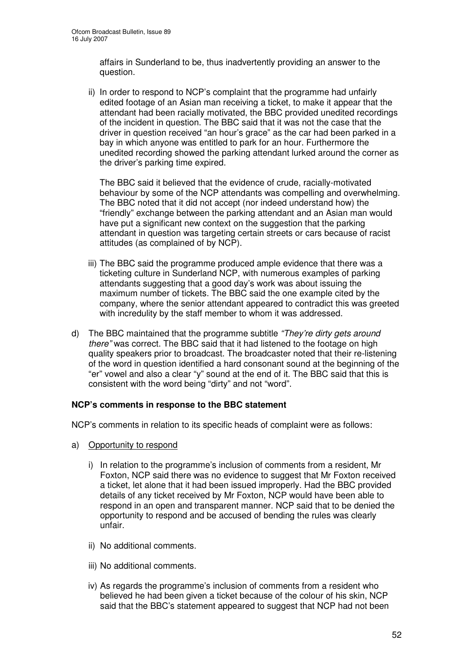affairs in Sunderland to be, thus inadvertently providing an answer to the question.

ii) In order to respond to NCP's complaint that the programme had unfairly edited footage of an Asian man receiving a ticket, to make it appear that the attendant had been racially motivated, the BBC provided unedited recordings of the incident in question. The BBC said that it was not the case that the driver in question received "an hour's grace" as the car had been parked in a bay in which anyone was entitled to park for an hour. Furthermore the unedited recording showed the parking attendant lurked around the corner as the driver's parking time expired.

The BBC said it believed that the evidence of crude, racially-motivated behaviour by some of the NCP attendants was compelling and overwhelming. The BBC noted that it did not accept (nor indeed understand how) the "friendly" exchange between the parking attendant and an Asian man would have put a significant new context on the suggestion that the parking attendant in question was targeting certain streets or cars because of racist attitudes (as complained of by NCP).

- iii) The BBC said the programme produced ample evidence that there was a ticketing culture in Sunderland NCP, with numerous examples of parking attendants suggesting that a good day's work was about issuing the maximum number of tickets. The BBC said the one example cited by the company, where the senior attendant appeared to contradict this was greeted with incredulity by the staff member to whom it was addressed.
- d) The BBC maintained that the programme subtitle *"They're dirty gets around there"* was correct. The BBC said that it had listened to the footage on high quality speakers prior to broadcast. The broadcaster noted that their re-listening of the word in question identified a hard consonant sound at the beginning of the "er" vowel and also a clear "y" sound at the end of it. The BBC said that this is consistent with the word being "dirty" and not "word".

#### **NCP's comments in response to the BBC statement**

NCP's comments in relation to its specific heads of complaint were as follows:

- a) Opportunity to respond
	- i) In relation to the programme's inclusion of comments from a resident, Mr Foxton, NCP said there was no evidence to suggest that Mr Foxton received a ticket, let alone that it had been issued improperly. Had the BBC provided details of any ticket received by Mr Foxton, NCP would have been able to respond in an open and transparent manner. NCP said that to be denied the opportunity to respond and be accused of bending the rules was clearly unfair.
	- ii) No additional comments.
	- iii) No additional comments.
	- iv) As regards the programme's inclusion of comments from a resident who believed he had been given a ticket because of the colour of his skin, NCP said that the BBC's statement appeared to suggest that NCP had not been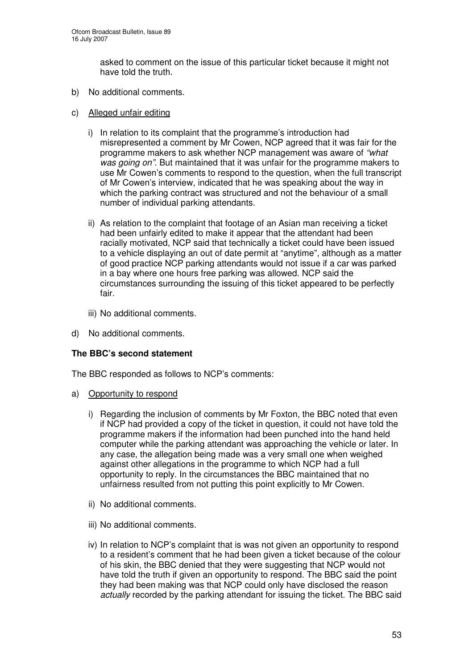asked to comment on the issue of this particular ticket because it might not have told the truth.

- b) No additional comments.
- c) Alleged unfair editing
	- i) In relation to its complaint that the programme's introduction had misrepresented a comment by Mr Cowen, NCP agreed that it was fair for the programme makers to ask whether NCP management was aware of *"what was going on"*. But maintained that it was unfair for the programme makers to use Mr Cowen's comments to respond to the question, when the full transcript of Mr Cowen's interview, indicated that he was speaking about the way in which the parking contract was structured and not the behaviour of a small number of individual parking attendants.
	- ii) As relation to the complaint that footage of an Asian man receiving a ticket had been unfairly edited to make it appear that the attendant had been racially motivated, NCP said that technically a ticket could have been issued to a vehicle displaying an out of date permit at "anytime", although as a matter of good practice NCP parking attendants would not issue if a car was parked in a bay where one hours free parking was allowed. NCP said the circumstances surrounding the issuing of this ticket appeared to be perfectly fair.
	- iii) No additional comments.
- d) No additional comments.

# **The BBC's second statement**

The BBC responded as follows to NCP's comments:

- a) Opportunity to respond
	- i) Regarding the inclusion of comments by Mr Foxton, the BBC noted that even if NCP had provided a copy of the ticket in question, it could not have told the programme makers if the information had been punched into the hand held computer while the parking attendant was approaching the vehicle or later. In any case, the allegation being made was a very small one when weighed against other allegations in the programme to which NCP had a full opportunity to reply. In the circumstances the BBC maintained that no unfairness resulted from not putting this point explicitly to Mr Cowen.
	- ii) No additional comments.
	- iii) No additional comments.
	- iv) In relation to NCP's complaint that is was not given an opportunity to respond to a resident's comment that he had been given a ticket because of the colour of his skin, the BBC denied that they were suggesting that NCP would not have told the truth if given an opportunity to respond. The BBC said the point they had been making was that NCP could only have disclosed the reason *actually* recorded by the parking attendant for issuing the ticket. The BBC said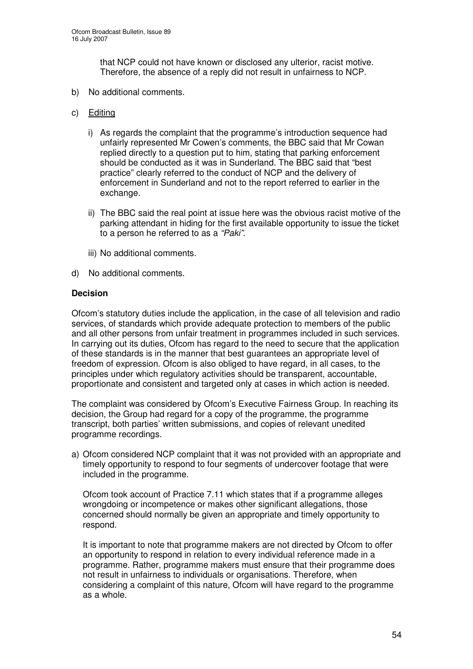that NCP could not have known or disclosed any ulterior, racist motive. Therefore, the absence of a reply did not result in unfairness to NCP.

- b) No additional comments.
- c) Editing
	- i) As regards the complaint that the programme's introduction sequence had unfairly represented Mr Cowen's comments, the BBC said that Mr Cowan replied directly to a question put to him, stating that parking enforcement should be conducted as it was in Sunderland. The BBC said that "best practice" clearly referred to the conduct of NCP and the delivery of enforcement in Sunderland and not to the report referred to earlier in the exchange.
	- ii) The BBC said the real point at issue here was the obvious racist motive of the parking attendant in hiding for the first available opportunity to issue the ticket to a person he referred to as a *"Paki"*.
	- iii) No additional comments.
- d) No additional comments.

#### **Decision**

Ofcom's statutory duties include the application, in the case of all television and radio services, of standards which provide adequate protection to members of the public and all other persons from unfair treatment in programmes included in such services. In carrying out its duties, Ofcom has regard to the need to secure that the application of these standards is in the manner that best guarantees an appropriate level of freedom of expression. Ofcom is also obliged to have regard, in all cases, to the principles under which regulatory activities should be transparent, accountable, proportionate and consistent and targeted only at cases in which action is needed.

The complaint was considered by Ofcom's Executive Fairness Group. In reaching its decision, the Group had regard for a copy of the programme, the programme transcript, both parties' written submissions, and copies of relevant unedited programme recordings.

a) Ofcom considered NCP complaint that it was not provided with an appropriate and timely opportunity to respond to four segments of undercover footage that were included in the programme.

Ofcom took account of Practice 7.11 which states that if a programme alleges wrongdoing or incompetence or makes other significant allegations, those concerned should normally be given an appropriate and timely opportunity to respond.

It is important to note that programme makers are not directed by Ofcom to offer an opportunity to respond in relation to every individual reference made in a programme. Rather, programme makers must ensure that their programme does not result in unfairness to individuals or organisations. Therefore, when considering a complaint of this nature, Ofcom will have regard to the programme as a whole.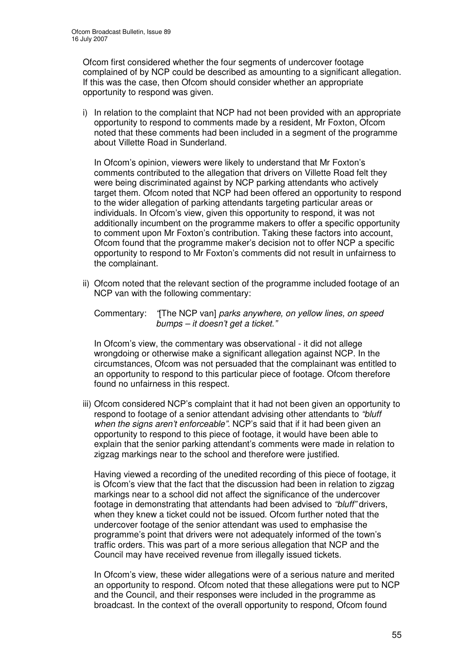Ofcom first considered whether the four segments of undercover footage complained of by NCP could be described as amounting to a significant allegation. If this was the case, then Ofcom should consider whether an appropriate opportunity to respond was given.

i) In relation to the complaint that NCP had not been provided with an appropriate opportunity to respond to comments made by a resident, Mr Foxton, Ofcom noted that these comments had been included in a segment of the programme about Villette Road in Sunderland.

In Ofcom's opinion, viewers were likely to understand that Mr Foxton's comments contributed to the allegation that drivers on Villette Road felt they were being discriminated against by NCP parking attendants who actively target them. Ofcom noted that NCP had been offered an opportunity to respond to the wider allegation of parking attendants targeting particular areas or individuals. In Ofcom's view, given this opportunity to respond, it was not additionally incumbent on the programme makers to offer a specific opportunity to comment upon Mr Foxton's contribution. Taking these factors into account, Ofcom found that the programme maker's decision not to offer NCP a specific opportunity to respond to Mr Foxton's comments did not result in unfairness to the complainant.

ii) Ofcom noted that the relevant section of the programme included footage of an NCP van with the following commentary:

Commentary: *"*[The NCP van] *parks anywhere, on yellow lines, on speed bumps – it doesn't get a ticket."*

In Ofcom's view, the commentary was observational - it did not allege wrongdoing or otherwise make a significant allegation against NCP. In the circumstances, Ofcom was not persuaded that the complainant was entitled to an opportunity to respond to this particular piece of footage. Ofcom therefore found no unfairness in this respect.

iii) Ofcom considered NCP's complaint that it had not been given an opportunity to respond to footage of a senior attendant advising other attendants to *"bluff when the signs aren't enforceable".* NCP's said that if it had been given an opportunity to respond to this piece of footage, it would have been able to explain that the senior parking attendant's comments were made in relation to zigzag markings near to the school and therefore were justified.

Having viewed a recording of the unedited recording of this piece of footage, it is Ofcom's view that the fact that the discussion had been in relation to zigzag markings near to a school did not affect the significance of the undercover footage in demonstrating that attendants had been advised to *"bluff"* drivers, when they knew a ticket could not be issued. Ofcom further noted that the undercover footage of the senior attendant was used to emphasise the programme's point that drivers were not adequately informed of the town's traffic orders. This was part of a more serious allegation that NCP and the Council may have received revenue from illegally issued tickets.

In Ofcom's view, these wider allegations were of a serious nature and merited an opportunity to respond. Ofcom noted that these allegations were put to NCP and the Council, and their responses were included in the programme as broadcast. In the context of the overall opportunity to respond, Ofcom found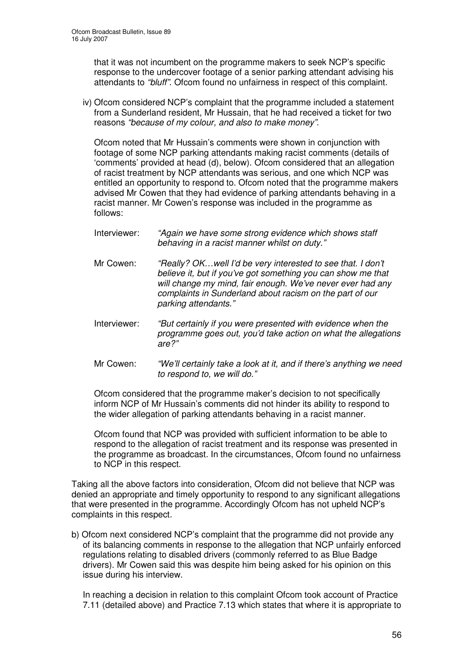that it was not incumbent on the programme makers to seek NCP's specific response to the undercover footage of a senior parking attendant advising his attendants to *"bluff"*. Ofcom found no unfairness in respect of this complaint.

iv) Ofcom considered NCP's complaint that the programme included a statement from a Sunderland resident, Mr Hussain, that he had received a ticket for two reasons *"because of my colour, and also to make money"*.

Ofcom noted that Mr Hussain's comments were shown in conjunction with footage of some NCP parking attendants making racist comments (details of 'comments' provided at head (d), below). Ofcom considered that an allegation of racist treatment by NCP attendants was serious, and one which NCP was entitled an opportunity to respond to. Ofcom noted that the programme makers advised Mr Cowen that they had evidence of parking attendants behaving in a racist manner. Mr Cowen's response was included in the programme as follows:

- Interviewer: *"Again we have some strong evidence which shows staff behaving in a racist manner whilst on duty."*
- Mr Cowen: *"Really? OK…well I'd be very interested to see that. I don't believe it, but if you've got something you can show me that will change my mind, fair enough. We've never ever had any complaints in Sunderland about racism on the part of our parking attendants."*
- Interviewer: *"But certainly if you were presented with evidence when the programme goes out, you'd take action on what the allegations are?"*
- Mr Cowen: *"We'll certainly take a look at it, and if there's anything we need to respond to, we will do."*

Ofcom considered that the programme maker's decision to not specifically inform NCP of Mr Hussain's comments did not hinder its ability to respond to the wider allegation of parking attendants behaving in a racist manner.

Ofcom found that NCP was provided with sufficient information to be able to respond to the allegation of racist treatment and its response was presented in the programme as broadcast. In the circumstances, Ofcom found no unfairness to NCP in this respect.

Taking all the above factors into consideration, Ofcom did not believe that NCP was denied an appropriate and timely opportunity to respond to any significant allegations that were presented in the programme. Accordingly Ofcom has not upheld NCP's complaints in this respect.

b) Ofcom next considered NCP's complaint that the programme did not provide any of its balancing comments in response to the allegation that NCP unfairly enforced regulations relating to disabled drivers (commonly referred to as Blue Badge drivers). Mr Cowen said this was despite him being asked for his opinion on this issue during his interview.

In reaching a decision in relation to this complaint Ofcom took account of Practice 7.11 (detailed above) and Practice 7.13 which states that where it is appropriate to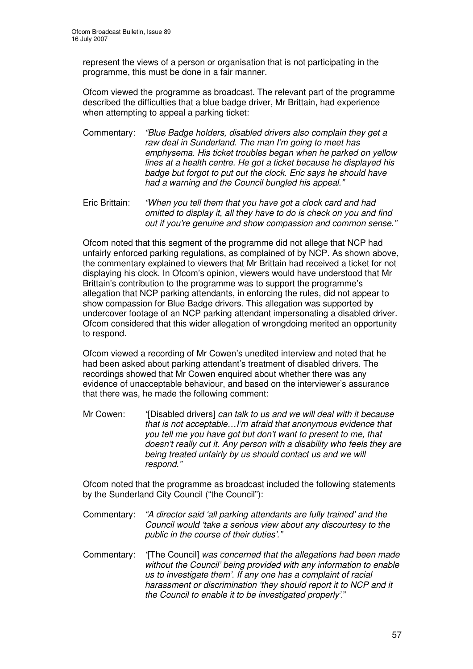represent the views of a person or organisation that is not participating in the programme, this must be done in a fair manner.

Ofcom viewed the programme as broadcast. The relevant part of the programme described the difficulties that a blue badge driver, Mr Brittain, had experience when attempting to appeal a parking ticket:

- Commentary: *"Blue Badge holders, disabled drivers also complain they get a raw deal in Sunderland. The man I'm going to meet has emphysema. His ticket troubles began when he parked on yellow lines at a health centre. He got a ticket because he displayed his badge but forgot to put out the clock. Eric says he should have had a warning and the Council bungled his appeal."*
- Eric Brittain: *"When you tell them that you have got a clock card and had omitted to display it, all they have to do is check on you and find out if you're genuine and show compassion and common sense."*

Ofcom noted that this segment of the programme did not allege that NCP had unfairly enforced parking regulations, as complained of by NCP. As shown above, the commentary explained to viewers that Mr Brittain had received a ticket for not displaying his clock. In Ofcom's opinion, viewers would have understood that Mr Brittain's contribution to the programme was to support the programme's allegation that NCP parking attendants, in enforcing the rules, did not appear to show compassion for Blue Badge drivers. This allegation was supported by undercover footage of an NCP parking attendant impersonating a disabled driver. Ofcom considered that this wider allegation of wrongdoing merited an opportunity to respond.

Ofcom viewed a recording of Mr Cowen's unedited interview and noted that he had been asked about parking attendant's treatment of disabled drivers. The recordings showed that Mr Cowen enquired about whether there was any evidence of unacceptable behaviour, and based on the interviewer's assurance that there was, he made the following comment:

Mr Cowen: *"*[Disabled drivers] *can talk to us and we will deal with it because that is not acceptable…I'm afraid that anonymous evidence that you tell me you have got but don't want to present to me, that doesn't really cut it. Any person with a disability who feels they are being treated unfairly by us should contact us and we will respond."*

Ofcom noted that the programme as broadcast included the following statements by the Sunderland City Council ("the Council"):

- Commentary: *"A director said 'all parking attendants are fully trained' and the Council would 'take a serious view about any discourtesy to the public in the course of their duties'."*
- Commentary: *"*[The Council] *was concerned that the allegations had been made without the Council' being provided with any information to enable us to investigate them'. If any one has a complaint of racial harassment or discrimination 'they should report it to NCP and it the Council to enable it to be investigated properly'*."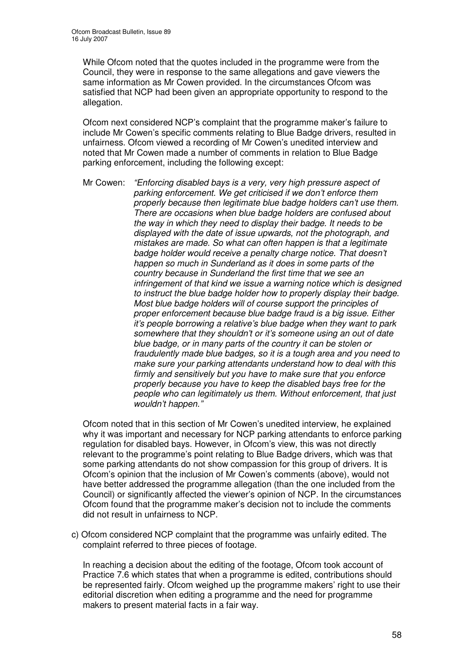While Ofcom noted that the quotes included in the programme were from the Council, they were in response to the same allegations and gave viewers the same information as Mr Cowen provided. In the circumstances Ofcom was satisfied that NCP had been given an appropriate opportunity to respond to the allegation.

Ofcom next considered NCP's complaint that the programme maker's failure to include Mr Cowen's specific comments relating to Blue Badge drivers, resulted in unfairness. Ofcom viewed a recording of Mr Cowen's unedited interview and noted that Mr Cowen made a number of comments in relation to Blue Badge parking enforcement, including the following except:

Mr Cowen: *"Enforcing disabled bays is a very, very high pressure aspect of parking enforcement. We get criticised if we don't enforce them properly because then legitimate blue badge holders can't use them. There are occasions when blue badge holders are confused about the way in which they need to display their badge. It needs to be displayed with the date of issue upwards, not the photograph, and mistakes are made. So what can often happen is that a legitimate badge holder would receive a penalty charge notice. That doesn't happen so much in Sunderland as it does in some parts of the country because in Sunderland the first time that we see an infringement of that kind we issue a warning notice which is designed to instruct the blue badge holder how to properly display their badge. Most blue badge holders will of course support the principles of proper enforcement because blue badge fraud is a big issue. Either it's people borrowing a relative's blue badge when they want to park somewhere that they shouldn't or it's someone using an out of date blue badge, or in many parts of the country it can be stolen or fraudulently made blue badges, so it is a tough area and you need to make sure your parking attendants understand how to deal with this firmly and sensitively but you have to make sure that you enforce properly because you have to keep the disabled bays free for the people who can legitimately us them. Without enforcement, that just wouldn't happen."*

Ofcom noted that in this section of Mr Cowen's unedited interview, he explained why it was important and necessary for NCP parking attendants to enforce parking regulation for disabled bays. However, in Ofcom's view, this was not directly relevant to the programme's point relating to Blue Badge drivers, which was that some parking attendants do not show compassion for this group of drivers. It is Ofcom's opinion that the inclusion of Mr Cowen's comments (above), would not have better addressed the programme allegation (than the one included from the Council) or significantly affected the viewer's opinion of NCP. In the circumstances Ofcom found that the programme maker's decision not to include the comments did not result in unfairness to NCP.

c) Ofcom considered NCP complaint that the programme was unfairly edited. The complaint referred to three pieces of footage.

In reaching a decision about the editing of the footage, Ofcom took account of Practice 7.6 which states that when a programme is edited, contributions should be represented fairly. Ofcom weighed up the programme makers' right to use their editorial discretion when editing a programme and the need for programme makers to present material facts in a fair way.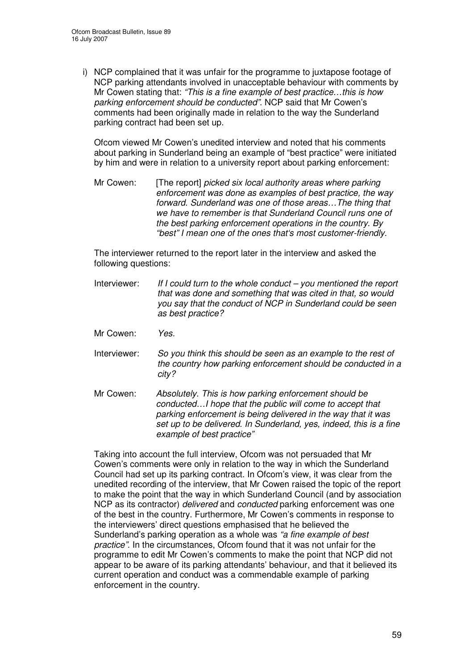i) NCP complained that it was unfair for the programme to juxtapose footage of NCP parking attendants involved in unacceptable behaviour with comments by Mr Cowen stating that: *"This is a fine example of best practice…this is how parking enforcement should be conducted"*. NCP said that Mr Cowen's comments had been originally made in relation to the way the Sunderland parking contract had been set up.

Ofcom viewed Mr Cowen's unedited interview and noted that his comments about parking in Sunderland being an example of "best practice" were initiated by him and were in relation to a university report about parking enforcement:

Mr Cowen: [The report] *picked six local authority areas where parking enforcement was done as examples of best practice, the way forward. Sunderland was one of those areas…The thing that we have to remember is that Sunderland Council runs one of the best parking enforcement operations in the country. By "best" I mean one of the ones that's most customer-friendly.*

The interviewer returned to the report later in the interview and asked the following questions:

- Interviewer: *If I could turn to the whole conduct – you mentioned the report that was done and something that was cited in that, so would you say that the conduct of NCP in Sunderland could be seen as best practice?*
- Mr Cowen: *Yes.*
- Interviewer: *So you think this should be seen as an example to the rest of the country how parking enforcement should be conducted in a city?*
- Mr Cowen: *Absolutely. This is how parking enforcement should be conducted…I hope that the public will come to accept that parking enforcement is being delivered in the way that it was set up to be delivered. In Sunderland, yes, indeed, this is a fine example of best practice"*

Taking into account the full interview, Ofcom was not persuaded that Mr Cowen's comments were only in relation to the way in which the Sunderland Council had set up its parking contract. In Ofcom's view, it was clear from the unedited recording of the interview, that Mr Cowen raised the topic of the report to make the point that the way in which Sunderland Council (and by association NCP as its contractor) *delivered* and *conducted* parking enforcement was one of the best in the country. Furthermore, Mr Cowen's comments in response to the interviewers' direct questions emphasised that he believed the Sunderland's parking operation as a whole was *"a fine example of best practice"*. In the circumstances, Ofcom found that it was not unfair for the programme to edit Mr Cowen's comments to make the point that NCP did not appear to be aware of its parking attendants' behaviour, and that it believed its current operation and conduct was a commendable example of parking enforcement in the country.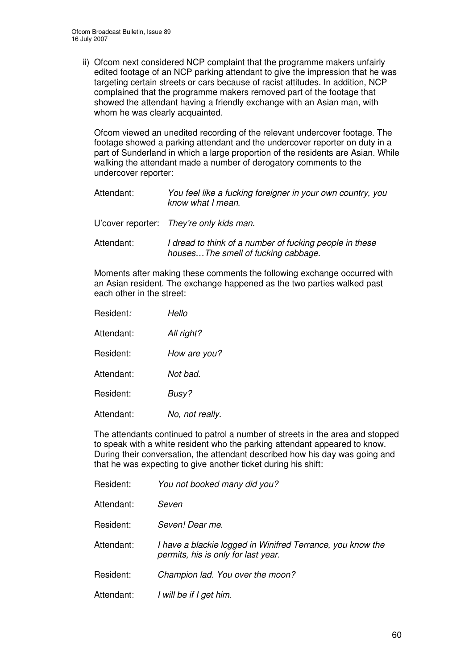ii) Ofcom next considered NCP complaint that the programme makers unfairly edited footage of an NCP parking attendant to give the impression that he was targeting certain streets or cars because of racist attitudes. In addition, NCP complained that the programme makers removed part of the footage that showed the attendant having a friendly exchange with an Asian man, with whom he was clearly acquainted.

Ofcom viewed an unedited recording of the relevant undercover footage. The footage showed a parking attendant and the undercover reporter on duty in a part of Sunderland in which a large proportion of the residents are Asian. While walking the attendant made a number of derogatory comments to the undercover reporter:

| Attendant: | You feel like a fucking foreigner in your own country, you<br>know what I mean.                |
|------------|------------------------------------------------------------------------------------------------|
|            | U'cover reporter: They're only kids man.                                                       |
| Attendant: | I dread to think of a number of fucking people in these<br>housesThe smell of fucking cabbage. |

Moments after making these comments the following exchange occurred with an Asian resident. The exchange happened as the two parties walked past each other in the street:

| Resident:  | Hello           |
|------------|-----------------|
| Attendant: | All right?      |
| Resident:  | How are you?    |
| Attendant: | Not bad.        |
| Resident:  | Busy?           |
| Attendant: | No, not really. |

The attendants continued to patrol a number of streets in the area and stopped to speak with a white resident who the parking attendant appeared to know. During their conversation, the attendant described how his day was going and that he was expecting to give another ticket during his shift:

| Resident:  | You not booked many did you?                                                                      |
|------------|---------------------------------------------------------------------------------------------------|
| Attendant: | Seven                                                                                             |
| Resident:  | Seven! Dear me.                                                                                   |
| Attendant: | I have a blackie logged in Winifred Terrance, you know the<br>permits, his is only for last year. |
| Resident:  | Champion lad. You over the moon?                                                                  |
| Attendant: | I will be if I get him.                                                                           |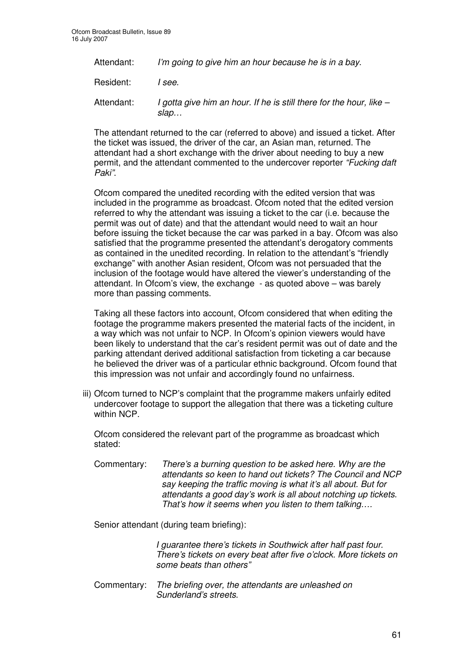| Attendant: | I'm going to give him an hour because he is in a bay.                       |
|------------|-----------------------------------------------------------------------------|
| Resident:  | I see.                                                                      |
| Attendant: | I gotta give him an hour. If he is still there for the hour, like -<br>slap |

The attendant returned to the car (referred to above) and issued a ticket. After the ticket was issued, the driver of the car, an Asian man, returned. The attendant had a short exchange with the driver about needing to buy a new permit, and the attendant commented to the undercover reporter *"Fucking daft Paki"*.

Ofcom compared the unedited recording with the edited version that was included in the programme as broadcast. Ofcom noted that the edited version referred to why the attendant was issuing a ticket to the car (i.e. because the permit was out of date) and that the attendant would need to wait an hour before issuing the ticket because the car was parked in a bay. Ofcom was also satisfied that the programme presented the attendant's derogatory comments as contained in the unedited recording. In relation to the attendant's "friendly exchange" with another Asian resident, Ofcom was not persuaded that the inclusion of the footage would have altered the viewer's understanding of the attendant. In Ofcom's view, the exchange - as quoted above – was barely more than passing comments.

Taking all these factors into account, Ofcom considered that when editing the footage the programme makers presented the material facts of the incident, in a way which was not unfair to NCP. In Ofcom's opinion viewers would have been likely to understand that the car's resident permit was out of date and the parking attendant derived additional satisfaction from ticketing a car because he believed the driver was of a particular ethnic background. Ofcom found that this impression was not unfair and accordingly found no unfairness.

iii) Ofcom turned to NCP's complaint that the programme makers unfairly edited undercover footage to support the allegation that there was a ticketing culture within NCP.

Ofcom considered the relevant part of the programme as broadcast which stated:

Commentary: *There's a burning question to be asked here. Why are the attendants so keen to hand out tickets? The Council and NCP say keeping the traffic moving is what it's all about. But for attendants a good day's work is all about notching up tickets. That's how it seems when you listen to them talking….*

Senior attendant (during team briefing):

*I guarantee there's tickets in Southwick after half past four. There's tickets on every beat after five o'clock. More tickets on some beats than others"*

Commentary: *The briefing over, the attendants are unleashed on Sunderland's streets.*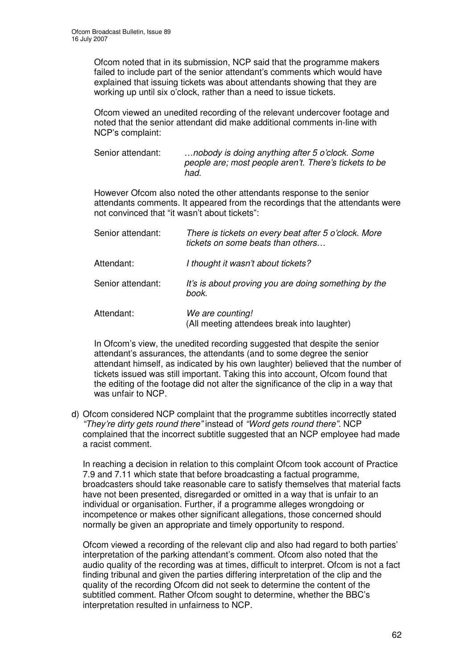Ofcom noted that in its submission, NCP said that the programme makers failed to include part of the senior attendant's comments which would have explained that issuing tickets was about attendants showing that they are working up until six o'clock, rather than a need to issue tickets.

Ofcom viewed an unedited recording of the relevant undercover footage and noted that the senior attendant did make additional comments in-line with NCP's complaint:

Senior attendant: *…nobody is doing anything after 5 o'clock. Some people are; most people aren't. There's tickets to be had.*

However Ofcom also noted the other attendants response to the senior attendants comments. It appeared from the recordings that the attendants were not convinced that "it wasn't about tickets":

| Senior attendant: | There is tickets on every beat after 5 o'clock. More<br>tickets on some beats than others |
|-------------------|-------------------------------------------------------------------------------------------|
| Attendant:        | I thought it wasn't about tickets?                                                        |
| Senior attendant: | It's is about proving you are doing something by the<br>book.                             |
| Attendant:        | We are counting!<br>(All meeting attendees break into laughter)                           |

In Ofcom's view, the unedited recording suggested that despite the senior attendant's assurances, the attendants (and to some degree the senior attendant himself, as indicated by his own laughter) believed that the number of tickets issued was still important. Taking this into account, Ofcom found that the editing of the footage did not alter the significance of the clip in a way that was unfair to NCP.

d) Ofcom considered NCP complaint that the programme subtitles incorrectly stated *"They're dirty gets round there"* instead of *"Word gets round there".* NCP complained that the incorrect subtitle suggested that an NCP employee had made a racist comment.

In reaching a decision in relation to this complaint Ofcom took account of Practice 7.9 and 7.11 which state that before broadcasting a factual programme, broadcasters should take reasonable care to satisfy themselves that material facts have not been presented, disregarded or omitted in a way that is unfair to an individual or organisation. Further, if a programme alleges wrongdoing or incompetence or makes other significant allegations, those concerned should normally be given an appropriate and timely opportunity to respond.

Ofcom viewed a recording of the relevant clip and also had regard to both parties' interpretation of the parking attendant's comment. Ofcom also noted that the audio quality of the recording was at times, difficult to interpret. Ofcom is not a fact finding tribunal and given the parties differing interpretation of the clip and the quality of the recording Ofcom did not seek to determine the content of the subtitled comment. Rather Ofcom sought to determine, whether the BBC's interpretation resulted in unfairness to NCP.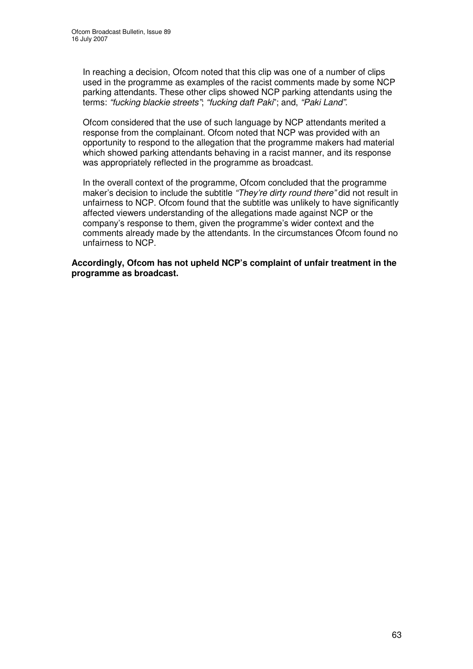In reaching a decision, Ofcom noted that this clip was one of a number of clips used in the programme as examples of the racist comments made by some NCP parking attendants. These other clips showed NCP parking attendants using the terms: *"fucking blackie streets"*; *"fucking daft Paki*"; and, *"Paki Land"*.

Ofcom considered that the use of such language by NCP attendants merited a response from the complainant. Ofcom noted that NCP was provided with an opportunity to respond to the allegation that the programme makers had material which showed parking attendants behaving in a racist manner, and its response was appropriately reflected in the programme as broadcast.

In the overall context of the programme, Ofcom concluded that the programme maker's decision to include the subtitle *"They're dirty round there"* did not result in unfairness to NCP. Ofcom found that the subtitle was unlikely to have significantly affected viewers understanding of the allegations made against NCP or the company's response to them, given the programme's wider context and the comments already made by the attendants. In the circumstances Ofcom found no unfairness to NCP.

**Accordingly, Ofcom has not upheld NCP's complaint of unfair treatment in the programme as broadcast.**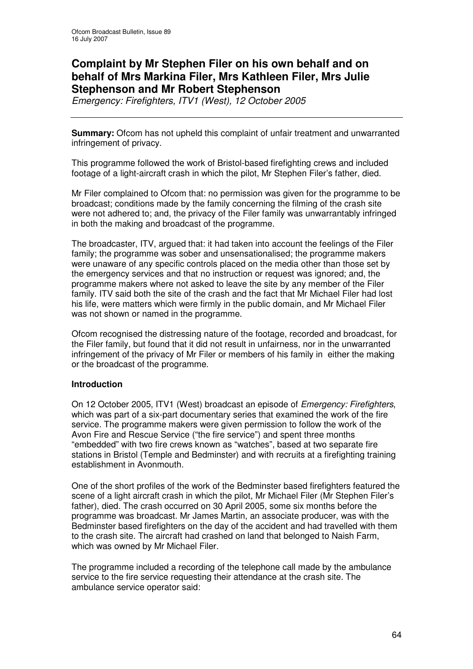# **Complaint by Mr Stephen Filer on his own behalf and on behalf of Mrs Markina Filer, Mrs Kathleen Filer, Mrs Julie Stephenson and Mr Robert Stephenson**

*Emergency: Firefighters, ITV1 (West), 12 October 2005*

**Summary:** Ofcom has not upheld this complaint of unfair treatment and unwarranted infringement of privacy.

This programme followed the work of Bristol-based firefighting crews and included footage of a light-aircraft crash in which the pilot, Mr Stephen Filer's father, died.

Mr Filer complained to Ofcom that: no permission was given for the programme to be broadcast; conditions made by the family concerning the filming of the crash site were not adhered to; and, the privacy of the Filer family was unwarrantably infringed in both the making and broadcast of the programme.

The broadcaster, ITV, argued that: it had taken into account the feelings of the Filer family; the programme was sober and unsensationalised; the programme makers were unaware of any specific controls placed on the media other than those set by the emergency services and that no instruction or request was ignored; and, the programme makers where not asked to leave the site by any member of the Filer family. ITV said both the site of the crash and the fact that Mr Michael Filer had lost his life, were matters which were firmly in the public domain, and Mr Michael Filer was not shown or named in the programme.

Ofcom recognised the distressing nature of the footage, recorded and broadcast, for the Filer family, but found that it did not result in unfairness, nor in the unwarranted infringement of the privacy of Mr Filer or members of his family in either the making or the broadcast of the programme.

#### **Introduction**

On 12 October 2005, ITV1 (West) broadcast an episode of *Emergency: Firefighters*, which was part of a six-part documentary series that examined the work of the fire service. The programme makers were given permission to follow the work of the Avon Fire and Rescue Service ("the fire service") and spent three months "embedded" with two fire crews known as "watches", based at two separate fire stations in Bristol (Temple and Bedminster) and with recruits at a firefighting training establishment in Avonmouth.

One of the short profiles of the work of the Bedminster based firefighters featured the scene of a light aircraft crash in which the pilot, Mr Michael Filer (Mr Stephen Filer's father), died. The crash occurred on 30 April 2005, some six months before the programme was broadcast. Mr James Martin, an associate producer, was with the Bedminster based firefighters on the day of the accident and had travelled with them to the crash site. The aircraft had crashed on land that belonged to Naish Farm, which was owned by Mr Michael Filer.

The programme included a recording of the telephone call made by the ambulance service to the fire service requesting their attendance at the crash site. The ambulance service operator said: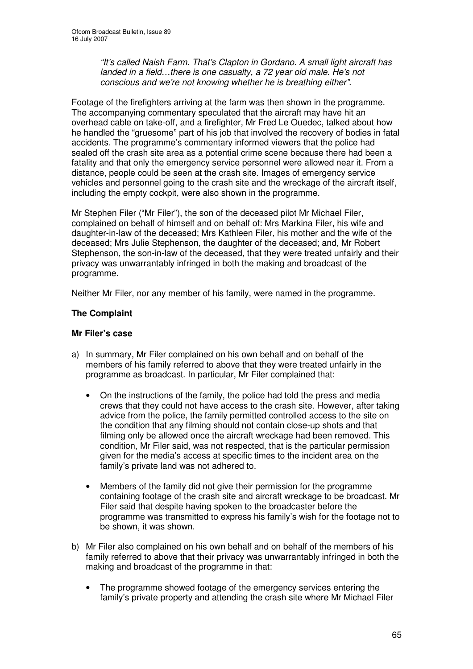*"It's called Naish Farm. That's Clapton in Gordano. A small light aircraft has landed in a field…there is one casualty, a 72 year old male. He's not conscious and we're not knowing whether he is breathing either".*

Footage of the firefighters arriving at the farm was then shown in the programme. The accompanying commentary speculated that the aircraft may have hit an overhead cable on take-off, and a firefighter, Mr Fred Le Ouedec, talked about how he handled the "gruesome" part of his job that involved the recovery of bodies in fatal accidents. The programme's commentary informed viewers that the police had sealed off the crash site area as a potential crime scene because there had been a fatality and that only the emergency service personnel were allowed near it. From a distance, people could be seen at the crash site. Images of emergency service vehicles and personnel going to the crash site and the wreckage of the aircraft itself, including the empty cockpit, were also shown in the programme.

Mr Stephen Filer ("Mr Filer"), the son of the deceased pilot Mr Michael Filer, complained on behalf of himself and on behalf of: Mrs Markina Filer, his wife and daughter-in-law of the deceased; Mrs Kathleen Filer, his mother and the wife of the deceased; Mrs Julie Stephenson, the daughter of the deceased; and, Mr Robert Stephenson, the son-in-law of the deceased, that they were treated unfairly and their privacy was unwarrantably infringed in both the making and broadcast of the programme.

Neither Mr Filer, nor any member of his family, were named in the programme.

## **The Complaint**

## **Mr Filer's case**

- a) In summary, Mr Filer complained on his own behalf and on behalf of the members of his family referred to above that they were treated unfairly in the programme as broadcast. In particular, Mr Filer complained that:
	- On the instructions of the family, the police had told the press and media crews that they could not have access to the crash site. However, after taking advice from the police, the family permitted controlled access to the site on the condition that any filming should not contain close-up shots and that filming only be allowed once the aircraft wreckage had been removed. This condition, Mr Filer said, was not respected, that is the particular permission given for the media's access at specific times to the incident area on the family's private land was not adhered to.
	- Members of the family did not give their permission for the programme containing footage of the crash site and aircraft wreckage to be broadcast. Mr Filer said that despite having spoken to the broadcaster before the programme was transmitted to express his family's wish for the footage not to be shown, it was shown.
- b) Mr Filer also complained on his own behalf and on behalf of the members of his family referred to above that their privacy was unwarrantably infringed in both the making and broadcast of the programme in that:
	- The programme showed footage of the emergency services entering the family's private property and attending the crash site where Mr Michael Filer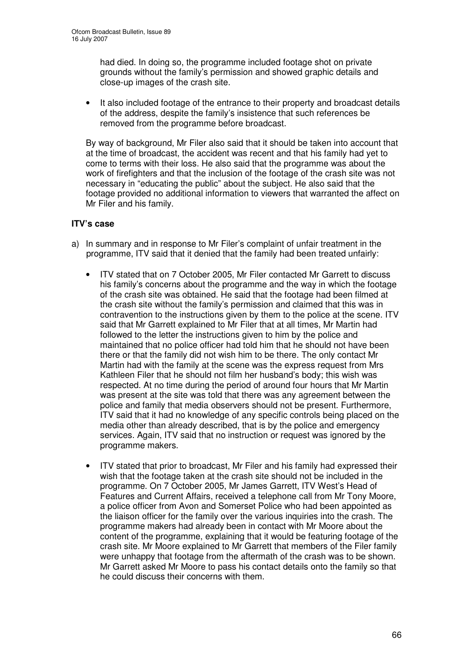had died. In doing so, the programme included footage shot on private grounds without the family's permission and showed graphic details and close-up images of the crash site.

• It also included footage of the entrance to their property and broadcast details of the address, despite the family's insistence that such references be removed from the programme before broadcast.

By way of background, Mr Filer also said that it should be taken into account that at the time of broadcast, the accident was recent and that his family had yet to come to terms with their loss. He also said that the programme was about the work of firefighters and that the inclusion of the footage of the crash site was not necessary in "educating the public" about the subject. He also said that the footage provided no additional information to viewers that warranted the affect on Mr Filer and his family.

## **ITV's case**

- a) In summary and in response to Mr Filer's complaint of unfair treatment in the programme, ITV said that it denied that the family had been treated unfairly:
	- ITV stated that on 7 October 2005, Mr Filer contacted Mr Garrett to discuss his family's concerns about the programme and the way in which the footage of the crash site was obtained. He said that the footage had been filmed at the crash site without the family's permission and claimed that this was in contravention to the instructions given by them to the police at the scene. ITV said that Mr Garrett explained to Mr Filer that at all times, Mr Martin had followed to the letter the instructions given to him by the police and maintained that no police officer had told him that he should not have been there or that the family did not wish him to be there. The only contact Mr Martin had with the family at the scene was the express request from Mrs Kathleen Filer that he should not film her husband's body; this wish was respected. At no time during the period of around four hours that Mr Martin was present at the site was told that there was any agreement between the police and family that media observers should not be present. Furthermore, ITV said that it had no knowledge of any specific controls being placed on the media other than already described, that is by the police and emergency services. Again, ITV said that no instruction or request was ignored by the programme makers.
	- ITV stated that prior to broadcast, Mr Filer and his family had expressed their wish that the footage taken at the crash site should not be included in the programme. On 7 October 2005, Mr James Garrett, ITV West's Head of Features and Current Affairs, received a telephone call from Mr Tony Moore, a police officer from Avon and Somerset Police who had been appointed as the liaison officer for the family over the various inquiries into the crash. The programme makers had already been in contact with Mr Moore about the content of the programme, explaining that it would be featuring footage of the crash site. Mr Moore explained to Mr Garrett that members of the Filer family were unhappy that footage from the aftermath of the crash was to be shown. Mr Garrett asked Mr Moore to pass his contact details onto the family so that he could discuss their concerns with them.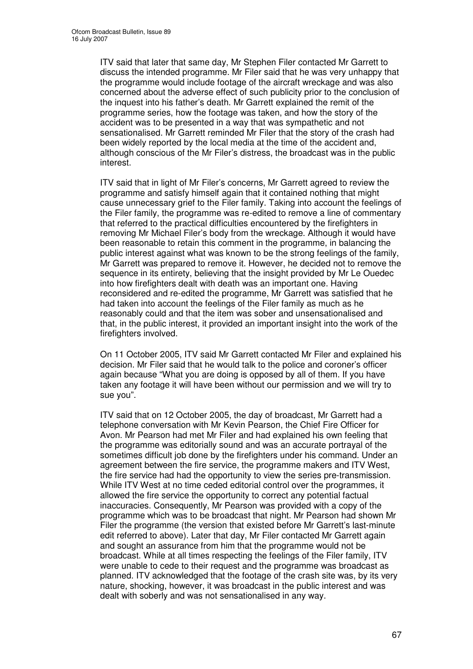ITV said that later that same day, Mr Stephen Filer contacted Mr Garrett to discuss the intended programme. Mr Filer said that he was very unhappy that the programme would include footage of the aircraft wreckage and was also concerned about the adverse effect of such publicity prior to the conclusion of the inquest into his father's death. Mr Garrett explained the remit of the programme series, how the footage was taken, and how the story of the accident was to be presented in a way that was sympathetic and not sensationalised. Mr Garrett reminded Mr Filer that the story of the crash had been widely reported by the local media at the time of the accident and, although conscious of the Mr Filer's distress, the broadcast was in the public interest.

ITV said that in light of Mr Filer's concerns, Mr Garrett agreed to review the programme and satisfy himself again that it contained nothing that might cause unnecessary grief to the Filer family. Taking into account the feelings of the Filer family, the programme was re-edited to remove a line of commentary that referred to the practical difficulties encountered by the firefighters in removing Mr Michael Filer's body from the wreckage. Although it would have been reasonable to retain this comment in the programme, in balancing the public interest against what was known to be the strong feelings of the family, Mr Garrett was prepared to remove it. However, he decided not to remove the sequence in its entirety, believing that the insight provided by Mr Le Ouedec into how firefighters dealt with death was an important one. Having reconsidered and re-edited the programme, Mr Garrett was satisfied that he had taken into account the feelings of the Filer family as much as he reasonably could and that the item was sober and unsensationalised and that, in the public interest, it provided an important insight into the work of the firefighters involved.

On 11 October 2005, ITV said Mr Garrett contacted Mr Filer and explained his decision. Mr Filer said that he would talk to the police and coroner's officer again because "What you are doing is opposed by all of them. If you have taken any footage it will have been without our permission and we will try to sue you".

ITV said that on 12 October 2005, the day of broadcast, Mr Garrett had a telephone conversation with Mr Kevin Pearson, the Chief Fire Officer for Avon. Mr Pearson had met Mr Filer and had explained his own feeling that the programme was editorially sound and was an accurate portrayal of the sometimes difficult job done by the firefighters under his command. Under an agreement between the fire service, the programme makers and ITV West, the fire service had had the opportunity to view the series pre-transmission. While ITV West at no time ceded editorial control over the programmes, it allowed the fire service the opportunity to correct any potential factual inaccuracies. Consequently, Mr Pearson was provided with a copy of the programme which was to be broadcast that night. Mr Pearson had shown Mr Filer the programme (the version that existed before Mr Garrett's last-minute edit referred to above). Later that day, Mr Filer contacted Mr Garrett again and sought an assurance from him that the programme would not be broadcast. While at all times respecting the feelings of the Filer family, ITV were unable to cede to their request and the programme was broadcast as planned. ITV acknowledged that the footage of the crash site was, by its very nature, shocking, however, it was broadcast in the public interest and was dealt with soberly and was not sensationalised in any way.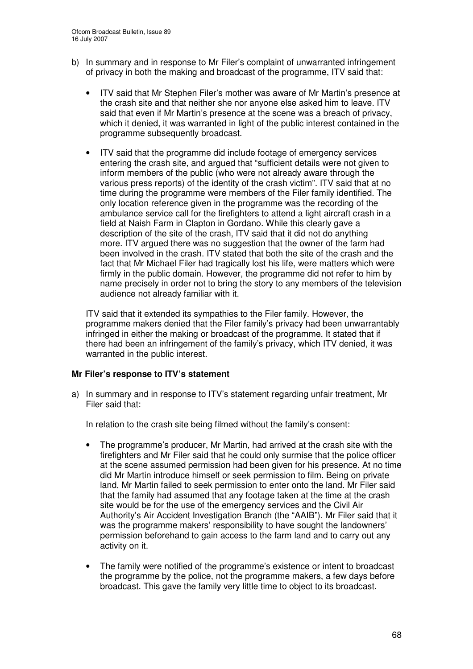- b) In summary and in response to Mr Filer's complaint of unwarranted infringement of privacy in both the making and broadcast of the programme, ITV said that:
	- ITV said that Mr Stephen Filer's mother was aware of Mr Martin's presence at the crash site and that neither she nor anyone else asked him to leave. ITV said that even if Mr Martin's presence at the scene was a breach of privacy, which it denied, it was warranted in light of the public interest contained in the programme subsequently broadcast.
	- ITV said that the programme did include footage of emergency services entering the crash site, and argued that "sufficient details were not given to inform members of the public (who were not already aware through the various press reports) of the identity of the crash victim". ITV said that at no time during the programme were members of the Filer family identified. The only location reference given in the programme was the recording of the ambulance service call for the firefighters to attend a light aircraft crash in a field at Naish Farm in Clapton in Gordano. While this clearly gave a description of the site of the crash, ITV said that it did not do anything more. ITV argued there was no suggestion that the owner of the farm had been involved in the crash. ITV stated that both the site of the crash and the fact that Mr Michael Filer had tragically lost his life, were matters which were firmly in the public domain. However, the programme did not refer to him by name precisely in order not to bring the story to any members of the television audience not already familiar with it.

ITV said that it extended its sympathies to the Filer family. However, the programme makers denied that the Filer family's privacy had been unwarrantably infringed in either the making or broadcast of the programme. It stated that if there had been an infringement of the family's privacy, which ITV denied, it was warranted in the public interest.

# **Mr Filer's response to ITV's statement**

a) In summary and in response to ITV's statement regarding unfair treatment, Mr Filer said that:

In relation to the crash site being filmed without the family's consent:

- The programme's producer, Mr Martin, had arrived at the crash site with the firefighters and Mr Filer said that he could only surmise that the police officer at the scene assumed permission had been given for his presence. At no time did Mr Martin introduce himself or seek permission to film. Being on private land, Mr Martin failed to seek permission to enter onto the land. Mr Filer said that the family had assumed that any footage taken at the time at the crash site would be for the use of the emergency services and the Civil Air Authority's Air Accident Investigation Branch (the "AAIB"). Mr Filer said that it was the programme makers' responsibility to have sought the landowners' permission beforehand to gain access to the farm land and to carry out any activity on it.
- The family were notified of the programme's existence or intent to broadcast the programme by the police, not the programme makers, a few days before broadcast. This gave the family very little time to object to its broadcast.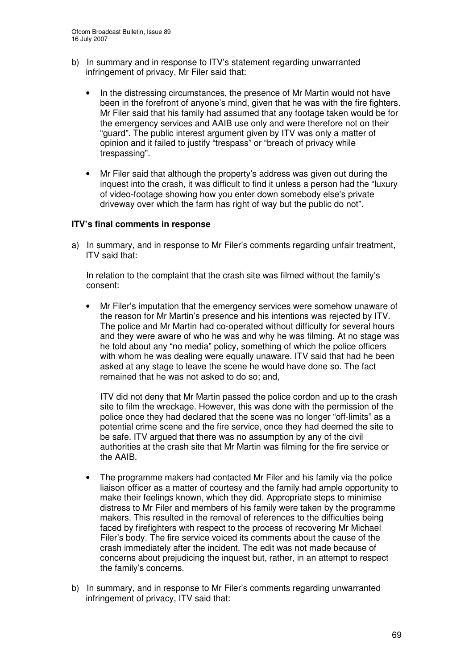- b) In summary and in response to ITV's statement regarding unwarranted infringement of privacy, Mr Filer said that:
	- In the distressing circumstances, the presence of Mr Martin would not have been in the forefront of anyone's mind, given that he was with the fire fighters. Mr Filer said that his family had assumed that any footage taken would be for the emergency services and AAIB use only and were therefore not on their "guard". The public interest argument given by ITV was only a matter of opinion and it failed to justify "trespass" or "breach of privacy while trespassing".
	- Mr Filer said that although the property's address was given out during the inquest into the crash, it was difficult to find it unless a person had the "luxury of video-footage showing how you enter down somebody else's private driveway over which the farm has right of way but the public do not".

#### **ITV's final comments in response**

a) In summary, and in response to Mr Filer's comments regarding unfair treatment, ITV said that:

In relation to the complaint that the crash site was filmed without the family's consent:

• Mr Filer's imputation that the emergency services were somehow unaware of the reason for Mr Martin's presence and his intentions was rejected by ITV. The police and Mr Martin had co-operated without difficulty for several hours and they were aware of who he was and why he was filming. At no stage was he told about any "no media" policy, something of which the police officers with whom he was dealing were equally unaware. ITV said that had he been asked at any stage to leave the scene he would have done so. The fact remained that he was not asked to do so; and,

ITV did not deny that Mr Martin passed the police cordon and up to the crash site to film the wreckage. However, this was done with the permission of the police once they had declared that the scene was no longer "off-limits" as a potential crime scene and the fire service, once they had deemed the site to be safe. ITV argued that there was no assumption by any of the civil authorities at the crash site that Mr Martin was filming for the fire service or the AAIB.

- The programme makers had contacted Mr Filer and his family via the police liaison officer as a matter of courtesy and the family had ample opportunity to make their feelings known, which they did. Appropriate steps to minimise distress to Mr Filer and members of his family were taken by the programme makers. This resulted in the removal of references to the difficulties being faced by firefighters with respect to the process of recovering Mr Michael Filer's body. The fire service voiced its comments about the cause of the crash immediately after the incident. The edit was not made because of concerns about prejudicing the inquest but, rather, in an attempt to respect the family's concerns.
- b) In summary, and in response to Mr Filer's comments regarding unwarranted infringement of privacy, ITV said that: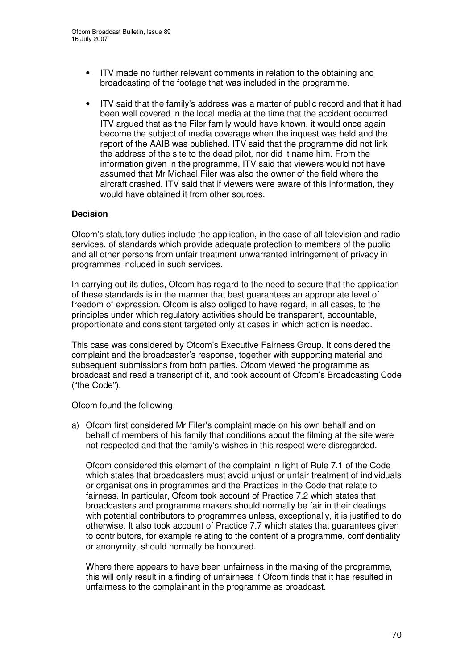- ITV made no further relevant comments in relation to the obtaining and broadcasting of the footage that was included in the programme.
- ITV said that the family's address was a matter of public record and that it had been well covered in the local media at the time that the accident occurred. ITV argued that as the Filer family would have known, it would once again become the subject of media coverage when the inquest was held and the report of the AAIB was published. ITV said that the programme did not link the address of the site to the dead pilot, nor did it name him. From the information given in the programme, ITV said that viewers would not have assumed that Mr Michael Filer was also the owner of the field where the aircraft crashed. ITV said that if viewers were aware of this information, they would have obtained it from other sources.

## **Decision**

Ofcom's statutory duties include the application, in the case of all television and radio services, of standards which provide adequate protection to members of the public and all other persons from unfair treatment unwarranted infringement of privacy in programmes included in such services.

In carrying out its duties, Ofcom has regard to the need to secure that the application of these standards is in the manner that best guarantees an appropriate level of freedom of expression. Ofcom is also obliged to have regard, in all cases, to the principles under which regulatory activities should be transparent, accountable, proportionate and consistent targeted only at cases in which action is needed.

This case was considered by Ofcom's Executive Fairness Group. It considered the complaint and the broadcaster's response, together with supporting material and subsequent submissions from both parties. Ofcom viewed the programme as broadcast and read a transcript of it, and took account of Ofcom's Broadcasting Code ("the Code").

Ofcom found the following:

a) Ofcom first considered Mr Filer's complaint made on his own behalf and on behalf of members of his family that conditions about the filming at the site were not respected and that the family's wishes in this respect were disregarded.

Ofcom considered this element of the complaint in light of Rule 7.1 of the Code which states that broadcasters must avoid unjust or unfair treatment of individuals or organisations in programmes and the Practices in the Code that relate to fairness. In particular, Ofcom took account of Practice 7.2 which states that broadcasters and programme makers should normally be fair in their dealings with potential contributors to programmes unless, exceptionally, it is justified to do otherwise. It also took account of Practice 7.7 which states that guarantees given to contributors, for example relating to the content of a programme, confidentiality or anonymity, should normally be honoured.

Where there appears to have been unfairness in the making of the programme, this will only result in a finding of unfairness if Ofcom finds that it has resulted in unfairness to the complainant in the programme as broadcast.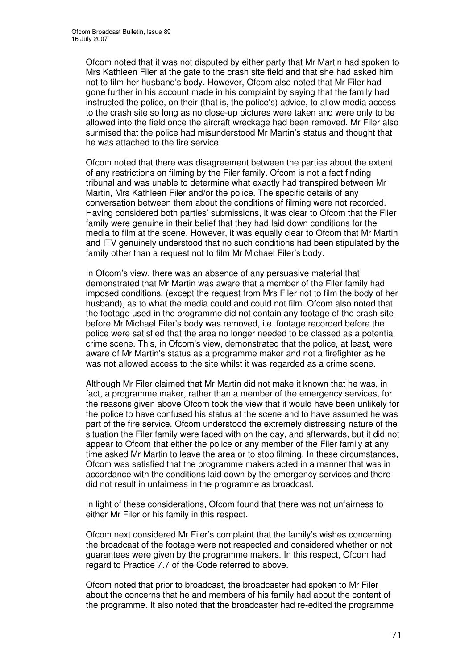Ofcom noted that it was not disputed by either party that Mr Martin had spoken to Mrs Kathleen Filer at the gate to the crash site field and that she had asked him not to film her husband's body. However, Ofcom also noted that Mr Filer had gone further in his account made in his complaint by saying that the family had instructed the police, on their (that is, the police's) advice, to allow media access to the crash site so long as no close-up pictures were taken and were only to be allowed into the field once the aircraft wreckage had been removed. Mr Filer also surmised that the police had misunderstood Mr Martin's status and thought that he was attached to the fire service.

Ofcom noted that there was disagreement between the parties about the extent of any restrictions on filming by the Filer family. Ofcom is not a fact finding tribunal and was unable to determine what exactly had transpired between Mr Martin, Mrs Kathleen Filer and/or the police. The specific details of any conversation between them about the conditions of filming were not recorded. Having considered both parties' submissions, it was clear to Ofcom that the Filer family were genuine in their belief that they had laid down conditions for the media to film at the scene, However, it was equally clear to Ofcom that Mr Martin and ITV genuinely understood that no such conditions had been stipulated by the family other than a request not to film Mr Michael Filer's body.

In Ofcom's view, there was an absence of any persuasive material that demonstrated that Mr Martin was aware that a member of the Filer family had imposed conditions, (except the request from Mrs Filer not to film the body of her husband), as to what the media could and could not film. Ofcom also noted that the footage used in the programme did not contain any footage of the crash site before Mr Michael Filer's body was removed, i.e. footage recorded before the police were satisfied that the area no longer needed to be classed as a potential crime scene. This, in Ofcom's view, demonstrated that the police, at least, were aware of Mr Martin's status as a programme maker and not a firefighter as he was not allowed access to the site whilst it was regarded as a crime scene.

Although Mr Filer claimed that Mr Martin did not make it known that he was, in fact, a programme maker, rather than a member of the emergency services, for the reasons given above Ofcom took the view that it would have been unlikely for the police to have confused his status at the scene and to have assumed he was part of the fire service. Ofcom understood the extremely distressing nature of the situation the Filer family were faced with on the day, and afterwards, but it did not appear to Ofcom that either the police or any member of the Filer family at any time asked Mr Martin to leave the area or to stop filming. In these circumstances, Ofcom was satisfied that the programme makers acted in a manner that was in accordance with the conditions laid down by the emergency services and there did not result in unfairness in the programme as broadcast.

In light of these considerations, Ofcom found that there was not unfairness to either Mr Filer or his family in this respect.

Ofcom next considered Mr Filer's complaint that the family's wishes concerning the broadcast of the footage were not respected and considered whether or not guarantees were given by the programme makers. In this respect, Ofcom had regard to Practice 7.7 of the Code referred to above.

Ofcom noted that prior to broadcast, the broadcaster had spoken to Mr Filer about the concerns that he and members of his family had about the content of the programme. It also noted that the broadcaster had re-edited the programme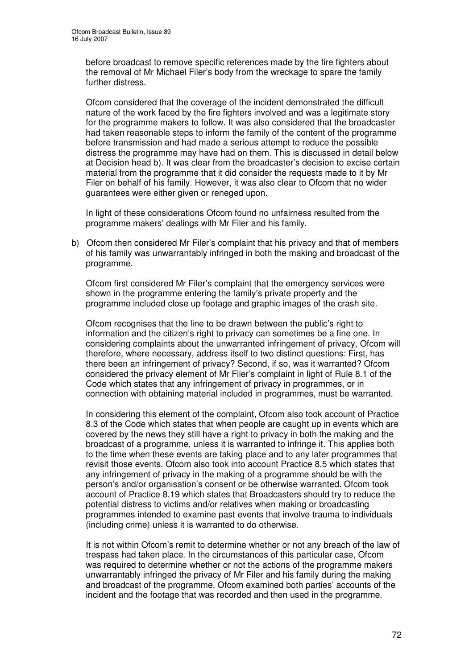before broadcast to remove specific references made by the fire fighters about the removal of Mr Michael Filer's body from the wreckage to spare the family further distress.

Ofcom considered that the coverage of the incident demonstrated the difficult nature of the work faced by the fire fighters involved and was a legitimate story for the programme makers to follow. It was also considered that the broadcaster had taken reasonable steps to inform the family of the content of the programme before transmission and had made a serious attempt to reduce the possible distress the programme may have had on them. This is discussed in detail below at Decision head b). It was clear from the broadcaster's decision to excise certain material from the programme that it did consider the requests made to it by Mr Filer on behalf of his family. However, it was also clear to Ofcom that no wider guarantees were either given or reneged upon.

In light of these considerations Ofcom found no unfairness resulted from the programme makers' dealings with Mr Filer and his family.

b) Ofcom then considered Mr Filer's complaint that his privacy and that of members of his family was unwarrantably infringed in both the making and broadcast of the programme.

Ofcom first considered Mr Filer's complaint that the emergency services were shown in the programme entering the family's private property and the programme included close up footage and graphic images of the crash site.

Ofcom recognises that the line to be drawn between the public's right to information and the citizen's right to privacy can sometimes be a fine one. In considering complaints about the unwarranted infringement of privacy, Ofcom will therefore, where necessary, address itself to two distinct questions: First, has there been an infringement of privacy? Second, if so, was it warranted? Ofcom considered the privacy element of Mr Filer's complaint in light of Rule 8.1 of the Code which states that any infringement of privacy in programmes, or in connection with obtaining material included in programmes, must be warranted.

In considering this element of the complaint, Ofcom also took account of Practice 8.3 of the Code which states that when people are caught up in events which are covered by the news they still have a right to privacy in both the making and the broadcast of a programme, unless it is warranted to infringe it. This applies both to the time when these events are taking place and to any later programmes that revisit those events. Ofcom also took into account Practice 8.5 which states that any infringement of privacy in the making of a programme should be with the person's and/or organisation's consent or be otherwise warranted. Ofcom took account of Practice 8.19 which states that Broadcasters should try to reduce the potential distress to victims and/or relatives when making or broadcasting programmes intended to examine past events that involve trauma to individuals (including crime) unless it is warranted to do otherwise.

It is not within Ofcom's remit to determine whether or not any breach of the law of trespass had taken place. In the circumstances of this particular case, Ofcom was required to determine whether or not the actions of the programme makers unwarrantably infringed the privacy of Mr Filer and his family during the making and broadcast of the programme. Ofcom examined both parties' accounts of the incident and the footage that was recorded and then used in the programme.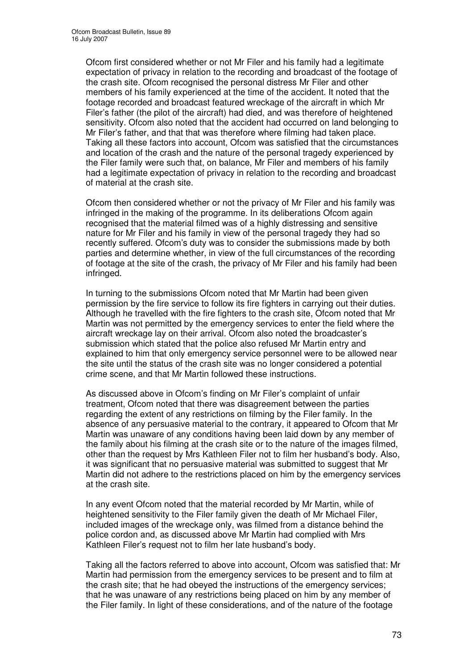Ofcom first considered whether or not Mr Filer and his family had a legitimate expectation of privacy in relation to the recording and broadcast of the footage of the crash site. Ofcom recognised the personal distress Mr Filer and other members of his family experienced at the time of the accident. It noted that the footage recorded and broadcast featured wreckage of the aircraft in which Mr Filer's father (the pilot of the aircraft) had died, and was therefore of heightened sensitivity. Ofcom also noted that the accident had occurred on land belonging to Mr Filer's father, and that that was therefore where filming had taken place. Taking all these factors into account, Ofcom was satisfied that the circumstances and location of the crash and the nature of the personal tragedy experienced by the Filer family were such that, on balance, Mr Filer and members of his family had a legitimate expectation of privacy in relation to the recording and broadcast of material at the crash site.

Ofcom then considered whether or not the privacy of Mr Filer and his family was infringed in the making of the programme. In its deliberations Ofcom again recognised that the material filmed was of a highly distressing and sensitive nature for Mr Filer and his family in view of the personal tragedy they had so recently suffered. Ofcom's duty was to consider the submissions made by both parties and determine whether, in view of the full circumstances of the recording of footage at the site of the crash, the privacy of Mr Filer and his family had been infringed.

In turning to the submissions Ofcom noted that Mr Martin had been given permission by the fire service to follow its fire fighters in carrying out their duties. Although he travelled with the fire fighters to the crash site, Ofcom noted that Mr Martin was not permitted by the emergency services to enter the field where the aircraft wreckage lay on their arrival. Ofcom also noted the broadcaster's submission which stated that the police also refused Mr Martin entry and explained to him that only emergency service personnel were to be allowed near the site until the status of the crash site was no longer considered a potential crime scene, and that Mr Martin followed these instructions.

As discussed above in Ofcom's finding on Mr Filer's complaint of unfair treatment, Ofcom noted that there was disagreement between the parties regarding the extent of any restrictions on filming by the Filer family. In the absence of any persuasive material to the contrary, it appeared to Ofcom that Mr Martin was unaware of any conditions having been laid down by any member of the family about his filming at the crash site or to the nature of the images filmed, other than the request by Mrs Kathleen Filer not to film her husband's body. Also, it was significant that no persuasive material was submitted to suggest that Mr Martin did not adhere to the restrictions placed on him by the emergency services at the crash site.

In any event Ofcom noted that the material recorded by Mr Martin, while of heightened sensitivity to the Filer family given the death of Mr Michael Filer, included images of the wreckage only, was filmed from a distance behind the police cordon and, as discussed above Mr Martin had complied with Mrs Kathleen Filer's request not to film her late husband's body.

Taking all the factors referred to above into account, Ofcom was satisfied that: Mr Martin had permission from the emergency services to be present and to film at the crash site; that he had obeyed the instructions of the emergency services; that he was unaware of any restrictions being placed on him by any member of the Filer family. In light of these considerations, and of the nature of the footage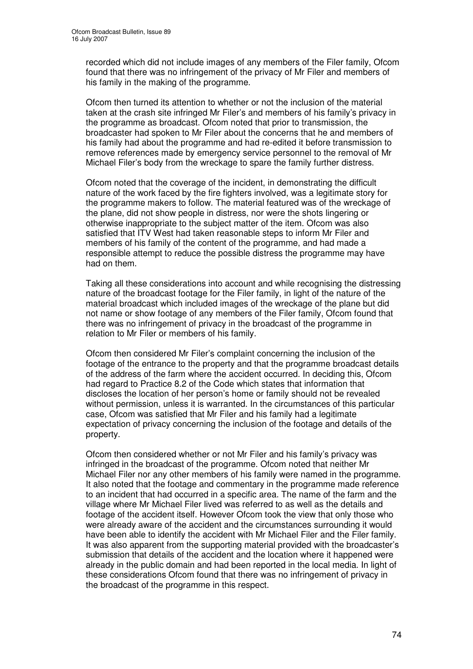recorded which did not include images of any members of the Filer family, Ofcom found that there was no infringement of the privacy of Mr Filer and members of his family in the making of the programme.

Ofcom then turned its attention to whether or not the inclusion of the material taken at the crash site infringed Mr Filer's and members of his family's privacy in the programme as broadcast. Ofcom noted that prior to transmission, the broadcaster had spoken to Mr Filer about the concerns that he and members of his family had about the programme and had re-edited it before transmission to remove references made by emergency service personnel to the removal of Mr Michael Filer's body from the wreckage to spare the family further distress.

Ofcom noted that the coverage of the incident, in demonstrating the difficult nature of the work faced by the fire fighters involved, was a legitimate story for the programme makers to follow. The material featured was of the wreckage of the plane, did not show people in distress, nor were the shots lingering or otherwise inappropriate to the subject matter of the item. Ofcom was also satisfied that ITV West had taken reasonable steps to inform Mr Filer and members of his family of the content of the programme, and had made a responsible attempt to reduce the possible distress the programme may have had on them.

Taking all these considerations into account and while recognising the distressing nature of the broadcast footage for the Filer family, in light of the nature of the material broadcast which included images of the wreckage of the plane but did not name or show footage of any members of the Filer family, Ofcom found that there was no infringement of privacy in the broadcast of the programme in relation to Mr Filer or members of his family.

Ofcom then considered Mr Filer's complaint concerning the inclusion of the footage of the entrance to the property and that the programme broadcast details of the address of the farm where the accident occurred. In deciding this, Ofcom had regard to Practice 8.2 of the Code which states that information that discloses the location of her person's home or family should not be revealed without permission, unless it is warranted. In the circumstances of this particular case, Ofcom was satisfied that Mr Filer and his family had a legitimate expectation of privacy concerning the inclusion of the footage and details of the property.

Ofcom then considered whether or not Mr Filer and his family's privacy was infringed in the broadcast of the programme. Ofcom noted that neither Mr Michael Filer nor any other members of his family were named in the programme. It also noted that the footage and commentary in the programme made reference to an incident that had occurred in a specific area. The name of the farm and the village where Mr Michael Filer lived was referred to as well as the details and footage of the accident itself. However Ofcom took the view that only those who were already aware of the accident and the circumstances surrounding it would have been able to identify the accident with Mr Michael Filer and the Filer family. It was also apparent from the supporting material provided with the broadcaster's submission that details of the accident and the location where it happened were already in the public domain and had been reported in the local media. In light of these considerations Ofcom found that there was no infringement of privacy in the broadcast of the programme in this respect.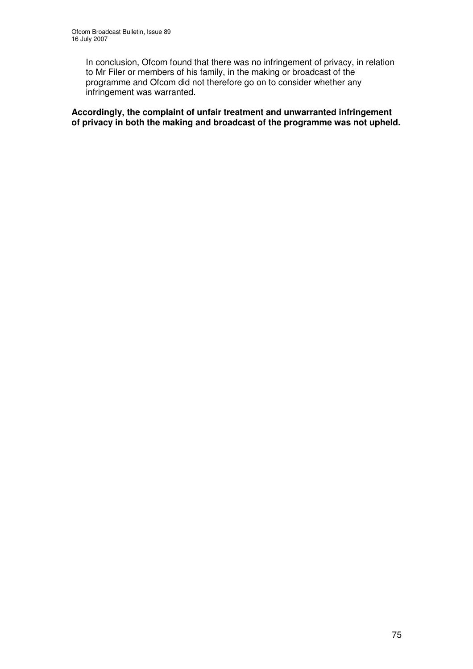In conclusion, Ofcom found that there was no infringement of privacy, in relation to Mr Filer or members of his family, in the making or broadcast of the programme and Ofcom did not therefore go on to consider whether any infringement was warranted.

**Accordingly, the complaint of unfair treatment and unwarranted infringement of privacy in both the making and broadcast of the programme was not upheld.**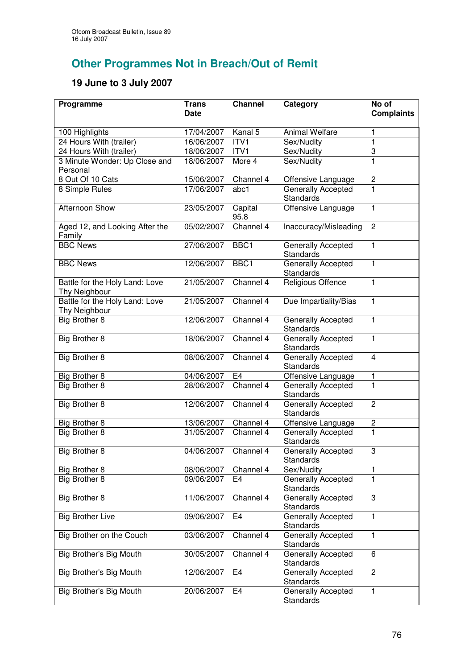## **Other Programmes Not in Breach/Out of Remit**

## **19 June to 3 July 2007**

| Programme                                       | Trans<br><b>Date</b> | <b>Channel</b>  | Category                                      | No of<br><b>Complaints</b> |
|-------------------------------------------------|----------------------|-----------------|-----------------------------------------------|----------------------------|
|                                                 | 17/04/2007           | Kanal 5         | <b>Animal Welfare</b>                         | 1                          |
| 100 Highlights<br>24 Hours With (trailer)       | 16/06/2007           | ITVI            | Sex/Nudity                                    | $\mathbf{1}$               |
| 24 Hours With (trailer)                         | 18/06/2007           | ITV1            | Sex/Nudity                                    | $\overline{3}$             |
| 3 Minute Wonder: Up Close and                   | 18/06/2007           | More 4          | Sex/Nudity                                    | $\overline{1}$             |
| Personal                                        |                      |                 |                                               |                            |
| 8 Out Of 10 Cats                                | 15/06/2007           | Channel 4       | Offensive Language                            | $\mathbf 2$                |
| 8 Simple Rules                                  | 17/06/2007           | abc1            | Generally Accepted<br><b>Standards</b>        | 1                          |
| Afternoon Show                                  | 23/05/2007           | Capital<br>95.8 | Offensive Language                            | 1                          |
| Aged 12, and Looking After the<br>Family        | 05/02/2007           | Channel 4       | Inaccuracy/Misleading                         | $\overline{c}$             |
| <b>BBC News</b>                                 | 27/06/2007           | BBC1            | Generally Accepted<br>Standards               | $\mathbf{1}$               |
| <b>BBC News</b>                                 | 12/06/2007           | BBC1            | Generally Accepted<br>Standards               | 1                          |
| Battle for the Holy Land: Love<br>Thy Neighbour | 21/05/2007           | Channel 4       | Religious Offence                             | $\mathbf{1}$               |
| Battle for the Holy Land: Love<br>Thy Neighbour | 21/05/2007           | Channel 4       | Due Impartiality/Bias                         | 1                          |
| Big Brother 8                                   | 12/06/2007           | Channel 4       | Generally Accepted<br>Standards               | $\mathbf{1}$               |
| Big Brother 8                                   | 18/06/2007           | Channel 4       | Generally Accepted<br>Standards               | $\overline{1}$             |
| Big Brother 8                                   | 08/06/2007           | Channel 4       | Generally Accepted<br>Standards               | $\overline{4}$             |
| Big Brother 8                                   | 04/06/2007           | E4              | Offensive Language                            | 1                          |
| Big Brother 8                                   | 28/06/2007           | Channel 4       | Generally Accepted<br>Standards               | $\overline{1}$             |
| Big Brother 8                                   | 12/06/2007           | Channel 4       | Generally Accepted<br><b>Standards</b>        | $\overline{2}$             |
| Big Brother 8                                   | 13/06/2007           | Channel 4       | Offensive Language                            | $\overline{\mathbf{c}}$    |
| Big Brother 8                                   | 31/05/2007           | Channel 4       | Generally Accepted<br>Standards               | $\mathbf{1}$               |
| Big Brother 8                                   | 04/06/2007           | Channel 4       | <b>Generally Accepted</b><br><b>Standards</b> | 3                          |
| Big Brother 8                                   | 08/06/2007           | Channel 4       | Sex/Nudity                                    | 1                          |
| Big Brother 8                                   | 09/06/2007           | E4              | Generally Accepted<br><b>Standards</b>        | 1                          |
| Big Brother 8                                   | 11/06/2007           | Channel 4       | <b>Generally Accepted</b><br>Standards        | 3                          |
| <b>Big Brother Live</b>                         | 09/06/2007           | E <sub>4</sub>  | Generally Accepted<br><b>Standards</b>        | 1                          |
| Big Brother on the Couch                        | 03/06/2007           | Channel 4       | Generally Accepted<br>Standards               | $\mathbf{1}$               |
| Big Brother's Big Mouth                         | 30/05/2007           | Channel 4       | <b>Generally Accepted</b><br>Standards        | 6                          |
| Big Brother's Big Mouth                         | 12/06/2007           | E <sub>4</sub>  | Generally Accepted<br><b>Standards</b>        | $\overline{c}$             |
| Big Brother's Big Mouth                         | 20/06/2007           | E4              | Generally Accepted<br><b>Standards</b>        | $\mathbf{1}$               |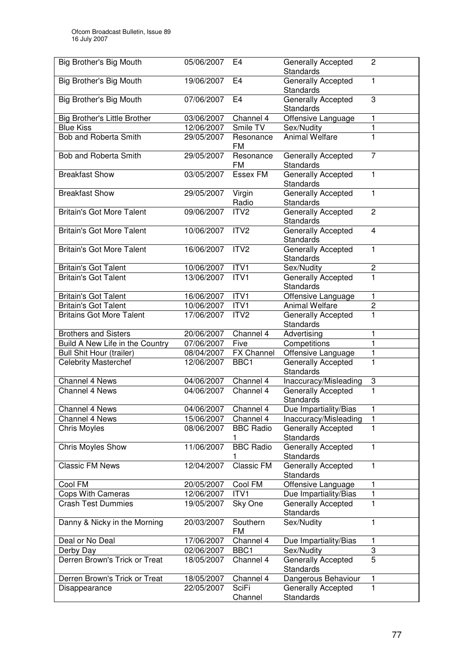| Big Brother's Big Mouth          | 05/06/2007 | E4                      | Generally Accepted              | $\overline{c}$ |
|----------------------------------|------------|-------------------------|---------------------------------|----------------|
|                                  |            |                         | <b>Standards</b>                |                |
|                                  |            | E4                      | Generally Accepted              | 1              |
| Big Brother's Big Mouth          | 19/06/2007 |                         | <b>Standards</b>                |                |
|                                  |            |                         |                                 |                |
| Big Brother's Big Mouth          | 07/06/2007 | E <sub>4</sub>          | Generally Accepted              | 3              |
|                                  |            |                         | Standards                       |                |
| Big Brother's Little Brother     | 03/06/2007 | Channel 4               | Offensive Language              | 1              |
| <b>Blue Kiss</b>                 | 12/06/2007 | Smile TV                | Sex/Nudity                      | 1              |
| Bob and Roberta Smith            | 29/05/2007 | Resonance               | <b>Animal Welfare</b>           | $\mathbf{1}$   |
|                                  |            | FM                      |                                 |                |
| Bob and Roberta Smith            | 29/05/2007 | Resonance               | Generally Accepted              | 7              |
|                                  |            | FM                      | Standards                       |                |
| <b>Breakfast Show</b>            | 03/05/2007 | <b>Essex FM</b>         | Generally Accepted              | $\mathbf{1}$   |
|                                  |            |                         | Standards                       |                |
| <b>Breakfast Show</b>            | 29/05/2007 | Virgin                  | <b>Generally Accepted</b>       | 1              |
|                                  |            | Radio                   | Standards                       |                |
| <b>Britain's Got More Talent</b> | 09/06/2007 | ITV2                    | <b>Generally Accepted</b>       | $\overline{2}$ |
|                                  |            |                         | Standards                       |                |
| <b>Britain's Got More Talent</b> | 10/06/2007 | ITV <sub>2</sub>        | Generally Accepted              | $\overline{4}$ |
|                                  |            |                         | Standards                       |                |
| <b>Britain's Got More Talent</b> | 16/06/2007 | ITV2                    | <b>Generally Accepted</b>       | $\mathbf{1}$   |
|                                  |            |                         | Standards                       |                |
| <b>Britain's Got Talent</b>      | 10/06/2007 | ITV1                    | Sex/Nudity                      | $\overline{c}$ |
| <b>Britain's Got Talent</b>      | 13/06/2007 | ITV1                    | Generally Accepted              | 1              |
|                                  |            |                         | Standards                       |                |
|                                  |            |                         |                                 |                |
| <b>Britain's Got Talent</b>      | 16/06/2007 | ITV1                    | Offensive Language              | 1              |
| <b>Britain's Got Talent</b>      | 10/06/2007 | ITV1                    | Animal Welfare                  | $\overline{2}$ |
| <b>Britains Got More Talent</b>  | 17/06/2007 | ITV <sub>2</sub>        | Generally Accepted              | $\overline{1}$ |
|                                  |            |                         | Standards                       |                |
| <b>Brothers and Sisters</b>      | 20/06/2007 | Channel 4               | Advertising                     | 1              |
| Build A New Life in the Country  | 07/06/2007 | Five                    | Competitions                    | 1              |
| <b>Bull Shit Hour (trailer)</b>  | 08/04/2007 | <b>FX Channel</b>       | Offensive Language              | 1              |
| <b>Celebrity Masterchef</b>      | 12/06/2007 | BBC1                    | Generally Accepted              | $\mathbf{1}$   |
|                                  |            |                         | Standards                       |                |
| <b>Channel 4 News</b>            | 04/06/2007 | Channel 4               | Inaccuracy/Misleading           | 3              |
| Channel 4 News                   | 04/06/2007 | Channel 4               | Generally Accepted              | $\overline{1}$ |
|                                  |            |                         | Standards                       |                |
| Channel 4 News                   | 04/06/2007 | Channel 4               | Due Impartiality/Bias           | 1              |
| Channel 4 News                   | 15/06/2007 | Channel 4               | Inaccuracy/Misleading           | 1              |
| <b>Chris Moyles</b>              | 08/06/2007 | <b>BBC Radio</b>        | <b>Generally Accepted</b>       | 1              |
|                                  |            |                         | Standards                       |                |
| Chris Moyles Show                | 11/06/2007 | <b>BBC Radio</b>        | Generally Accepted              | $\mathbf{1}$   |
|                                  |            |                         | Standards                       |                |
| <b>Classic FM News</b>           | 12/04/2007 | Classic FM              | Generally Accepted              | $\mathbf{1}$   |
|                                  |            |                         | Standards                       |                |
| Cool FM                          | 20/05/2007 | Cool FM                 | Offensive Language              | 1              |
| Cops With Cameras                | 12/06/2007 | ITV1                    |                                 | $\mathbf{1}$   |
|                                  |            |                         | Due Impartiality/Bias           |                |
| <b>Crash Test Dummies</b>        |            |                         |                                 |                |
|                                  | 19/05/2007 | Sky One                 | Generally Accepted              | 1              |
|                                  |            |                         | Standards                       |                |
| Danny & Nicky in the Morning     | 20/03/2007 | Southern                | Sex/Nudity                      | 1              |
|                                  |            | <b>FM</b>               |                                 |                |
| Deal or No Deal                  | 17/06/2007 | Channel 4               | Due Impartiality/Bias           | 1              |
| Derby Day                        | 02/06/2007 | BBC1                    | Sex/Nudity                      | 3              |
| Derren Brown's Trick or Treat    | 18/05/2007 | Channel 4               | Generally Accepted              | $\overline{5}$ |
|                                  |            |                         | Standards                       |                |
| Derren Brown's Trick or Treat    | 18/05/2007 | Channel 4               | Dangerous Behaviour             | 1              |
| Disappearance                    | 22/05/2007 | <b>SciFi</b><br>Channel | Generally Accepted<br>Standards | 1              |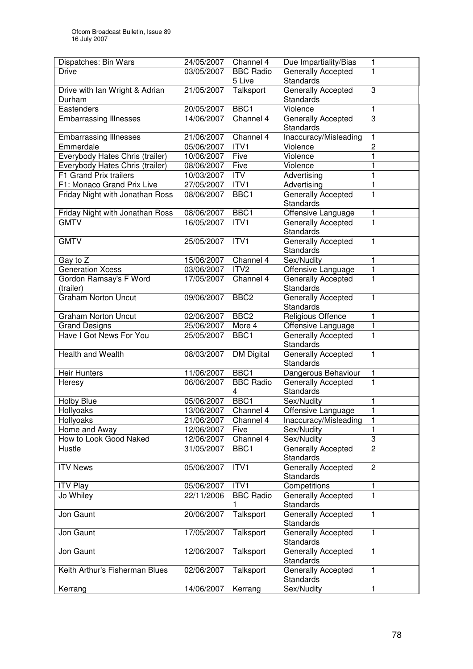| Dispatches: Bin Wars            | 24/05/2007 | Channel 4             | Due Impartiality/Bias                         | 1                         |
|---------------------------------|------------|-----------------------|-----------------------------------------------|---------------------------|
| <b>Drive</b>                    | 03/05/2007 | <b>BBC Radio</b>      | <b>Generally Accepted</b>                     | 1                         |
|                                 |            | 5 Live                | Standards                                     |                           |
| Drive with Ian Wright & Adrian  | 21/05/2007 | Talksport             | Generally Accepted                            | 3                         |
| Durham                          |            |                       | <b>Standards</b>                              |                           |
| Eastenders                      | 20/05/2007 | BBC1                  | Violence                                      | 1                         |
| <b>Embarrassing Illnesses</b>   | 14/06/2007 | Channel 4             | Generally Accepted                            | $\overline{3}$            |
|                                 |            |                       | Standards                                     |                           |
| <b>Embarrassing Illnesses</b>   | 21/06/2007 | Channel 4             | Inaccuracy/Misleading                         | 1                         |
| Emmerdale                       | 05/06/2007 | ITV1                  | Violence                                      | $\overline{c}$            |
| Everybody Hates Chris (trailer) | 10/06/2007 | Five                  | Violence                                      | 1                         |
| Everybody Hates Chris (trailer) | 08/06/2007 | Five                  | Violence                                      | 1                         |
| F1 Grand Prix trailers          | 10/03/2007 | <b>ITV</b>            | Advertising                                   | 1                         |
| F1: Monaco Grand Prix Live      | 27/05/2007 | ITV1                  | Advertising                                   | 1                         |
| Friday Night with Jonathan Ross | 08/06/2007 | BBC1                  | Generally Accepted<br><b>Standards</b>        | 1                         |
| Friday Night with Jonathan Ross | 08/06/2007 | BBC1                  | Offensive Language                            | 1                         |
| <b>GMTV</b>                     | 16/05/2007 | ITV1                  | Generally Accepted<br>Standards               | 1                         |
| <b>GMTV</b>                     | 25/05/2007 | ITVI                  | Generally Accepted                            | 1                         |
|                                 |            |                       | <b>Standards</b>                              |                           |
| Gay to Z                        | 15/06/2007 | Channel 4             | Sex/Nudity                                    | 1                         |
| <b>Generation Xcess</b>         | 03/06/2007 | ITV <sub>2</sub>      | Offensive Language                            | 1                         |
| Gordon Ramsay's F Word          | 17/05/2007 | Channel 4             | Generally Accepted                            | 1                         |
| (trailer)                       |            |                       | Standards                                     |                           |
| <b>Graham Norton Uncut</b>      | 09/06/2007 | BBC <sub>2</sub>      | Generally Accepted<br>Standards               | 1                         |
| <b>Graham Norton Uncut</b>      | 02/06/2007 | BBC <sub>2</sub>      | Religious Offence                             | 1                         |
| <b>Grand Designs</b>            | 25/06/2007 | More 4                | Offensive Language                            | 1                         |
| Have I Got News For You         | 25/05/2007 | BBC1                  | Generally Accepted                            | 1                         |
|                                 |            |                       | <b>Standards</b>                              |                           |
| Health and Wealth               | 08/03/2007 | <b>DM Digital</b>     | Generally Accepted<br><b>Standards</b>        | 1                         |
| <b>Heir Hunters</b>             | 11/06/2007 | BBC <sub>1</sub>      | Dangerous Behaviour                           | 1                         |
| Heresy                          | 06/06/2007 | <b>BBC Radio</b><br>4 | Generally Accepted<br><b>Standards</b>        | 1                         |
| <b>Holby Blue</b>               | 05/06/2007 | BBC <sub>1</sub>      | Sex/Nudity                                    | 1                         |
| Hollyoaks                       | 13/06/2007 | Channel 4             | Offensive Language                            | 1                         |
| Hollyoaks                       | 21/06/2007 | Channel 4             | Inaccuracy/Misleading                         | 1                         |
| Home and Away                   | 12/06/2007 | Five                  | Sex/Nudity                                    | 1                         |
| How to Look Good Naked          | 12/06/2007 | Channel 4             | Sex/Nudity                                    | $\ensuremath{\mathsf{3}}$ |
| Hustle                          | 31/05/2007 | BBC1                  | <b>Generally Accepted</b><br><b>Standards</b> | $\overline{2}$            |
| <b>ITV News</b>                 | 05/06/2007 | ITV1                  | <b>Generally Accepted</b><br><b>Standards</b> | $\mathbf{2}$              |
| <b>ITV Play</b>                 | 05/06/2007 | ITV1                  | Competitions                                  | 1                         |
| Jo Whiley                       | 22/11/2006 | <b>BBC Radio</b>      | Generally Accepted                            | 1                         |
|                                 |            |                       | Standards                                     |                           |
| Jon Gaunt                       | 20/06/2007 | Talksport             | <b>Generally Accepted</b><br>Standards        | 1                         |
| Jon Gaunt                       | 17/05/2007 | Talksport             | Generally Accepted<br><b>Standards</b>        | 1                         |
| Jon Gaunt                       | 12/06/2007 | Talksport             | Generally Accepted                            | 1                         |
| Keith Arthur's Fisherman Blues  | 02/06/2007 | Talksport             | Standards<br>Generally Accepted               | 1                         |
|                                 |            |                       | <b>Standards</b>                              |                           |
| Kerrang                         | 14/06/2007 | Kerrang               | Sex/Nudity                                    | 1                         |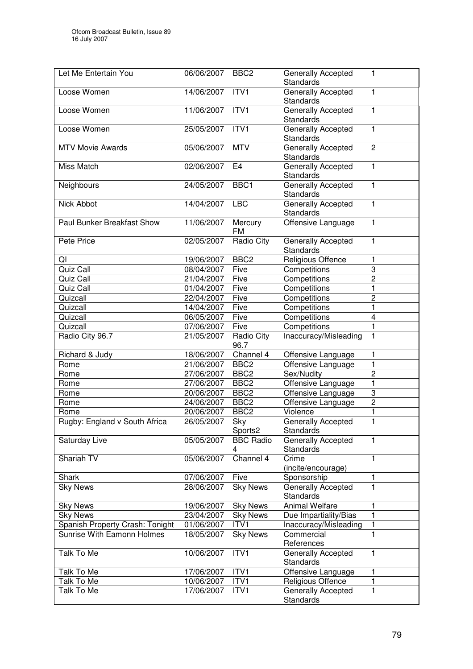| Let Me Entertain You            | 06/06/2007 | BBC <sub>2</sub>      | <b>Generally Accepted</b><br>Standards        | 1              |
|---------------------------------|------------|-----------------------|-----------------------------------------------|----------------|
| Loose Women                     | 14/06/2007 | ITV <sub>1</sub>      | Generally Accepted<br><b>Standards</b>        | 1              |
| Loose Women                     | 11/06/2007 | ITV1                  | <b>Generally Accepted</b><br><b>Standards</b> | 1              |
| Loose Women                     | 25/05/2007 | ITV <sub>1</sub>      | Generally Accepted<br><b>Standards</b>        | 1              |
| <b>MTV Movie Awards</b>         | 05/06/2007 | <b>MTV</b>            | Generally Accepted<br><b>Standards</b>        | $\overline{2}$ |
| Miss Match                      | 02/06/2007 | E4                    | Generally Accepted<br><b>Standards</b>        | 1              |
| Neighbours                      | 24/05/2007 | BBC1                  | Generally Accepted<br><b>Standards</b>        | $\mathbf{1}$   |
| Nick Abbot                      | 14/04/2007 | <b>LBC</b>            | <b>Generally Accepted</b><br>Standards        | $\mathbf{1}$   |
| Paul Bunker Breakfast Show      | 11/06/2007 | Mercury<br><b>FM</b>  | Offensive Language                            | 1              |
| Pete Price                      | 02/05/2007 | Radio City            | Generally Accepted<br>Standards               | 1              |
| QI                              | 19/06/2007 | BBC <sub>2</sub>      | Religious Offence                             | 1              |
| Quiz Call                       | 08/04/2007 | Five                  | Competitions                                  | 3              |
| Quiz Call                       | 21/04/2007 | Five                  | Competitions                                  | $\overline{c}$ |
| Quiz Call                       | 01/04/2007 | Five                  | Competitions                                  | 1              |
| Quizcall                        | 22/04/2007 | Five                  | Competitions                                  | $\overline{c}$ |
| Quizcall                        | 14/04/2007 | Five                  | Competitions                                  | 1              |
| Quizcall                        | 06/05/2007 | Five                  | Competitions                                  | 4              |
| Quizcall                        | 07/06/2007 | Five                  | Competitions                                  | 1              |
| Radio City 96.7                 | 21/05/2007 | Radio City<br>96.7    | Inaccuracy/Misleading                         | 1              |
| Richard & Judy                  | 18/06/2007 | Channel 4             | Offensive Language                            | 1              |
| Rome                            | 21/06/2007 | BBC <sub>2</sub>      | Offensive Language                            | 1              |
| Rome                            | 27/06/2007 | BBC <sub>2</sub>      | Sex/Nudity                                    | $\overline{2}$ |
| Rome                            | 27/06/2007 | BBC <sub>2</sub>      | Offensive Language                            | 1              |
| Rome                            | 20/06/2007 | BBC <sub>2</sub>      | Offensive Language                            | 3              |
| Rome                            | 24/06/2007 | BBC <sub>2</sub>      | Offensive Language                            | $\overline{2}$ |
| Rome                            | 20/06/2007 | BBC <sub>2</sub>      | Violence                                      | 1              |
| Rugby: England v South Africa   | 26/05/2007 | <b>Sky</b><br>Sports2 | <b>Generally Accepted</b><br>Standards        | 1              |
| Saturday Live                   | 05/05/2007 | <b>BBC Radio</b><br>4 | <b>Generally Accepted</b><br>Standards        | 1              |
| Shariah TV                      | 05/06/2007 | Channel 4             | Crime<br>(incite/encourage)                   | 1              |
| Shark                           | 07/06/2007 | Five                  | Sponsorship                                   | 1              |
| <b>Sky News</b>                 | 28/06/2007 | <b>Sky News</b>       | Generally Accepted<br><b>Standards</b>        | 1              |
| <b>Sky News</b>                 | 19/06/2007 | <b>Sky News</b>       | <b>Animal Welfare</b>                         | 1              |
| <b>Sky News</b>                 | 23/04/2007 | <b>Sky News</b>       | Due Impartiality/Bias                         | 1              |
| Spanish Property Crash: Tonight | 01/06/2007 | ITV1                  | Inaccuracy/Misleading                         | 1              |
| Sunrise With Eamonn Holmes      | 18/05/2007 | <b>Sky News</b>       | Commercial<br>References                      | 1              |
| Talk To Me                      | 10/06/2007 | ITV1                  | Generally Accepted<br><b>Standards</b>        | $\mathbf{1}$   |
| Talk To Me                      | 17/06/2007 | ITV1                  | Offensive Language                            | 1              |
| Talk To Me                      | 10/06/2007 | ITV1                  | Religious Offence                             | 1              |
| Talk To Me                      | 17/06/2007 | ITV1                  | <b>Generally Accepted</b><br><b>Standards</b> | 1              |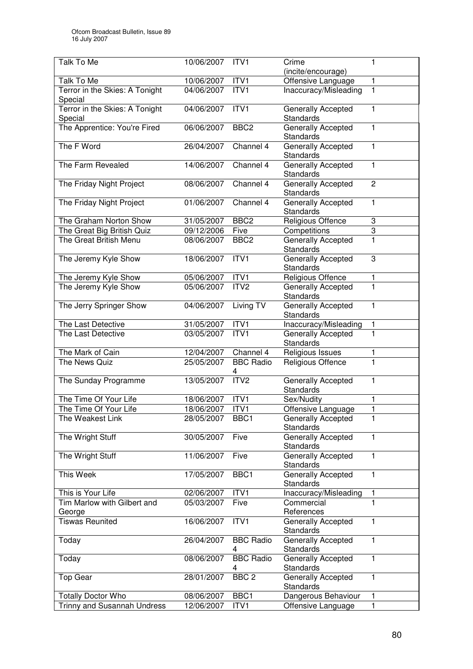| Talk To Me                                | 10/06/2007 | ITV <sub>1</sub>      | Crime<br>(incite/encourage)                   | 1              |
|-------------------------------------------|------------|-----------------------|-----------------------------------------------|----------------|
| Talk To Me                                | 10/06/2007 | ITV1                  | Offensive Language                            | 1              |
| Terror in the Skies: A Tonight<br>Special | 04/06/2007 | ITV1                  | Inaccuracy/Misleading                         | 1              |
| Terror in the Skies: A Tonight<br>Special | 04/06/2007 | ITVI                  | Generally Accepted<br>Standards               | 1              |
| The Apprentice: You're Fired              | 06/06/2007 | BBC <sub>2</sub>      | Generally Accepted<br><b>Standards</b>        | 1              |
| The F Word                                | 26/04/2007 | Channel 4             | Generally Accepted<br>Standards               | 1              |
| The Farm Revealed                         | 14/06/2007 | Channel 4             | <b>Generally Accepted</b><br>Standards        | 1              |
| The Friday Night Project                  | 08/06/2007 | Channel 4             | Generally Accepted<br><b>Standards</b>        | $\overline{c}$ |
| The Friday Night Project                  | 01/06/2007 | Channel 4             | Generally Accepted<br><b>Standards</b>        | $\mathbf{1}$   |
| The Graham Norton Show                    | 31/05/2007 | BBC <sub>2</sub>      | Religious Offence                             | 3              |
| The Great Big British Quiz                | 09/12/2006 | Five                  | Competitions                                  | 3              |
| The Great British Menu                    | 08/06/2007 | BBC <sub>2</sub>      | Generally Accepted<br>Standards               | $\mathbf{1}$   |
| The Jeremy Kyle Show                      | 18/06/2007 | ITV1                  | Generally Accepted<br>Standards               | 3              |
| The Jeremy Kyle Show                      | 05/06/2007 | ITV1                  | Religious Offence                             | 1              |
| The Jeremy Kyle Show                      | 05/06/2007 | ITV <sub>2</sub>      | Generally Accepted<br>Standards               | 1              |
| The Jerry Springer Show                   | 04/06/2007 | Living TV             | Generally Accepted<br>Standards               | $\mathbf{1}$   |
| The Last Detective                        | 31/05/2007 | ITV1                  | Inaccuracy/Misleading                         | 1              |
| The Last Detective                        | 03/05/2007 | ITV1                  | Generally Accepted<br>Standards               | 1              |
| The Mark of Cain                          | 12/04/2007 | Channel 4             | Religious Issues                              | 1              |
| The News Quiz                             | 25/05/2007 | <b>BBC Radio</b><br>4 | Religious Offence                             | 1              |
| The Sunday Programme                      | 13/05/2007 | ITV2                  | Generally Accepted<br><b>Standards</b>        | 1              |
| The Time Of Your Life                     | 18/06/2007 | ITV1                  | Sex/Nudity                                    | 1              |
| The Time Of Your Life                     | 18/06/2007 | ITV1                  | Offensive Language                            | 1              |
| The Weakest Link                          | 28/05/2007 | BBC1                  | <b>Generally Accepted</b><br><b>Standards</b> | 1              |
| The Wright Stuff                          | 30/05/2007 | Five                  | Generally Accepted<br>Standards               | 1              |
| The Wright Stuff                          | 11/06/2007 | Five                  | Generally Accepted<br><b>Standards</b>        | $\mathbf{1}$   |
| This Week                                 | 17/05/2007 | BBC1                  | <b>Generally Accepted</b><br><b>Standards</b> | 1              |
| This is Your Life                         | 02/06/2007 | ITVI                  | Inaccuracy/Misleading                         | 1              |
| Tim Marlow with Gilbert and<br>George     | 05/03/2007 | Five                  | Commercial<br>References                      | 1              |
| <b>Tiswas Reunited</b>                    | 16/06/2007 | ITV1                  | Generally Accepted<br>Standards               | 1              |
| Today                                     | 26/04/2007 | <b>BBC Radio</b><br>4 | Generally Accepted<br>Standards               | $\mathbf{1}$   |
| Today                                     | 08/06/2007 | <b>BBC Radio</b><br>4 | Generally Accepted<br>Standards               | $\mathbf{1}$   |
| <b>Top Gear</b>                           | 28/01/2007 | BBC <sub>2</sub>      | Generally Accepted<br>Standards               | $\mathbf{1}$   |
| <b>Totally Doctor Who</b>                 | 08/06/2007 | BBC1                  | Dangerous Behaviour                           | 1              |
| Trinny and Susannah Undress               | 12/06/2007 | ITV1                  | Offensive Language                            | 1              |